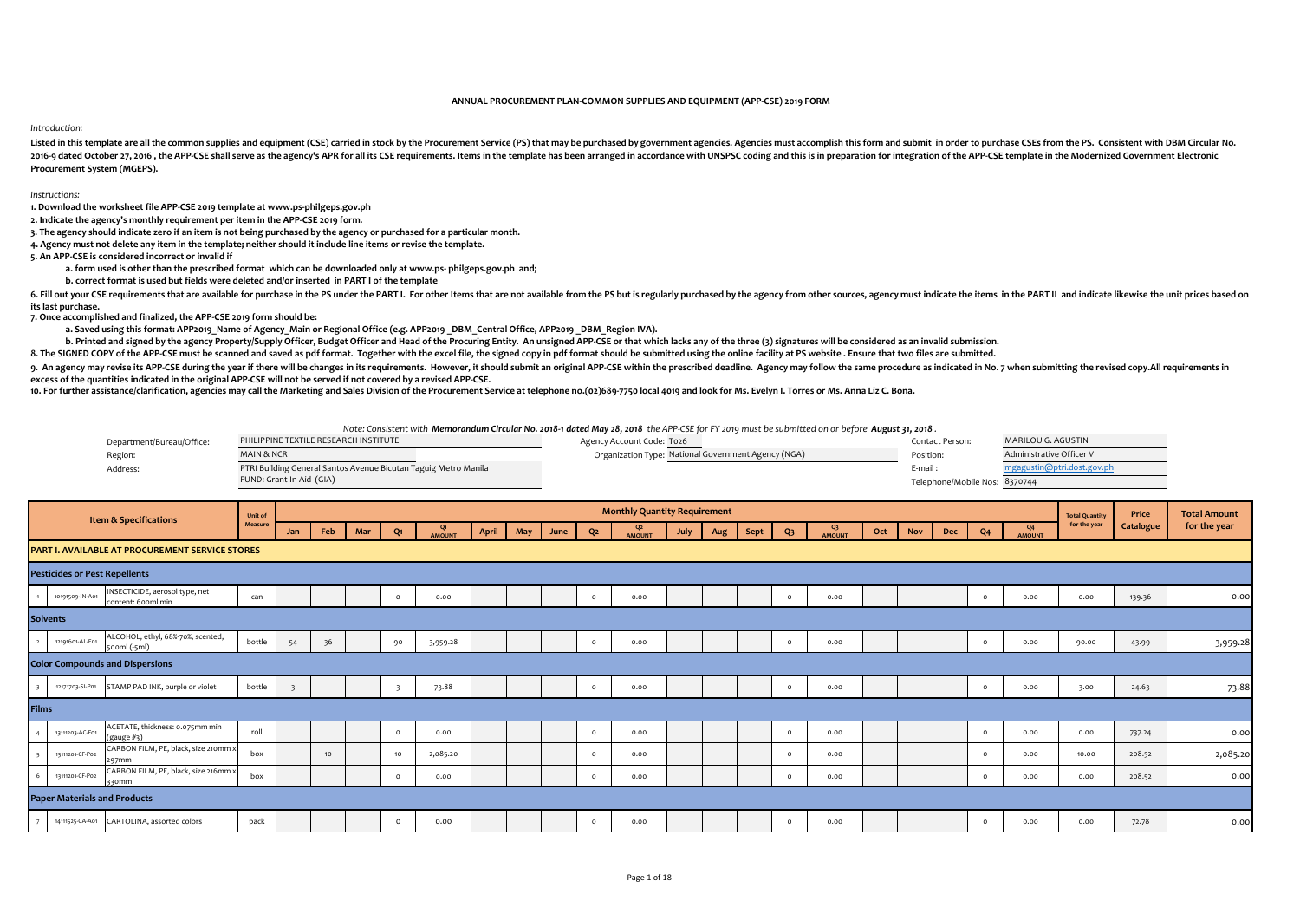## **ANNUAL PROCUREMENT PLAN-COMMON SUPPLIES AND EQUIPMENT (APP-CSE) 2019 FORM**

## *Introduction:*

Listed in this template are all the common supplies and equipment (CSE) carried in stock by the Procurement Service (PS) that may be purchased by government agencies. Agencies must accomplish this form and submit in order 2016-a dated October 27, 2016, the APP-CSE shall serve as the agency's APR for all its CSE requirements. Items in the template has been arranged in accordance with UNSPSC coding and this is in preparation for integration o **Procurement System (MGEPS).** 

## *Instructions:*

**1. Download the worksheet file APP-CSE 2019 template at www.ps-philgeps.gov.ph**

**2. Indicate the agency's monthly requirement per item in the APP-CSE 2019 form.**

**3. The agency should indicate zero if an item is not being purchased by the agency or purchased for a particular month.**

**4. Agency must not delete any item in the template; neither should it include line items or revise the template.** 

**5. An APP-CSE is considered incorrect or invalid if**

**a. form used is other than the prescribed format which can be downloaded only at www.ps- philgeps.gov.ph and;**

**b. correct format is used but fields were deleted and/or inserted in PART I of the template** 

6. Fill out your CSE requirements that are available for purchase in the PS under the PART I. For other Items that are not available from the PS but is regularly purchased by the agency from other sources, agency must indi **its last purchase.**

**7. Once accomplished and finalized, the APP-CSE 2019 form should be:**

a. Saved using this format: APP2019 Name of Agency Main or Regional Office (e.g. APP2019 DBM Central Office, APP2019 DBM Region IVA).

b. Printed and signed by the agency Property/Supply Officer, Budget Officer and Head of the Procuring Entity. An unsigned APP-CSE or that which lacks any of the three (3) signatures will be considered as an invalid submiss

8. The SIGNED COPY of the APP-CSE must be scanned and saved as pdf format. Together with the excel file, the signed copy in pdf format should be submitted using the online facility at PS website . Ensure that two files are

9. An agency may revise its APP-CSE during the year if there will be changes in its requirements. However, it should submit an original APP-CSE within the prescribed deadline. Agency may follow the same procedure as indica **excess of the quantities indicated in the original APP-CSE will not be served if not covered by a revised APP-CSE.**

10. For further assistance/clarification, agencies may call the Marketing and Sales Division of the Procurement Service at telephone no.(02)689-7750 local 4019 and look for Ms. Evelyn I. Torres or Ms. Anna Liz C. Bona.

Department/Bureau/Office: Agency Account Code: T026 Contact Person: PHILIPPINE TEXTILE RESEARCH INSTITUTE MARILOU G. AGUSTIN Region: Organization Type: Position: National Government Agency (NGA) Address: E-mail : PTRI Building General Santos Avenue Bicutan Taguig Metro Manila Telephone/Mobile Nos: *Note: Consistent with Memorandum Circular No. 2018-1 dated May 28, 2018 the APP-CSE for FY 2019 must be submitted on or before August 31, 2018 .* MAIN & NCR FUND: Grant-In-Aid (GIA) Telephone/Mobile Nos: 8370744 mgagustin@ptri.dost.gov.ph Administrative Officer V

|                |                                      | <b>Item &amp; Specifications</b>                     | Unit of |     |     |     |                |                     |       |     |      |                | <b>Monthly Quantity Requirement</b> |      |     |      |          |                        |     |            |     |                |                          | <b>Total Quantity</b> | Price     | <b>Total Amount</b> |
|----------------|--------------------------------------|------------------------------------------------------|---------|-----|-----|-----|----------------|---------------------|-------|-----|------|----------------|-------------------------------------|------|-----|------|----------|------------------------|-----|------------|-----|----------------|--------------------------|-----------------------|-----------|---------------------|
|                |                                      |                                                      | Measure | Jan | Feb | Mar | Q <sub>1</sub> | Q1<br><b>AMOUNT</b> | April | May | June | Q <sub>2</sub> | Q <sub>2</sub><br><b>AMOUNT</b>     | July | Aug | Sept | $Q_3$    | $Q_3$<br><b>AMOUNT</b> | Oct | <b>Nov</b> | Dec | Q <sub>4</sub> | Q <sub>4</sub><br>AMOUNT | for the year          | Catalogue | for the year        |
|                |                                      | PART I. AVAILABLE AT PROCUREMENT SERVICE STORES      |         |     |     |     |                |                     |       |     |      |                |                                     |      |     |      |          |                        |     |            |     |                |                          |                       |           |                     |
|                | <b>Pesticides or Pest Repellents</b> |                                                      |         |     |     |     |                |                     |       |     |      |                |                                     |      |     |      |          |                        |     |            |     |                |                          |                       |           |                     |
| $\overline{1}$ | 10191509-IN-A01                      | INSECTICIDE, aerosol type, net<br>content: 600ml min | can     |     |     |     | $\Omega$       | 0.00                |       |     |      | $\Omega$       | 0.00                                |      |     |      | $\Omega$ | 0.00                   |     |            |     | $\Omega$       | 0.00                     | 0.00                  | 139.36    | 0.00                |
|                | <b>Solvents</b>                      |                                                      |         |     |     |     |                |                     |       |     |      |                |                                     |      |     |      |          |                        |     |            |     |                |                          |                       |           |                     |
| $\overline{ }$ | 12191601-AL-E01                      | ALCOHOL, ethyl, 68%-70%, scented,<br>sooml (-sml)    | bottle  | 54  | 36  |     | 90             | 3,959.28            |       |     |      | $\Omega$       | 0.00                                |      |     |      | $\circ$  | 0.00                   |     |            |     | $\Omega$       | 0.00                     | 90.00                 | 43.99     | 3,959.28            |
|                |                                      | <b>Color Compounds and Dispersions</b>               |         |     |     |     |                |                     |       |     |      |                |                                     |      |     |      |          |                        |     |            |     |                |                          |                       |           |                     |
|                | 12171703-SI-P01                      | STAMP PAD INK, purple or violet                      | bottle  |     |     |     |                | 73.88               |       |     |      | $\Omega$       | 0.00                                |      |     |      | $\circ$  | 0.00                   |     |            |     | $\circ$        | 0.00                     | 3.00                  | 24.63     | 73.88               |
| Films          |                                      |                                                      |         |     |     |     |                |                     |       |     |      |                |                                     |      |     |      |          |                        |     |            |     |                |                          |                       |           |                     |
|                | 13111203-AC-F01                      | ACETATE, thickness: 0.075mm min<br>(gauge #3)        | roll    |     |     |     | $\Omega$       | 0.00                |       |     |      | $\Omega$       | 0.00                                |      |     |      | $\Omega$ | 0.00                   |     |            |     | $\Omega$       | 0.00                     | 0.00                  | 737.24    | 0.00                |
|                | 13111201-CF-P02                      | CARBON FILM, PE, black, size 210mm x<br>297mm        | box     |     | 10  |     | 10             | 2,085.20            |       |     |      | $\Omega$       | 0.00                                |      |     |      | $\Omega$ | 0.00                   |     |            |     | $\Omega$       | 0.00                     | 10.00                 | 208.52    | 2,085.20            |
|                | 13111201-CF-P02                      | CARBON FILM, PE, black, size 216mm x<br>330mm        | box     |     |     |     | $\circ$        | 0.00                |       |     |      | $\Omega$       | 0.00                                |      |     |      | $\circ$  | 0.00                   |     |            |     | $\Omega$       | 0.00                     | 0.00                  | 208.52    | 0.00                |
|                | <b>Paper Materials and Products</b>  |                                                      |         |     |     |     |                |                     |       |     |      |                |                                     |      |     |      |          |                        |     |            |     |                |                          |                       |           |                     |
|                | 14111525-CA-A01                      | CARTOLINA, assorted colors                           | pack    |     |     |     | $\circ$        | 0.00                |       |     |      | $\Omega$       | 0.00                                |      |     |      | $\Omega$ | 0.00                   |     |            |     | $\Omega$       | 0.00                     | 0.00                  | 72.78     | 0.00                |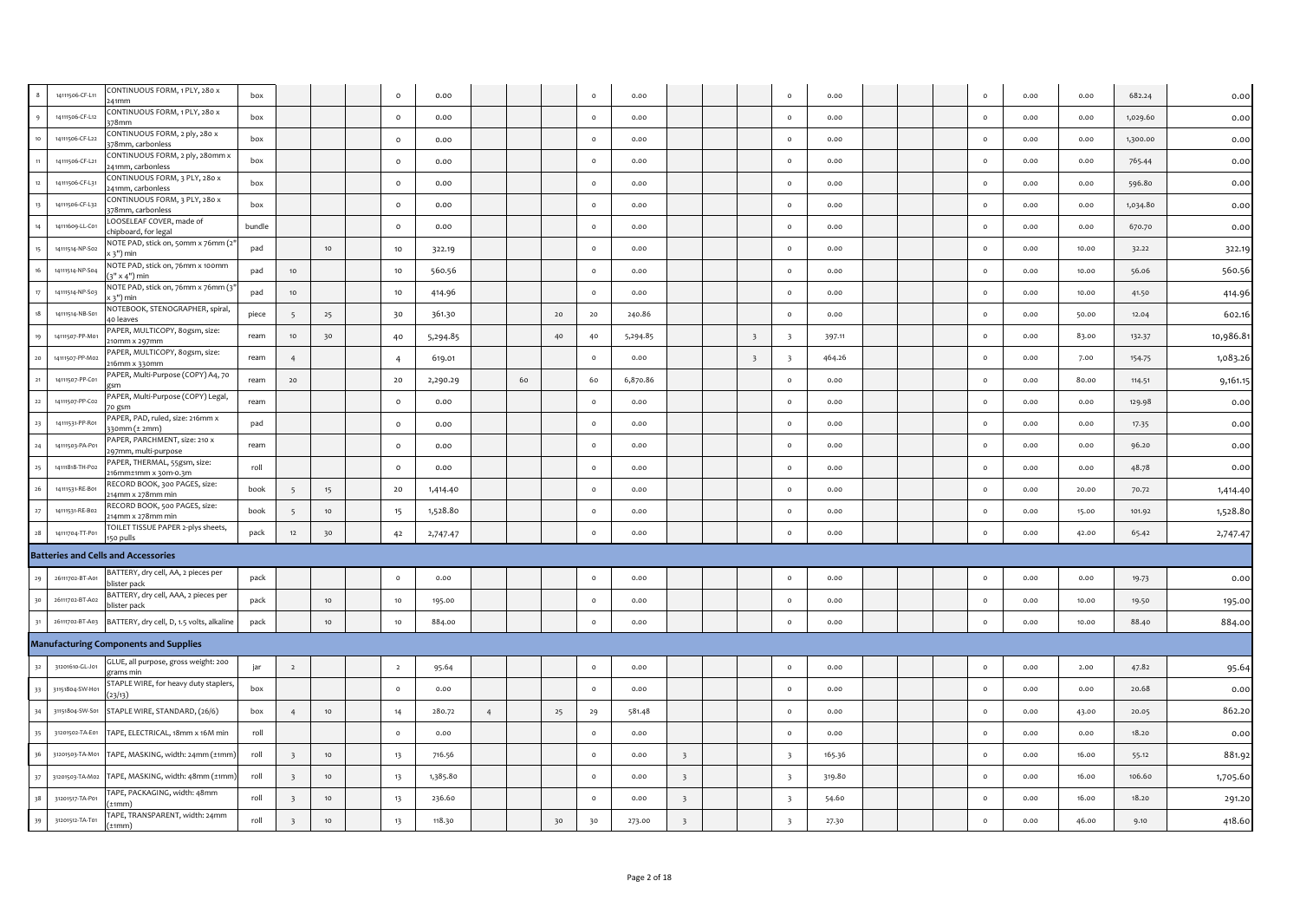|             | 14111506-CF-L11 | CONTINUOUS FORM, 1 PLY, 280 x<br>241mm                                 | box    |                         |                  | $\circ$        | 0.00     |   |    |    | $\circ$  | 0.00     |                          |                          | $\circ$                  | 0.00   |  | $\circ$ | 0.00 | 0.00  | 682.24   | 0.00      |
|-------------|-----------------|------------------------------------------------------------------------|--------|-------------------------|------------------|----------------|----------|---|----|----|----------|----------|--------------------------|--------------------------|--------------------------|--------|--|---------|------|-------|----------|-----------|
|             | 14111506-CF-L12 | CONTINUOUS FORM, 1 PLY, 280 x                                          | box    |                         |                  | $\circ$        | 0.00     |   |    |    | $\circ$  | 0.00     |                          |                          | $\circ$                  | 0.00   |  | $\circ$ | 0.00 | 0.00  | 1,029.60 | 0.00      |
|             | 14111506-CF-L22 | 378mm<br>CONTINUOUS FORM, 2 ply, 280 x                                 | box    |                         |                  | $\circ$        | 0.00     |   |    |    | $\circ$  | 0.00     |                          |                          | $\circ$                  | 0.00   |  | $\circ$ | 0.00 | 0.00  | 1,300.00 | 0.00      |
|             | 14111506-CF-L21 | 378mm, carbonless<br>CONTINUOUS FORM, 2 ply, 280mm x                   | box    |                         |                  | $\circ$        | 0.00     |   |    |    | $\circ$  | 0.00     |                          |                          | $\circ$                  | 0.00   |  | $\circ$ | 0.00 | 0.00  | 765.44   | 0.00      |
| $12\,$      | 14111506-CF-L31 | 241mm, carbonless<br>CONTINUOUS FORM, 3 PLY, 280 x                     | box    |                         |                  | $\circ$        | 0.00     |   |    |    | $\circ$  | 0.00     |                          |                          | $\circ$                  | 0.00   |  | $\circ$ | 0.00 | 0.00  | 596.80   | 0.00      |
|             | 14111506-CF-L32 | 241mm, carbonless<br>CONTINUOUS FORM, 3 PLY, 280 x<br>78mm, carbonless | box    |                         |                  | $\circ$        | 0.00     |   |    |    | $\circ$  | 0.00     |                          |                          | $\circ$                  | 0.00   |  | $\circ$ | 0.00 | 0.00  | 1,034.80 | 0.00      |
|             | 14111609-LL-C01 | LOOSELEAF COVER, made of<br>chipboard, for legal                       | bundle |                         |                  | $\circ$        | 0.00     |   |    |    | $\circ$  | 0.00     |                          |                          | $\circ$                  | 0.00   |  | $\circ$ | 0.00 | 0.00  | 670.70   | 0.00      |
|             | 14111514-NP-So2 | NOTE PAD, stick on, 50mm x 76mm (2<br>min ("ד x                        | pad    |                         | 10               | 10             | 322.19   |   |    |    | $\circ$  | 0.00     |                          |                          | $\circ$                  | 0.00   |  | $\circ$ | 0.00 | 10.00 | 32.22    | 322.19    |
|             | 14111514-NP-S04 | NOTE PAD, stick on, 76mm x 100mm<br>3" x 4") min                       | pad    | 10                      |                  | 10             | 560.56   |   |    |    | $\circ$  | 0.00     |                          |                          | $\circ$                  | 0.00   |  | $\circ$ | 0.00 | 10.00 | 56.06    | 560.56    |
| 17          | 14111514-NP-S03 | NOTE PAD, stick on, 76mm x 76mm (3'<br>( 3") min                       | pad    | 10                      |                  | 10             | 414.96   |   |    |    | $\circ$  | 0.00     |                          |                          | $\circ$                  | 0.00   |  | $\circ$ | 0.00 | 10.00 | 41.50    | 414.96    |
| $18$        | 14111514-NB-S01 | NOTEBOOK, STENOGRAPHER, spiral,<br>40 leaves                           | piece  | - 5                     | 25               | 30             | 361.30   |   |    | 20 | 20       | 240.86   |                          |                          | $\circ$                  | 0.00   |  | $\circ$ | 0.00 | 50.00 | 12.04    | 602.16    |
| 19          | 14111507-PP-M01 | PAPER, MULTICOPY, 8ogsm, size:<br>210mm x 297mm                        | ream   | 10                      | 30               | 40             | 5,294.85 |   |    | 40 | 40       | 5,294.85 |                          | $\overline{\phantom{a}}$ | $\overline{\phantom{a}}$ | 397.11 |  | $\circ$ | 0.00 | 83.00 | 132.37   | 10,986.81 |
| 20          | 14111507-PP-M02 | PAPER, MULTICOPY, 8ogsm, size:<br>16mm x 330mm                         | ream   | $\overline{4}$          |                  | $\overline{4}$ | 619.01   |   |    |    | $\circ$  | 0.00     |                          | $\overline{\mathbf{3}}$  | $\overline{\mathbf{3}}$  | 464.26 |  | $\circ$ | 0.00 | 7.00  | 154.75   | 1,083.26  |
|             | 14111507-PP-C01 | PAPER, Multi-Purpose (COPY) A4, 70                                     | ream   | 20                      |                  | 20             | 2,290.29 |   | 60 |    | 60       | 6,870.86 |                          |                          | $\circ$                  | 0.00   |  | $\circ$ | 0.00 | 80.00 | 114.51   | 9,161.15  |
| 22          | 14111507-PP-C02 | PAPER, Multi-Purpose (COPY) Legal,<br>70 gsm                           | ream   |                         |                  | $\circ$        | 0.00     |   |    |    | $\circ$  | 0.00     |                          |                          | $\circ$                  | 0.00   |  | $\circ$ | 0.00 | 0.00  | 129.98   | 0.00      |
| 23          | 14111531-PP-R01 | PAPER, PAD, ruled, size: 216mm x<br>330mm (± 2mm)                      | pad    |                         |                  | $\circ$        | 0.00     |   |    |    | $\circ$  | 0.00     |                          |                          | $\circ$                  | 0.00   |  | $\circ$ | 0.00 | 0.00  | 17.35    | 0.00      |
| 24          | 14111503-PA-P01 | PAPER, PARCHMENT, size: 210 x<br>97mm, multi-purpose                   | ream   |                         |                  | $\circ$        | 0.00     |   |    |    | $\circ$  | 0.00     |                          |                          | $\circ$                  | 0.00   |  | $\circ$ | 0.00 | 0.00  | 96.20    | 0.00      |
| 25          | 14111818-TH-P02 | PAPER, THERMAL, 55gsm, size:<br>216mm±1mm x 30m-0.3m                   | roll   |                         |                  | $\circ$        | 0.00     |   |    |    | $\circ$  | 0.00     |                          |                          | $\circ$                  | 0.00   |  | $\circ$ | 0.00 | 0.00  | 48.78    | 0.00      |
| $_{\rm 26}$ | 14111531-RE-B01 | RECORD BOOK, 300 PAGES, size:<br>14mm x 278mm min                      | book   |                         | 15               | 20             | 1,414.40 |   |    |    | $\circ$  | 0.00     |                          |                          | $\circ$                  | 0.00   |  | $\circ$ | 0.00 | 20.00 | 70.72    | 1,414.40  |
| $27\,$      | 14111531-RE-B02 | RECORD BOOK, 500 PAGES, size:<br>14mm x 278mm min                      | book   | $\overline{5}$          | 10               | 15             | 1,528.80 |   |    |    | $\circ$  | 0.00     |                          |                          | $\circ$                  | 0.00   |  | $\circ$ | 0.00 | 15.00 | 101.92   | 1,528.80  |
| $\bf{28}$   | 14111704-TT-P01 | TOILET TISSUE PAPER 2-plys sheets,<br>150 pulls                        | pack   | 12                      | 30               | 42             | 2,747.47 |   |    |    | $\circ$  | 0.00     |                          |                          | $\circ$                  | 0.00   |  | $\circ$ | 0.00 | 42.00 | 65.42    | 2,747.47  |
|             |                 | <b>Batteries and Cells and Accessories</b>                             |        |                         |                  |                |          |   |    |    |          |          |                          |                          |                          |        |  |         |      |       |          |           |
|             | 26111702-BT-A01 | BATTERY, dry cell, AA, 2 pieces per<br>blister pack                    | pack   |                         |                  | $\circ$        | 0.00     |   |    |    | $\circ$  | 0.00     |                          |                          | $\circ$                  | 0.00   |  | $\circ$ | 0.00 | 0.00  | 19.73    | 0.00      |
| 30          | 26111702-BT-A02 | BATTERY, dry cell, AAA, 2 pieces per<br>blister pack                   | pack   |                         | $10$             | $10\,$         | 195.00   |   |    |    | $\circ$  | 0.00     |                          |                          | $\circ$                  | 0.00   |  | $\circ$ | 0.00 | 10.00 | 19.50    | 195.00    |
|             | 26111702-BT-A03 | BATTERY, dry cell, D, 1.5 volts, alkaline                              | pack   |                         | 10 <sub>10</sub> | 10             | 884.00   |   |    |    | $\circ$  | 0.00     |                          |                          | $\circ$                  | 0.00   |  | $\circ$ | 0.00 | 10.00 | 88.40    | 884.00    |
|             |                 | <b>Manufacturing Components and Supplies</b>                           |        |                         |                  |                |          |   |    |    |          |          |                          |                          |                          |        |  |         |      |       |          |           |
|             | 31201610-GL-J01 | GLUE, all purpose, gross weight: 200<br>grams min                      | jar    | $\overline{2}$          |                  | $\overline{2}$ | 95.64    |   |    |    | $\circ$  | 0.00     |                          |                          | $\circ$                  | 0.00   |  | $\circ$ | 0.00 | 2.00  | 47.82    | 95.64     |
| 33          | 31151804-SW-H01 | STAPLE WIRE, for heavy duty staplers<br>(23/13)                        | box    |                         |                  | $\circ$        | 0.00     |   |    |    | $\circ$  | 0.00     |                          |                          | $\circ$                  | 0.00   |  | $\circ$ | 0.00 | 0.00  | 20.68    | 0.00      |
| 34          | 31151804-SW-S01 | STAPLE WIRE, STANDARD, (26/6)                                          | box    | $\overline{4}$          | 10               | 14             | 280.72   | 4 |    | 25 | 29       | 581.48   |                          |                          | $\circ$                  | 0.00   |  | $\circ$ | 0.00 | 43.00 | 20.05    | 862.20    |
| 35          | 31201502-TA-E01 | TAPE, ELECTRICAL, 18mm x 16M min                                       | roll   |                         |                  | $\circ$        | 0.00     |   |    |    | $\circ$  | 0.00     |                          |                          | $\circ$                  | 0.00   |  | $\circ$ | 0.00 | 0.00  | 18.20    | 0.00      |
| 36          | 31201503-TA-M01 | TAPE, MASKING, width: 24mm (±1mm)                                      | roll   | $\overline{\mathbf{3}}$ | $10$             | 13             | 716.56   |   |    |    | $\circ$  | 0.00     | $\overline{\mathbf{3}}$  |                          | $\overline{\mathbf{3}}$  | 165.36 |  | $\circ$ | 0.00 | 16.00 | 55.12    | 881.92    |
| $37\,$      | 31201503-TA-M02 | TAPE, MASKING, width: 48mm (±1mm                                       | roll   | $\overline{\mathbf{3}}$ | 10               | 13             | 1,385.80 |   |    |    | $\circ$  | 0.00     | $\overline{\phantom{a}}$ |                          | $\overline{\phantom{0}}$ | 319.80 |  | $\circ$ | 0.00 | 16.00 | 106.60   | 1,705.60  |
| 38          | 31201517-TA-P01 | TAPE, PACKAGING, width: 48mm<br>±1mm)                                  | roll   | $\overline{\mathbf{3}}$ | 10 <sup>1</sup>  | 13             | 236.60   |   |    |    | $\Omega$ | 0.00     | $\overline{\phantom{a}}$ |                          | $\overline{\phantom{0}}$ | 54.60  |  | $\circ$ | 0.00 | 16.00 | 18.20    | 291.20    |
| 39          | 31201512-TA-T01 | TAPE, TRANSPARENT, width: 24mm<br>$(+1mm)$                             | roll   | $\overline{\mathbf{3}}$ | 10               | 13             | 118.30   |   |    | 30 | 30       | 273.00   | $\overline{\mathbf{3}}$  |                          | $\overline{\mathbf{3}}$  | 27.30  |  | $\circ$ | 0.00 | 46.00 | 9.10     | 418.60    |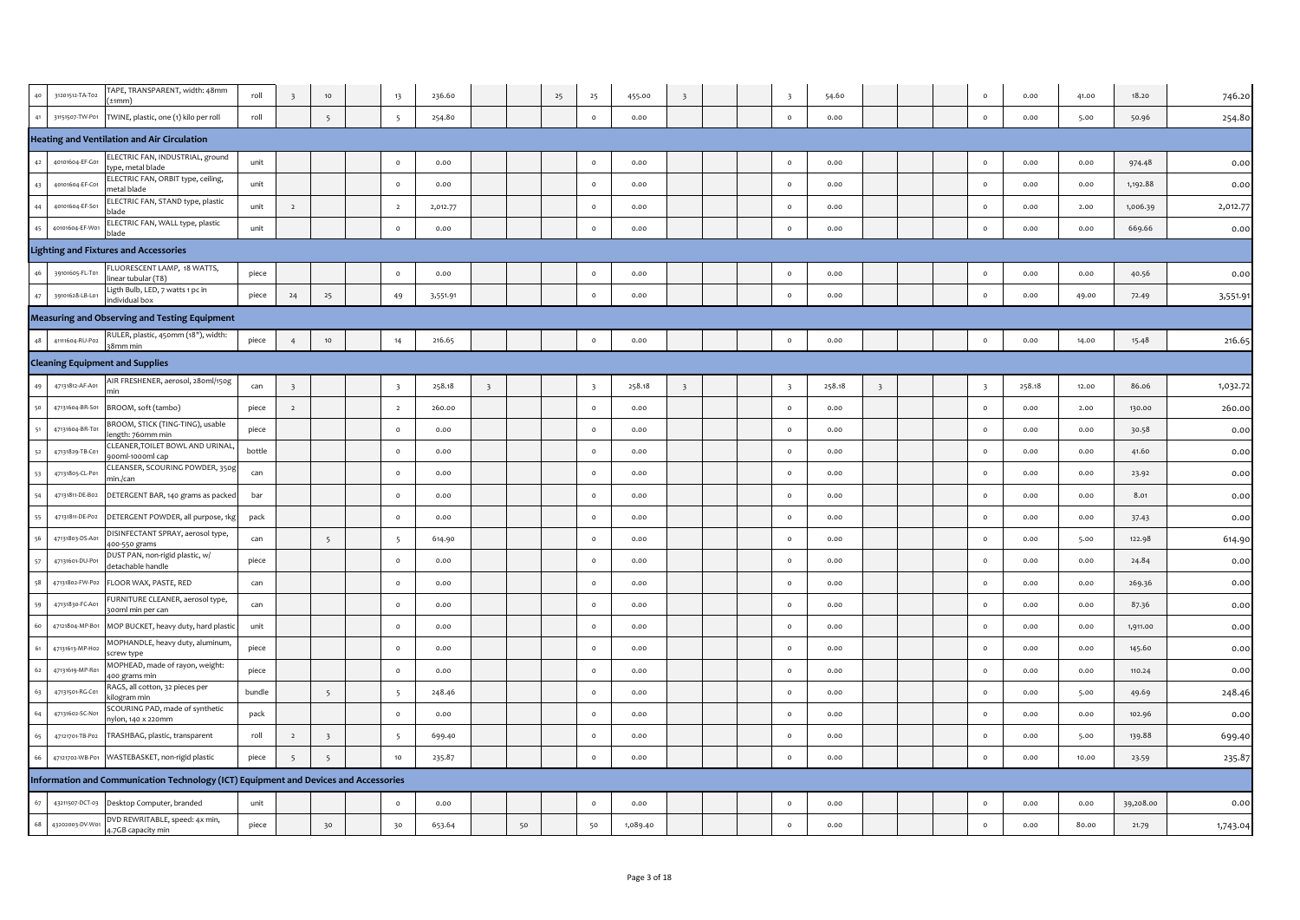| 40 | 31201512-TA-T02 | TAPE, TRANSPARENT, width: 48mm<br>⊦1mm`                                              | roll   |                          | $10$                    | 13                       | 236.60   |                          |    | 25 | 25                      | 455.00   |                         |  | $\overline{\phantom{a}}$ | 54.60  |                         |  | $\circ$                  | 0.00   | 41.00 | 18.20     | 746.20   |
|----|-----------------|--------------------------------------------------------------------------------------|--------|--------------------------|-------------------------|--------------------------|----------|--------------------------|----|----|-------------------------|----------|-------------------------|--|--------------------------|--------|-------------------------|--|--------------------------|--------|-------|-----------|----------|
| 41 | 31151507-TW-P01 | TWINE, plastic, one (1) kilo per roll                                                | roll   |                          | 5                       | $5\overline{5}$          | 254.80   |                          |    |    | $\circ$                 | 0.00     |                         |  | $\circ$                  | 0.00   |                         |  | $\circ$                  | 0.00   | 5.00  | 50.96     | 254.80   |
|    |                 | <b>Heating and Ventilation and Air Circulation</b>                                   |        |                          |                         |                          |          |                          |    |    |                         |          |                         |  |                          |        |                         |  |                          |        |       |           |          |
| 42 | 40101604-EF-G01 | ELECTRIC FAN, INDUSTRIAL, ground<br>pe, metal blade                                  | unit   |                          |                         | $\circ$                  | 0.00     |                          |    |    | $\circ$                 | 0.00     |                         |  | $\circ$                  | 0.00   |                         |  | $\circ$                  | 0.00   | 0.00  | 974.48    | 0.00     |
| 43 | 40101604-EF-C01 | ELECTRIC FAN, ORBIT type, ceiling,<br>netal blade                                    | unit   |                          |                         | $\circ$                  | 0.00     |                          |    |    | $\circ$                 | 0.00     |                         |  | $\circ$                  | 0.00   |                         |  | $\circ$                  | 0.00   | 0.00  | 1,192.88  | 0.00     |
| 44 | 40101604-EF-S01 | ELECTRIC FAN, STAND type, plastic<br>lade                                            | unit   | $\overline{2}$           |                         | $\overline{2}$           | 2,012.77 |                          |    |    | $\circ$                 | 0.00     |                         |  | $\circ$                  | 0.00   |                         |  | $\circ$                  | 0.00   | 2.00  | 1,006.39  | 2,012.77 |
| 45 | 40101604-EF-W01 | ELECTRIC FAN, WALL type, plastic<br>blade                                            | unit   |                          |                         | $\circ$                  | 0.00     |                          |    |    | $\circ$                 | 0.00     |                         |  | $\circ$                  | 0.00   |                         |  | $\circ$                  | 0.00   | 0.00  | 669.66    | 0.00     |
|    |                 | Lighting and Fixtures and Accessories                                                |        |                          |                         |                          |          |                          |    |    |                         |          |                         |  |                          |        |                         |  |                          |        |       |           |          |
| 46 | 39101605-FL-T01 | LUORESCENT LAMP, 18 WATTS,<br>near tubular (T8)                                      | piece  |                          |                         | $\circ$                  | 0.00     |                          |    |    | $\circ$                 | 0.00     |                         |  | $\circ$                  | 0.00   |                         |  | $\circ$                  | 0.00   | 0.00  | 40.56     | 0.00     |
| 47 | 39101628-LB-L01 | igth Bulb, LED, 7 watts 1 pc in<br>ndividual box                                     | piece  | 24                       | 25                      | 49                       | 3,551.91 |                          |    |    | $\circ$                 | 0.00     |                         |  | $\circ$                  | 0.00   |                         |  | $\circ$                  | 0.00   | 49.00 | 72.49     | 3,551.9  |
|    |                 | <b>Measuring and Observing and Testing Equipment</b>                                 |        |                          |                         |                          |          |                          |    |    |                         |          |                         |  |                          |        |                         |  |                          |        |       |           |          |
| 48 | 41111604-RU-P02 | RULER, plastic, 450mm (18"), width:<br>38mm mir                                      | piece  | $\overline{4}$           | $10$                    | 14                       | 216.65   |                          |    |    | $\circ$                 | 0.00     |                         |  | $\circ$                  | 0.00   |                         |  | $\circ$                  | 0.00   | 14.00 | 15.48     | 216.65   |
|    |                 | <b>Cleaning Equipment and Supplies</b>                                               |        |                          |                         |                          |          |                          |    |    |                         |          |                         |  |                          |        |                         |  |                          |        |       |           |          |
| 49 | 47131812-AF-A01 | AIR FRESHENER, aerosol, 28oml/150g                                                   | can    | $\overline{\phantom{a}}$ |                         | $\overline{\phantom{a}}$ | 258.18   | $\overline{\phantom{a}}$ |    |    | $\overline{\mathbf{3}}$ | 258.18   | $\overline{\mathbf{3}}$ |  | $\overline{\phantom{a}}$ | 258.18 | $\overline{\mathbf{3}}$ |  | $\overline{\phantom{a}}$ | 258.18 | 12.00 | 86.06     | 1,032.72 |
| 50 | 47131604-BR-S01 | BROOM, soft (tambo)                                                                  | piece  | $\overline{z}$           |                         | $\overline{2}$           | 260.00   |                          |    |    | $\circ$                 | 0.00     |                         |  | $\circ$                  | 0.00   |                         |  | $\circ$                  | 0.00   | 2.00  | 130.00    | 260.00   |
| 51 | 47131604-BR-T01 | BROOM, STICK (TING-TING), usable<br>ngth: 760mm min                                  | piece  |                          |                         | $\circ$                  | 0.00     |                          |    |    | $\circ$                 | 0.00     |                         |  | $\circ$                  | 0.00   |                         |  | $\circ$                  | 0.00   | 0.00  | 30.58     | 0.00     |
| 52 | 47131829-TB-C01 | CLEANER, TOILET BOWL AND URINAL<br>00ml-1000ml cap                                   | bottle |                          |                         | $\circ$                  | 0.00     |                          |    |    | $\circ$                 | 0.00     |                         |  | $\circ$                  | 0.00   |                         |  | $\circ$                  | 0.00   | 0.00  | 41.60     | 0.00     |
| 53 | 47131805-CL-P01 | CLEANSER, SCOURING POWDER, 350g<br>nin./can                                          | can    |                          |                         | $\circ$                  | 0.00     |                          |    |    | $\circ$                 | 0.00     |                         |  | $\circ$                  | 0.00   |                         |  | $\circ$                  | 0.00   | 0.00  | 23.92     | 0.00     |
| 54 | 47131811-DE-B02 | DETERGENT BAR, 140 grams as packed                                                   | bar    |                          |                         | $\circ$                  | 0.00     |                          |    |    | $\circ$                 | 0.00     |                         |  | $\circ$                  | 0.00   |                         |  | $\circ$                  | 0.00   | 0.00  | 8.01      | 0.00     |
| 55 | 47131811-DE-P02 | DETERGENT POWDER, all purpose, 1kg                                                   | pack   |                          |                         | $\circ$                  | 0.00     |                          |    |    | $\circ$                 | 0.00     |                         |  | $\circ$                  | 0.00   |                         |  | $\circ$                  | 0.00   | 0.00  | 37.43     | 0.00     |
| 56 | 47131803-DS-A01 | ISINFECTANT SPRAY, aerosol type,<br>00-550 grams                                     | can    |                          | $5\overline{)}$         | 5                        | 614.90   |                          |    |    | $\circ$                 | 0.00     |                         |  | $\circ$                  | 0.00   |                         |  | $\circ$                  | 0.00   | 5.00  | 122.98    | 614.90   |
| 57 | 47131601-DU-P01 | DUST PAN, non-rigid plastic, w/<br>detachable handle                                 | piece  |                          |                         | $\circ$                  | 0.00     |                          |    |    | $\circ$                 | 0.00     |                         |  | $\circ$                  | 0.00   |                         |  | $\circ$                  | 0.00   | 0.00  | 24.84     | 0.00     |
| 58 | 47131802-FW-P02 | LOOR WAX, PASTE, RED                                                                 | can    |                          |                         | $\Omega$                 | 0.00     |                          |    |    | $\circ$                 | 0.00     |                         |  | $\circ$                  | 0.00   |                         |  | $\circ$                  | 0.00   | 0.00  | 269.36    | 0.00     |
| 59 | 47131830-FC-A01 | FURNITURE CLEANER, aerosol type,<br>ooml min per can                                 | can    |                          |                         | $\circ$                  | 0.00     |                          |    |    | $\circ$                 | 0.00     |                         |  | $\circ$                  | 0.00   |                         |  | $\circ$                  | 0.00   | 0.00  | 87.36     | 0.00     |
| 60 | 47121804-MP-B01 | MOP BUCKET, heavy duty, hard plasti                                                  | unit   |                          |                         | $\circ$                  | 0.00     |                          |    |    | $\circ$                 | 0.00     |                         |  | $\circ$                  | 0.00   |                         |  | $\circ$                  | 0.00   | 0.00  | 1,911.00  | 0.00     |
| 61 | 47131613-MP-H02 | MOPHANDLE, heavy duty, aluminum,<br>crew type                                        | piece  |                          |                         | $\circ$                  | 0.00     |                          |    |    | $\circ$                 | 0.00     |                         |  | $\circ$                  | 0.00   |                         |  | $\circ$                  | 0.00   | 0.00  | 145.60    | 0.00     |
| 62 | 47131619-MP-R01 | MOPHEAD, made of rayon, weight:<br>400 grams min                                     | piece  |                          |                         | $\circ$                  | 0.00     |                          |    |    | $\circ$                 | 0.00     |                         |  | $\circ$                  | 0.00   |                         |  | $\circ$                  | 0.00   | 0.00  | 110.24    | 0.00     |
| 63 | 47131501-RG-C01 | RAGS, all cotton, 32 pieces per<br>ilogram min                                       | bundle |                          | 5                       | 5                        | 248.46   |                          |    |    | $\circ$                 | 0.00     |                         |  | $\circ$                  | 0.00   |                         |  | $\circ$                  | 0.00   | 5.00  | 49.69     | 248.46   |
| 64 | 47131602-SC-N01 | SCOURING PAD, made of synthetic<br>nylon, 140 x 220mm                                | pack   |                          |                         | $\circ$                  | 0.00     |                          |    |    | $\circ$                 | 0.00     |                         |  | $\circ$                  | 0.00   |                         |  | $\circ$                  | 0.00   | 0.00  | 102.96    | 0.00     |
| 65 | 47121701-TB-P02 | TRASHBAG, plastic, transparent                                                       | roll   | $\overline{2}$           | $\overline{\mathbf{3}}$ | 5                        | 699.40   |                          |    |    | $\circ$                 | 0.00     |                         |  | $\circ$                  | 0.00   |                         |  | $\circ$                  | 0.00   | 5.00  | 139.88    | 699.40   |
| 66 | 47121702-WB-P01 | WASTEBASKET, non-rigid plastic                                                       | piece  | 5                        | 5                       | 10                       | 235.87   |                          |    |    | $\circ$                 | 0.00     |                         |  | $\circ$                  | 0.00   |                         |  | $\circ$                  | 0.00   | 10.00 | 23.59     | 235.87   |
|    |                 | Information and Communication Technology (ICT) Equipment and Devices and Accessories |        |                          |                         |                          |          |                          |    |    |                         |          |                         |  |                          |        |                         |  |                          |        |       |           |          |
| 67 | 43211507-DCT-03 | Desktop Computer, branded                                                            | unit   |                          |                         | $\circ$                  | 0.00     |                          |    |    | $\circ$                 | 0.00     |                         |  | $\circ$                  | 0.00   |                         |  | $\circ$                  | 0.00   | 0.00  | 39,208.00 | 0.00     |
| 68 | 43202003-DV-W01 | DVD REWRITABLE, speed: 4x min,<br>4.7GB capacity min                                 | piece  |                          | 30                      | 30                       | 653.64   |                          | 50 |    | 50                      | 1,089.40 |                         |  | $\circ$                  | 0.00   |                         |  | $\circ$                  | 0.00   | 80.00 | 21.79     | 1,743.04 |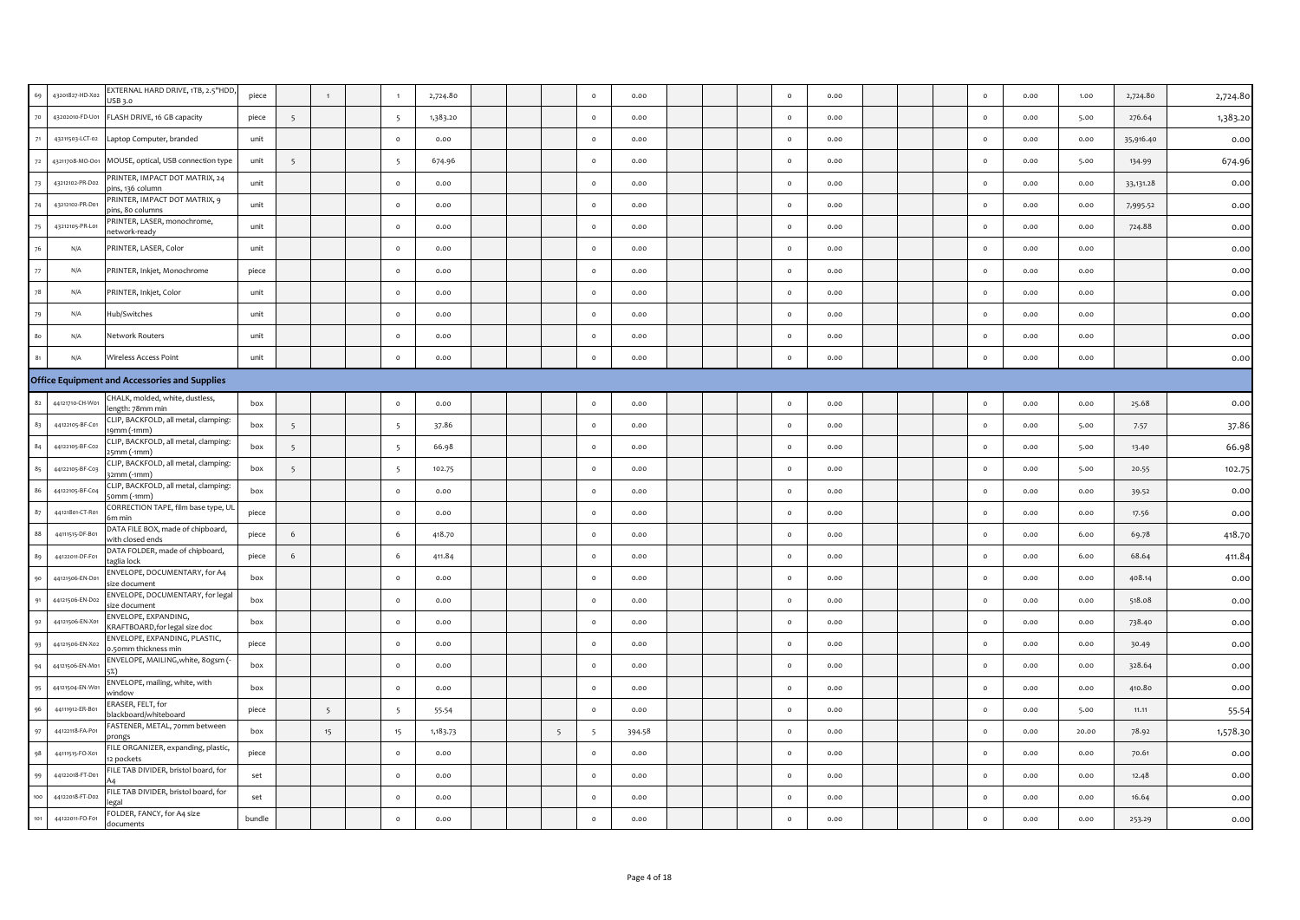| 69             | 43201827-HD-X02 | EXTERNAL HARD DRIVE, 1TB, 2.5"HDD,<br>USB 3.0          | piece  |                 | $\overline{1}$ | $\overline{1}$  | 2,724.80 |  |   | $\circ$         | 0.00   |  | $\circ$ | 0.00 |  | $\circ$ | 0.00 | 1.00  | 2,724.80  | 2,724.80 |
|----------------|-----------------|--------------------------------------------------------|--------|-----------------|----------------|-----------------|----------|--|---|-----------------|--------|--|---------|------|--|---------|------|-------|-----------|----------|
| 70             | 43202010-FD-U01 | FLASH DRIVE, 16 GB capacity                            | piece  | 5               |                | $5\overline{5}$ | 1,383.20 |  |   | $\circ$         | 0.00   |  | $\circ$ | 0.00 |  | $\circ$ | 0.00 | 5.00  | 276.64    | 1,383.20 |
| 71             | 43211503-LCT-02 | Laptop Computer, branded                               | unit   |                 |                | $\circ$         | 0.00     |  |   | $\circ$         | 0.00   |  | $\circ$ | 0.00 |  | $\circ$ | 0.00 | 0.00  | 35,916.40 | 0.00     |
| 72             | 43211708-MO-O01 | MOUSE, optical, USB connection type                    | unit   | $5\overline{5}$ |                | 5               | 674.96   |  |   | $\circ$         | 0.00   |  | $\circ$ | 0.00 |  | $\circ$ | 0.00 | 5.00  | 134.99    | 674.96   |
| 73             | 43212102-PR-D02 | PRINTER, IMPACT DOT MATRIX, 24<br>oins, 136 column     | unit   |                 |                | $\circ$         | 0.00     |  |   | $\circ$         | 0.00   |  | $\circ$ | 0.00 |  | $\circ$ | 0.00 | 0.00  | 33,131.28 | 0.00     |
| 74             | 43212102-PR-D01 | PRINTER, IMPACT DOT MATRIX, 9<br>ins, 80 columns       | unit   |                 |                | $\circ$         | 0.00     |  |   | $\circ$         | 0.00   |  | $\circ$ | 0.00 |  | $\circ$ | 0.00 | 0.00  | 7,995.52  | 0.00     |
| 75             | 43212105-PR-L01 | PRINTER, LASER, monochrome,<br>etwork-ready            | unit   |                 |                | $\circ$         | 0.00     |  |   | $\circ$         | 0.00   |  | $\circ$ | 0.00 |  | $\circ$ | 0.00 | 0.00  | 724.88    | 0.00     |
| 76             | N/A             | PRINTER, LASER, Color                                  | unit   |                 |                | $\circ$         | 0.00     |  |   | $\circ$         | 0.00   |  | $\circ$ | 0.00 |  | $\circ$ | 0.00 | 0.00  |           | 0.00     |
| $77\,$         | N/A             | PRINTER, Inkjet, Monochrome                            | piece  |                 |                | $\circ$         | 0.00     |  |   | $\circ$         | 0.00   |  | $\circ$ | 0.00 |  | $\circ$ | 0.00 | 0.00  |           | 0.00     |
| $78\,$         | N/A             | PRINTER, Inkjet, Color                                 | unit   |                 |                | $\mathsf{o}$    | 0.00     |  |   | $\circ$         | 0.00   |  | $\circ$ | 0.00 |  | $\circ$ | 0.00 | 0.00  |           | 0.00     |
| 79             | N/A             | Hub/Switches                                           | unit   |                 |                | $\circ$         | 0.00     |  |   | $\circ$         | 0.00   |  | $\circ$ | 0.00 |  | $\circ$ | 0.00 | 0.00  |           | 0.00     |
| 80             | N/A             | Network Routers                                        | unit   |                 |                | $\circ$         | 0.00     |  |   | $\circ$         | 0.00   |  | $\circ$ | 0.00 |  | $\circ$ | 0.00 | 0.00  |           | 0.00     |
| 8 <sub>1</sub> | N/A             | Wireless Access Point                                  | unit   |                 |                | $\circ$         | 0.00     |  |   | $\circ$         | 0.00   |  | $\circ$ | 0.00 |  | $\circ$ | 0.00 | 0.00  |           | 0.00     |
|                |                 | <b>Office Equipment and Accessories and Supplies</b>   |        |                 |                |                 |          |  |   |                 |        |  |         |      |  |         |      |       |           |          |
| 82             | 44121710-CH-W01 | CHALK, molded, white, dustless,<br>ength: 78mm min     | box    |                 |                | $\mathsf{o}$    | 0.00     |  |   | $\circ$         | 0.00   |  | $\circ$ | 0.00 |  | $\circ$ | 0.00 | 0.00  | 25.68     | 0.00     |
| 83             | 44122105-BF-C01 | CLIP, BACKFOLD, all metal, clamping:<br>9mm (-1mm)     | box    | 5               |                | $5\overline{ }$ | 37.86    |  |   | $\circ$         | 0.00   |  | $\circ$ | 0.00 |  | $\circ$ | 0.00 | 5.00  | 7.57      | 37.86    |
| 84             | 44122105-BF-C02 | CLIP, BACKFOLD, all metal, clamping:<br>smm (-1mm)     | box    | -5              |                | 5               | 66.98    |  |   | $\circ$         | 0.00   |  | $\circ$ | 0.00 |  | $\circ$ | 0.00 | 5.00  | 13.40     | 66.98    |
| 85             | 44122105-BF-C03 | CLIP, BACKFOLD, all metal, clamping:<br>32mm (-1mm)    | box    | $5\overline{5}$ |                | 5               | 102.75   |  |   | $\circ$         | 0.00   |  | $\circ$ | 0.00 |  | $\circ$ | 0.00 | 5.00  | 20.55     | 102.75   |
| 86             | 44122105-BF-C04 | CLIP, BACKFOLD, all metal, clamping:<br>50mm (-1mm)    | box    |                 |                | $\circ$         | 0.00     |  |   | $\circ$         | 0.00   |  | $\circ$ | 0.00 |  | $\circ$ | 0.00 | 0.00  | 39.52     | 0.00     |
| 87             | 44121801-CT-R01 | CORRECTION TAPE, film base type, UL<br>im min          | piece  |                 |                | $\mathsf{o}$    | 0.00     |  |   | $\circ$         | 0.00   |  | $\circ$ | 0.00 |  | $\circ$ | 0.00 | 0.00  | 17.56     | 0.00     |
| 88             | 44111515-DF-B01 | DATA FILE BOX, made of chipboard,<br>vith closed ends  | piece  | 6               |                | 6               | 418.70   |  |   | $\circ$         | 0.00   |  | $\circ$ | 0.00 |  | $\circ$ | 0.00 | 6.00  | 69.78     | 418.70   |
| 89             | 44122011-DF-F01 | DATA FOLDER, made of chipboard,<br>aglia lock          | piece  | 6               |                | 6               | 411.84   |  |   | $\circ$         | 0.00   |  | $\circ$ | 0.00 |  | $\circ$ | 0.00 | 6.00  | 68.64     | 411.84   |
| 90             | 44121506-EN-Do  | ENVELOPE, DOCUMENTARY, for A4<br>size document         | box    |                 |                | $\circ$         | 0.00     |  |   | $\circ$         | 0.00   |  | $\circ$ | 0.00 |  | $\circ$ | 0.00 | 0.00  | 408.14    | 0.00     |
| 91             | 44121506-EN-D02 | ENVELOPE, DOCUMENTARY, for lega<br>ize document        | box    |                 |                | $\circ$         | 0.00     |  |   | $\circ$         | 0.00   |  | $\circ$ | 0.00 |  | $\circ$ | 0.00 | 0.00  | 518.08    | 0.00     |
| 92             | 44121506-EN-X01 | ENVELOPE, EXPANDING,<br>KRAFTBOARD, for legal size doc | box    |                 |                | $\circ$         | 0.00     |  |   | $\circ$         | 0.00   |  | $\circ$ | 0.00 |  | $\circ$ | 0.00 | 0.00  | 738.40    | 0.00     |
| 93             | 44121506-EN-X02 | ENVELOPE, EXPANDING, PLASTIC,<br>.50mm thickness min   | piece  |                 |                | $\circ$         | 0.00     |  |   | $\circ$         | 0.00   |  | $\circ$ | 0.00 |  | $\circ$ | 0.00 | 0.00  | 30.49     | 0.00     |
| 94             | 44121506-EN-Mo  | ENVELOPE, MAILING, white, 8ogsm (                      | box    |                 |                | $\circ$         | 0.00     |  |   | $\circ$         | 0.00   |  | $\circ$ | 0.00 |  | $\circ$ | 0.00 | 0.00  | 328.64    | 0.00     |
| 95             | 44121504-EN-W01 | ENVELOPE, mailing, white, with<br>window               | box    |                 |                | $\circ$         | 0.00     |  |   | $\circ$         | 0.00   |  | $\circ$ | 0.00 |  | $\circ$ | 0.00 | 0.00  | 410.80    | 0.00     |
| 96             | 44111912-ER-B01 | ERASER, FELT, for<br>olackboard/whiteboard             | piece  |                 | 5              | $5\overline{5}$ | 55-54    |  |   | $\circ$         | 0.00   |  | $\circ$ | 0.00 |  | $\circ$ | 0.00 | 5.00  | 11.11     | 55.54    |
| 97             | 44122118-FA-P01 | FASTENER, METAL, 70mm between<br>rongs                 | box    |                 | 15             | 15              | 1,183.73 |  | 5 | $5\overline{5}$ | 394.58 |  | $\circ$ | 0.00 |  | $\circ$ | 0.00 | 20.00 | 78.92     | 1,578.30 |
| 98             | 44111515-FO-X01 | FILE ORGANIZER, expanding, plastic,<br>2 pockets       | piece  |                 |                | $\mathsf{o}$    | 0.00     |  |   | $\circ$         | 0.00   |  | $\circ$ | 0.00 |  | $\circ$ | 0.00 | 0.00  | 70.61     | 0.00     |
| 99             | 44122018-FT-D01 | FILE TAB DIVIDER, bristol board, for                   | set    |                 |                | $\circ$         | 0.00     |  |   | $\circ$         | 0.00   |  | $\circ$ | 0.00 |  | $\circ$ | 0.00 | 0.00  | 12.48     | 0.00     |
| 100            | 44122018-FT-D02 | FILE TAB DIVIDER, bristol board, for<br>legal          | set    |                 |                | $\circ$         | 0.00     |  |   | $\circ$         | 0.00   |  | $\circ$ | 0.00 |  | $\circ$ | 0.00 | 0.00  | 16.64     | 0.00     |
| 101            | 44122011-FO-F01 | FOLDER, FANCY, for A4 size<br>documents                | bundle |                 |                | $\circ$         | 0.00     |  |   | $\circ$         | 0.00   |  | $\circ$ | 0.00 |  | $\circ$ | 0.00 | 0.00  | 253.29    | 0.00     |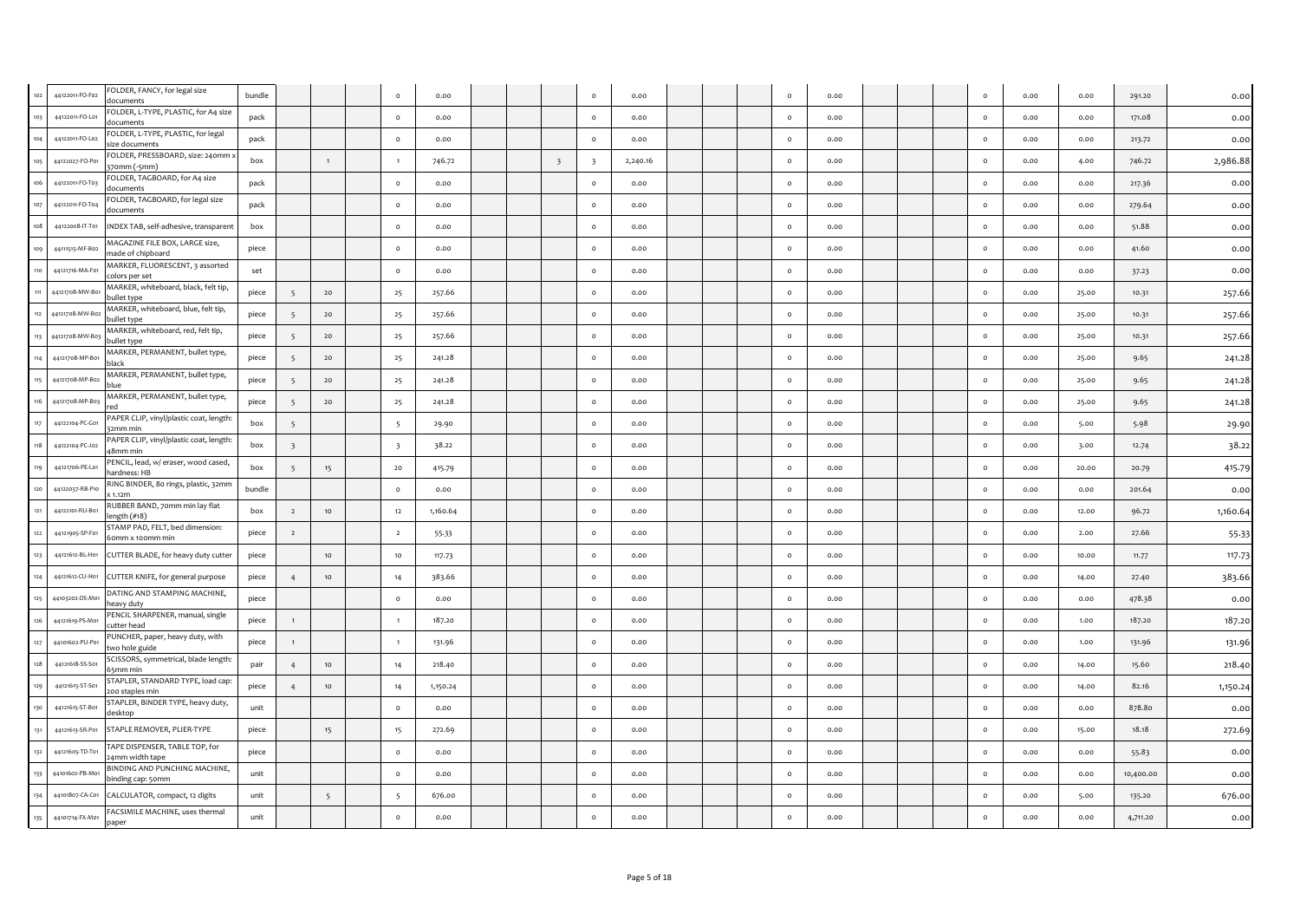| 102   | 44122011-FO-F02 | FOLDER, FANCY, for legal size<br>documents           | bundle |                 |                 | $\circ$                 | 0.00     |  |                         | $\circ$                  | 0.00     |  | $\circ$  | 0.00 |  | $\circ$      | 0.00 | 0.00  | 291.20    | 0.00     |
|-------|-----------------|------------------------------------------------------|--------|-----------------|-----------------|-------------------------|----------|--|-------------------------|--------------------------|----------|--|----------|------|--|--------------|------|-------|-----------|----------|
| 103   | 44122011-FO-L01 | FOLDER, L-TYPE, PLASTIC, for A4 size<br>tocuments    | pack   |                 |                 | $\circ$                 | 0.00     |  |                         | $\circ$                  | 0.00     |  | $\circ$  | 0.00 |  | $\circ$      | 0.00 | 0.00  | 171.08    | 0.00     |
| 104   | 44122011-FO-L02 | FOLDER, L-TYPE, PLASTIC, for legal<br>ize documents  | pack   |                 |                 | $\circ$                 | 0.00     |  |                         | $\circ$                  | 0.00     |  | $\circ$  | 0.00 |  | $\circ$      | 0.00 | 0.00  | 213.72    | 0.00     |
| 105   | 44122027-FO-P01 | OLDER, PRESSBOARD, size: 240mm :<br>;70mm (-5mm)     | box    |                 |                 | $\overline{1}$          | 746.72   |  | $\overline{\mathbf{3}}$ | $\overline{\phantom{a}}$ | 2,240.16 |  | $\circ$  | 0.00 |  | $\circ$      | 0.00 | 4.00  | 746.72    | 2,986.88 |
| 106   | 44122011-FO-T03 | OLDER, TAGBOARD, for A4 size<br>locuments            | pack   |                 |                 | $\circ$                 | 0.00     |  |                         | $\circ$                  | 0.00     |  | $\circ$  | 0.00 |  | $\circ$      | 0.00 | 0.00  | 217.36    | 0.00     |
| 107   | 44122011-FO-T04 | OLDER, TAGBOARD, for legal size<br>documents         | pack   |                 |                 | $\circ$                 | 0.00     |  |                         | $\circ$                  | 0.00     |  | $\circ$  | 0.00 |  | $\circ$      | 0.00 | 0.00  | 279.64    | 0.00     |
| 108   | 44122008-IT-T01 | INDEX TAB, self-adhesive, transparent                | box    |                 |                 | $\circ$                 | 0.00     |  |                         | $\circ$                  | 0.00     |  | $\circ$  | 0.00 |  | $\circ$      | 0.00 | 0.00  | 51.88     | 0.00     |
| 109   | 44111515-MF-B02 | MAGAZINE FILE BOX, LARGE size,<br>nade of chipboard  | piece  |                 |                 | $\circ$                 | 0.00     |  |                         | $\circ$                  | 0.00     |  | $\circ$  | 0.00 |  | $\circ$      | 0.00 | 0.00  | 41.60     | 0.00     |
| 110   | 44121716-MA-F01 | MARKER, FLUORESCENT, 3 assorted<br>colors per set    | set    |                 |                 | $\circ$                 | 0.00     |  |                         | $\circ$                  | 0.00     |  | $\circ$  | 0.00 |  | $\circ$      | 0.00 | 0.00  | 37.23     | 0.00     |
| 111   | 44121708-MW-Bo  | MARKER, whiteboard, black, felt tip,<br>vullet tvpe  | piece  | - 5             | 20              | 25                      | 257.66   |  |                         | $\circ$                  | 0.00     |  | $\circ$  | 0.00 |  | $\circ$      | 0.00 | 25.00 | 10.31     | 257.66   |
| 112   | 44121708-MW-B02 | MARKER, whiteboard, blue, felt tip,<br>ullet type    | piece  | 5 <sup>5</sup>  | 20              | 25                      | 257.66   |  |                         | $\circ$                  | 0.00     |  | $\circ$  | 0.00 |  | $\circ$      | 0.00 | 25.00 | 10.31     | 257.66   |
| 113   | 44121708-MW-Bo  | MARKER, whiteboard, red, felt tip,<br>ullet type     | piece  | $5\overline{5}$ | 20              | 25                      | 257.66   |  |                         | $\circ$                  | 0.00     |  | $\circ$  | 0.00 |  | $\circ$      | 0.00 | 25.00 | 10.31     | 257.66   |
| 114   | 44121708-MP-B01 | MARKER, PERMANENT, bullet type,<br>plack             | piece  | 5               | 20              | 25                      | 241.28   |  |                         | $\circ$                  | 0.00     |  | $\circ$  | 0.00 |  | $\circ$      | 0.00 | 25.00 | 9.65      | 241.28   |
| 115   | 44121708-MP-B02 | MARKER, PERMANENT, bullet type,                      | piece  | - 5             | 20              | 25                      | 241.28   |  |                         | $\circ$                  | 0.00     |  | $\circ$  | 0.00 |  | $\circ$      | 0.00 | 25.00 | 9.65      | 241.28   |
| 116   | 44121708-MP-B03 | MARKER, PERMANENT, bullet type,                      | piece  | -5              | 20              | 25                      | 241.28   |  |                         | $\circ$                  | 0.00     |  | $\circ$  | 0.00 |  | $\circ$      | 0.00 | 25.00 | 9.65      | 241.28   |
| 117   | 44122104-PC-G01 | PAPER CLIP, vinyl/plastic coat, length:<br>2mm min   | box    | $5^{\circ}$     |                 | $\overline{5}$          | 29.90    |  |                         | $\circ$                  | 0.00     |  | $\circ$  | 0.00 |  | $\circ$      | 0.00 | 5.00  | 5.98      | 29.90    |
| 118   | 44122104-PC-J02 | PAPER CLIP, vinyl/plastic coat, length:<br>48mm min  | box    | $\overline{3}$  |                 | $\overline{\mathbf{3}}$ | 38.22    |  |                         | $\circ$                  | 0.00     |  | $\circ$  | 0.00 |  | $\circ$      | 0.00 | 3.00  | 12.74     | 38.22    |
| 119   | 44121706-PE-L01 | PENCIL, lead, w/ eraser, wood cased,<br>าardness: HB | box    |                 | 15              | 20                      | 415.79   |  |                         | $\circ$                  | 0.00     |  | $\circ$  | 0.00 |  | $\circ$      | 0.00 | 20.00 | 20.79     | 415.79   |
| 120   | 44122037-RB-P10 | RING BINDER, 80 rings, plastic, 32mm<br>1.12m        | bundle |                 |                 | $\circ$                 | 0.00     |  |                         | $\circ$                  | 0.00     |  | $\circ$  | 0.00 |  | $\circ$      | 0.00 | 0.00  | 201.64    | 0.00     |
| 121   | 44122101-RU-Bo  | RUBBER BAND, 70mm min lay flat<br>length(f#18)       | box    | $\overline{2}$  | 10              | 12                      | 1,160.64 |  |                         | $\circ$                  | 0.00     |  | $\circ$  | 0.00 |  | $\circ$      | 0.00 | 12.00 | 96.72     | 1,160.64 |
| $122$ | 44121905-SP-F01 | TAMP PAD, FELT, bed dimension:<br>omm x 100mm min    | piece  | $\overline{2}$  |                 | $\overline{2}$          | 55-33    |  |                         | $\circ$                  | 0.00     |  | $\circ$  | 0.00 |  | $\circ$      | 0.00 | 2.00  | 27.66     | 55-33    |
| 123   | 44121612-BL-H01 | CUTTER BLADE, for heavy duty cutter                  | piece  |                 | 10              | 10                      | 117.73   |  |                         | $\circ$                  | 0.00     |  | $\circ$  | 0.00 |  | $\circ$      | 0.00 | 10.00 | 11.77     | 117.73   |
| 124   | 44121612-CU-H01 | CUTTER KNIFE, for general purpose                    | piece  | $\overline{4}$  | 10              | 14                      | 383.66   |  |                         | $\circ$                  | 0.00     |  | $\circ$  | 0.00 |  | $\circ$      | 0.00 | 14.00 | 27.40     | 383.66   |
| 125   | 44103202-DS-Mo  | DATING AND STAMPING MACHINE,<br>eavy duty            | piece  |                 |                 | $\circ$                 | 0.00     |  |                         | $\circ$                  | 0.00     |  | $\circ$  | 0.00 |  | $\circ$      | 0.00 | 0.00  | 478.38    | 0.00     |
| 126   | 44121619-PS-M01 | PENCIL SHARPENER, manual, single<br>cutter head      | piece  |                 |                 | $\overline{1}$          | 187.20   |  |                         | $\circ$                  | 0.00     |  | $\circ$  | 0.00 |  | $\circ$      | 0.00 | 1.00  | 187.20    | 187.20   |
| 127   | 44101602-PU-P01 | UNCHER, paper, heavy duty, with<br>wo hole guide     | piece  |                 |                 | $\overline{1}$          | 131.96   |  |                         | $\circ$                  | 0.00     |  | $\circ$  | 0.00 |  | $\circ$      | 0.00 | 1.00  | 131.96    | 131.96   |
| 128   | 44121618-SS-S01 | SCISSORS, symmetrical, blade length:<br>ismm min     | pair   |                 | 10 <sup>1</sup> | 14                      | 218.40   |  |                         | $\Omega$                 | 0.00     |  | $\Omega$ | 0.00 |  | $\Omega$     | 0.00 | 14.00 | 15.60     | 218.40   |
| 129   | 44121615-ST-S01 | STAPLER, STANDARD TYPE, load cap:<br>00 staples min  | piece  |                 | 10              | 14                      | 1,150.24 |  |                         | $\circ$                  | 0.00     |  | $\circ$  | 0.00 |  | $\circ$      | 0.00 | 14.00 | 82.16     | 1,150.24 |
| 130   | 44121615-ST-B01 | STAPLER, BINDER TYPE, heavy duty,<br>lesktop         | unit   |                 |                 | $\circ$                 | 0.00     |  |                         | $\circ$                  | 0.00     |  | $\circ$  | 0.00 |  | $\circ$      | 0.00 | 0.00  | 878.80    | 0.00     |
| 131   | 44121613-SR-P01 | STAPLE REMOVER, PLIER-TYPE                           | piece  |                 | 15              | 15                      | 272.69   |  |                         | $\Omega$                 | 0.00     |  | $\Omega$ | 0.00 |  | $\circ$      | 0.00 | 15.00 | 18.18     | 272.69   |
| 132   | 44121605-TD-T01 | TAPE DISPENSER, TABLE TOP, for<br>4mm width tape     | piece  |                 |                 | $\circ$                 | 0.00     |  |                         | $\circ$                  | 0.00     |  | $\circ$  | 0.00 |  | $\circ$      | 0.00 | 0.00  | 55.83     | 0.00     |
| 133   | 44101602-PB-Mo  | BINDING AND PUNCHING MACHINE,<br>oinding cap: 50mm   | unit   |                 |                 | $\circ$                 | 0.00     |  |                         | $\circ$                  | 0.00     |  | $\circ$  | 0.00 |  | $\circ$      | 0.00 | 0.00  | 10,400.00 | 0.00     |
| 134   | 44101807-CA-C01 | CALCULATOR, compact, 12 digits                       | unit   |                 | $\overline{5}$  | 5                       | 676.00   |  |                         | $\circ$                  | 0.00     |  | $\circ$  | 0.00 |  | $\circ$      | 0.00 | 5.00  | 135.20    | 676.00   |
| 135   | 44101714-FX-M01 | ACSIMILE MACHINE, uses thermal<br>paper              | unit   |                 |                 | $\mathsf{o}$            | 0.00     |  |                         | $\circ$                  | 0.00     |  | $\circ$  | 0.00 |  | $\mathsf{o}$ | 0.00 | 0.00  | 4,711.20  | 0.00     |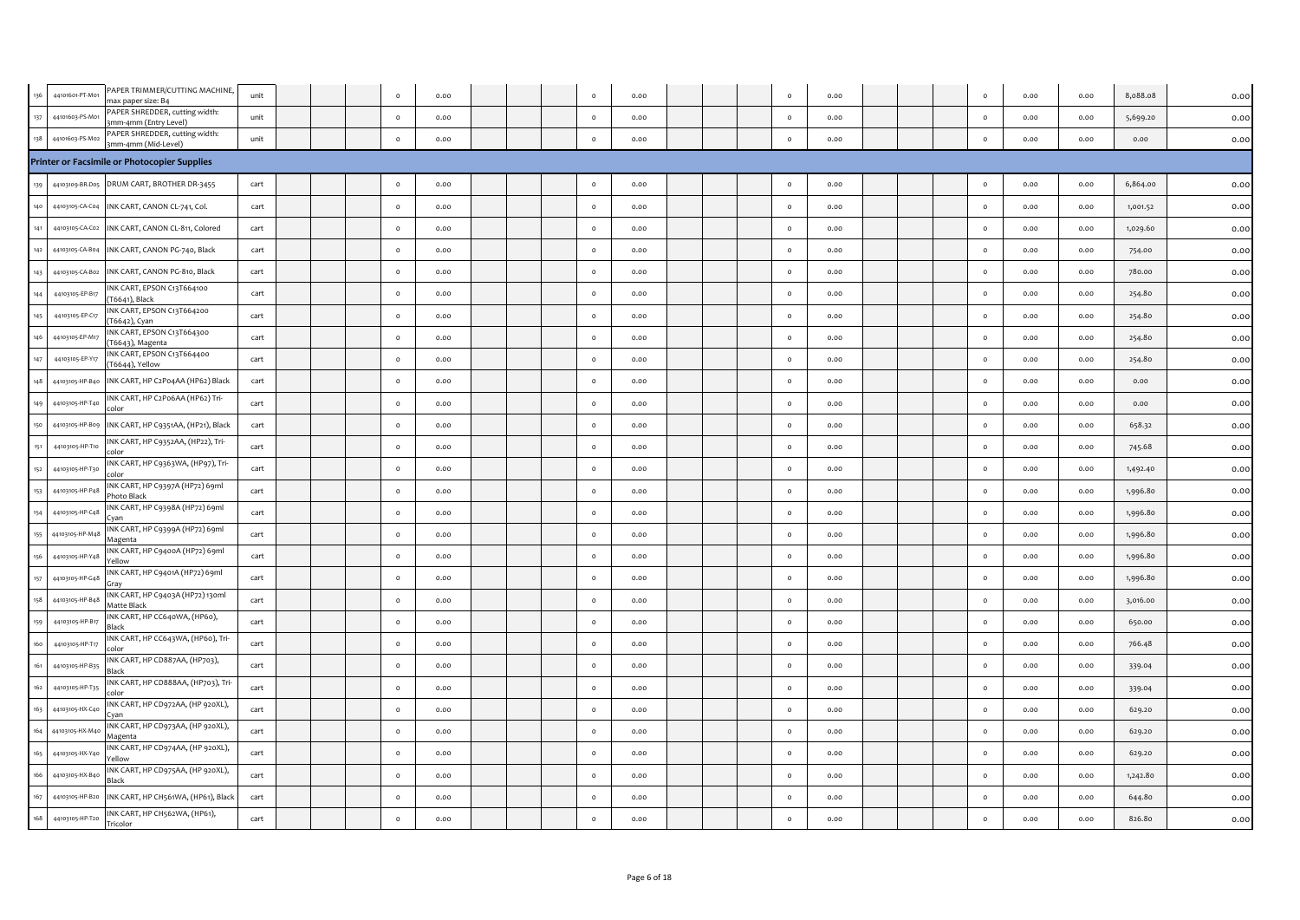|     | 44101601-PT-M01 | PAPER TRIMMER/CUTTING MACHINE,<br>max paper size: B4    | unit |  | $\circ$  | 0.00 |  |          | 0.00 |  |          | 0.00 |  | $\circ$  | 0.00 | 0.00 | 8,088.08 | 0.00 |
|-----|-----------------|---------------------------------------------------------|------|--|----------|------|--|----------|------|--|----------|------|--|----------|------|------|----------|------|
| 137 | 44101603-PS-M01 | PAPER SHREDDER, cutting width:<br>3mm-4mm (Entry Level) | unit |  | $\circ$  | 0.00 |  | $\circ$  | 0.00 |  | $\circ$  | 0.00 |  | $\circ$  | 0.00 | 0.00 | 5,699.20 | 0.00 |
| 138 | 44101603-PS-M02 | PAPER SHREDDER, cutting width:<br>3mm-4mm (Mid-Level)   | unit |  | $\circ$  | 0.00 |  | $\circ$  | 0.00 |  | $\circ$  | 0.00 |  | $\circ$  | 0.00 | 0.00 | 0.00     | 0.00 |
|     |                 | Printer or Facsimile or Photocopier Supplies            |      |  |          |      |  |          |      |  |          |      |  |          |      |      |          |      |
| 139 | 44103109-BR-D05 | DRUM CART, BROTHER DR-3455                              | cart |  | $\circ$  | 0.00 |  | $\circ$  | 0.00 |  | $\circ$  | 0.00 |  | $\circ$  | 0.00 | 0.00 | 6,864.00 | 0.00 |
| 140 | 44103105-CA-C04 | INK CART, CANON CL-741, Col.                            | cart |  | $\circ$  | 0.00 |  | $\circ$  | 0.00 |  | $\circ$  | 0.00 |  | $\circ$  | 0.00 | 0.00 | 1,001.52 | 0.00 |
| 141 | 44103105-CA-C02 | INK CART, CANON CL-811, Colored                         | cart |  | $\circ$  | 0.00 |  | $\Omega$ | 0.00 |  | $\circ$  | 0.00 |  | $\circ$  | 0.00 | 0.00 | 1,029.60 | 0.00 |
| 142 | 44103105-CA-B04 | INK CART, CANON PG-740, Black                           | cart |  | $\circ$  | 0.00 |  | $\circ$  | 0.00 |  | $\circ$  | 0.00 |  | $\circ$  | 0.00 | 0.00 | 754.00   | 0.00 |
| 143 | 44103105-CA-B02 | INK CART, CANON PG-810, Black                           | cart |  | $\circ$  | 0.00 |  | $\Omega$ | 0.00 |  | $\Omega$ | 0.00 |  | $\circ$  | 0.00 | 0.00 | 780.00   | 0.00 |
| 144 | 44103105-EP-B17 | INK CART, EPSON C13T664100<br>T6641), Black             | cart |  | $\circ$  | 0.00 |  | $\Omega$ | 0.00 |  | $\circ$  | 0.00 |  | $\circ$  | 0.00 | 0.00 | 254.80   | 0.00 |
| 145 | 44103105-EP-C17 | INK CART, EPSON C13T664200<br>T6642), Cyan              | cart |  | $\circ$  | 0.00 |  | $\circ$  | 0.00 |  | $\circ$  | 0.00 |  | $\circ$  | 0.00 | 0.00 | 254.80   | 0.00 |
|     | 44103105-EP-M17 | INK CART, EPSON C13T664300<br>T6643), Magenta           | cart |  | $\Omega$ | 0.00 |  | $\Omega$ | 0.00 |  | $\circ$  | 0.00 |  | $\circ$  | 0.00 | 0.00 | 254.80   | 0.00 |
| 147 | 44103105-EP-Y17 | INK CART, EPSON C13T664400<br>(T6644), Yellow           | cart |  | $\circ$  | 0.00 |  | $\Omega$ | 0.00 |  | $\circ$  | 0.00 |  | $\circ$  | 0.00 | 0.00 | 254.80   | 0.00 |
| 148 | 44103105-HP-B40 | INK CART, HP C2P04AA (HP62) Black                       | cart |  | $\circ$  | 0.00 |  | $\Omega$ | 0.00 |  | $\circ$  | 0.00 |  | $\circ$  | 0.00 | 0.00 | 0.00     | 0.00 |
| 149 | 44103105-HP-T40 | INK CART, HP C2P06AA (HP62) Tri-                        | cart |  | $\Omega$ | 0.00 |  |          | 0.00 |  | $\circ$  | 0.00 |  | $\circ$  | 0.00 | 0.00 | 0.00     | 0.00 |
| 150 | 44103105-HP-Bog | INK CART, HP C9351AA, (HP21), Black                     | cart |  | $\circ$  | 0.00 |  | $\circ$  | 0.00 |  | $\circ$  | 0.00 |  | $\circ$  | 0.00 | 0.00 | 658.32   | 0.00 |
| 151 | 44103105-HP-T10 | INK CART, HP C9352AA, (HP22), Tri-                      | cart |  | $\circ$  | 0.00 |  | $\circ$  | 0.00 |  | $\circ$  | 0.00 |  | $\circ$  | 0.00 | 0.00 | 745.68   | 0.00 |
| 152 | 44103105-HP-T30 | INK CART, HP C9363WA, (HP97), Tri-                      | cart |  | $\circ$  | 0.00 |  |          | 0.00 |  | $\circ$  | 0.00 |  | $\circ$  | 0.00 | 0.00 | 1,492.40 | 0.00 |
| 153 | 44103105-HP-P48 | INK CART, HP C9397A (HP72) 69ml<br>hoto Black           | cart |  | $\circ$  | 0.00 |  | $\circ$  | 0.00 |  | $\circ$  | 0.00 |  | $\circ$  | 0.00 | 0.00 | 1,996.80 | 0.00 |
| 154 | 44103105-HP-C48 | INK CART, HP C9398A (HP72) 69ml                         | cart |  | $\Omega$ | 0.00 |  | $\Omega$ | 0.00 |  | $\Omega$ | 0.00 |  | $\circ$  | 0.00 | 0.00 | 1,996.80 | 0.00 |
| 155 | 44103105-HP-M48 | INK CART, HP C9399A (HP72) 69ml<br>Magenta              | cart |  | $\Omega$ | 0.00 |  | $\Omega$ | 0.00 |  | $\Omega$ | 0.00 |  | $\circ$  | 0.00 | 0.00 | 1,996.80 | 0.00 |
| 156 | 44103105-HP-Y48 | INK CART, HP C9400A (HP72) 69ml<br>'ellow               | cart |  | $\circ$  | 0.00 |  | $\circ$  | 0.00 |  | $\circ$  | 0.00 |  | $\circ$  | 0.00 | 0.00 | 1,996.80 | 0.00 |
| 157 | 44103105-HP-G48 | INK CART, HP C9401A (HP72) 69ml<br>Grav                 | cart |  | $\circ$  | 0.00 |  | $\Omega$ | 0.00 |  | $\circ$  | 0.00 |  | $\circ$  | 0.00 | 0.00 | 1,996.80 | 0.00 |
| 158 | 44103105-HP-B48 | INK CART, HP C9403A (HP72) 130ml<br>Matte Black         | cart |  | $\Omega$ | 0.00 |  | $\Omega$ | 0.00 |  | $\Omega$ | 0.00 |  | $\circ$  | 0.00 | 0.00 | 3,016.00 | 0.00 |
| 159 | 44103105-HP-B17 | INK CART, HP CC640WA, (HP60),<br>lack                   | cart |  | $\circ$  | 0.00 |  | $\Omega$ | 0.00 |  | $\circ$  | 0.00 |  | $\circ$  | 0.00 | 0.00 | 650.00   | 0.00 |
| 160 | 44103105-HP-T17 | INK CART, HP CC643WA, (HP60), Tri-                      | cart |  | $\circ$  | 0.00 |  | $\Omega$ | 0.00 |  | $\circ$  | 0.00 |  | $\circ$  | 0.00 | 0.00 | 766.48   | 0.00 |
| 161 | 44103105-HP-B35 | INK CART, HP CD887AA, (HP703),<br>Black                 | cart |  | $\circ$  | 0.00 |  | $\circ$  | 0.00 |  | $\circ$  | 0.00 |  | $\circ$  | 0.00 | 0.00 | 339.04   | 0.00 |
| 162 | 44103105-HP-T35 | INK CART, HP CD888AA, (HP703), Tri-                     | cart |  | $\circ$  | 0.00 |  | $\circ$  | 0.00 |  | $\circ$  | 0.00 |  | $\circ$  | 0.00 | 0.00 | 339.04   | 0.00 |
|     | 44103105-HX-C40 | INK CART, HP CD972AA, (HP 920XL),                       | cart |  | $\circ$  | 0.00 |  |          | 0.00 |  | $\circ$  | 0.00 |  | $\circ$  | 0.00 | 0.00 | 629.20   | 0.00 |
| 164 | 44103105-HX-M4  | INK CART, HP CD973AA, (HP 920XL),<br>Magenta            | cart |  | $\circ$  | 0.00 |  | $\circ$  | 0.00 |  | $\circ$  | 0.00 |  | $\circ$  | 0.00 | 0.00 | 629.20   | 0.00 |
| 165 | 44103105-HX-Y40 | INK CART, HP CD974AA, (HP 920XL),<br>ellow              | cart |  | $\Omega$ | 0.00 |  | $\Omega$ | 0.00 |  | $\Omega$ | 0.00 |  | $\Omega$ | 0.00 | 0.00 | 629.20   | 0.00 |
| 166 | 44103105-HX-B40 | INK CART, HP CD975AA, (HP 920XL),<br>Black              | cart |  | $\Omega$ | 0.00 |  |          | 0.00 |  | $\Omega$ | 0.00 |  | $\circ$  | 0.00 | 0.00 | 1,242.80 | 0.00 |
| 167 | 44103105-HP-B20 | INK CART, HP CH561WA, (HP61), Black                     | cart |  | $\circ$  | 0.00 |  | $\circ$  | 0.00 |  | $\circ$  | 0.00 |  | $\circ$  | 0.00 | 0.00 | 644.80   | 0.00 |
| 168 | 44103105-HP-T20 | INK CART, HP CH562WA, (HP61),<br>Tricolor               | cart |  | $\circ$  | 0.00 |  | $\Omega$ | 0.00 |  | $\circ$  | 0.00 |  | $\circ$  | 0.00 | 0.00 | 826.80   | 0.00 |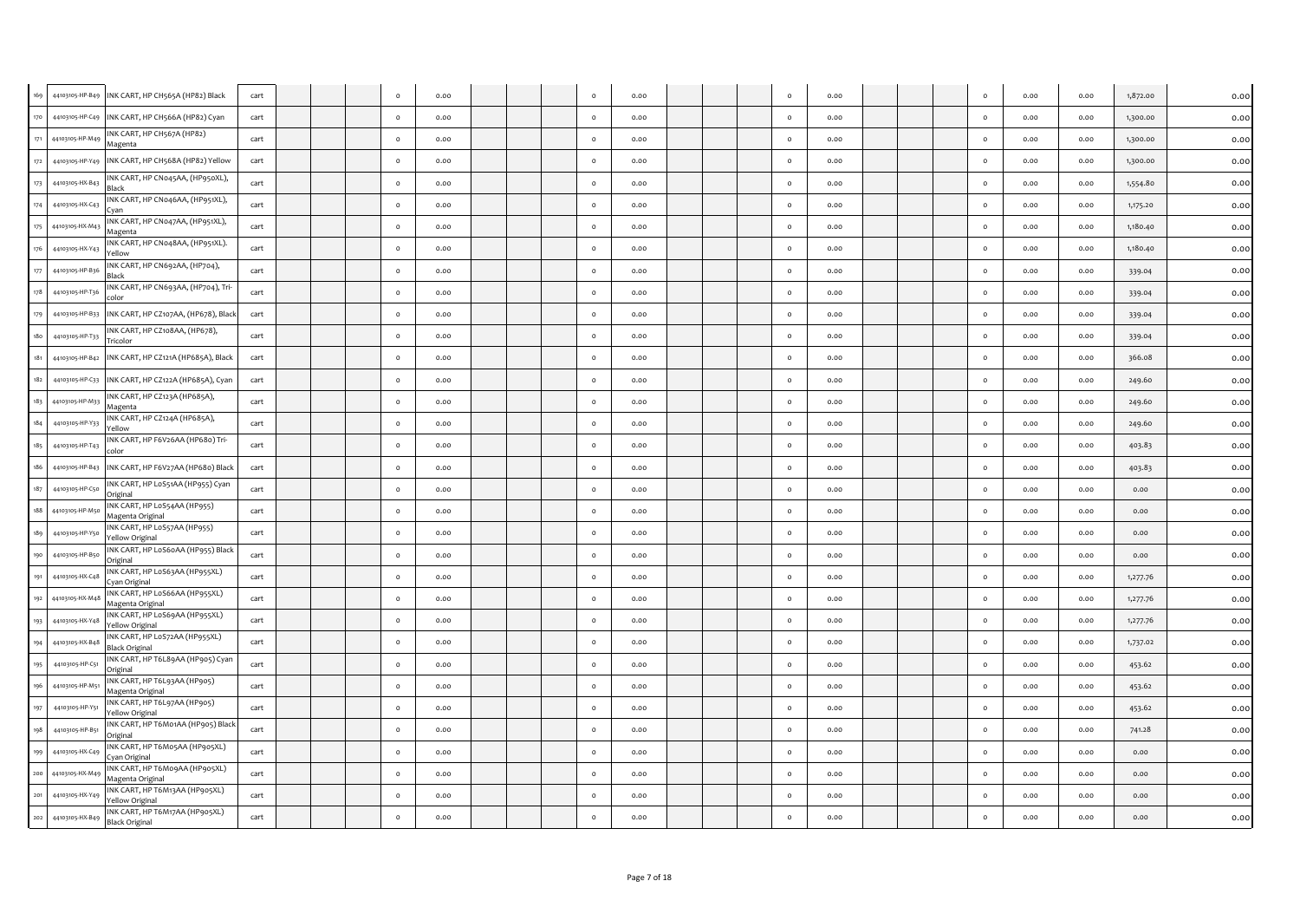|         | 44103105-HP-B49 | INK CART, HP CH565A (HP82) Black                        | cart |  |          | 0.00 |  | $\circ$  | 0.00 |  | $\circ$      | 0.00 |  | $\circ$  | 0.00 | 0.00 | 1,872.00 | 0.00 |
|---------|-----------------|---------------------------------------------------------|------|--|----------|------|--|----------|------|--|--------------|------|--|----------|------|------|----------|------|
| 170     | 44103105-HP-C49 | INK CART, HP CH566A (HP82) Cyan                         | cart |  |          | 0.00 |  | $\Omega$ | 0.00 |  | $\Omega$     | 0.00 |  | $\circ$  | 0.00 | 0.00 | 1,300.00 | 0.00 |
| 171     | 44103105-HP-M49 | INK CART, HP CH567A (HP82)<br>Magenta                   | cart |  | $\circ$  | 0.00 |  | $\circ$  | 0.00 |  | $\circ$      | 0.00 |  | $\circ$  | 0.00 | 0.00 | 1,300.00 | 0.00 |
| 172     | 44103105-HP-Y49 | INK CART, HP CH568A (HP82) Yellow                       | cart |  | $\circ$  | 0.00 |  | $\circ$  | 0.00 |  | $\mathsf{o}$ | 0.00 |  | $\circ$  | 0.00 | 0.00 | 1,300.00 | 0.00 |
| 173     | 44103105-HX-B43 | INK CART, HP CN045AA, (HP950XL),<br><b>Black</b>        | cart |  | $\circ$  | 0.00 |  | $\circ$  | 0.00 |  | $\circ$      | 0.00 |  | $\circ$  | 0.00 | 0.00 | 1,554.80 | 0.00 |
| 174     | 44103105-HX-C43 | INK CART, HP CN046AA, (HP951XL),<br>Cvan                | cart |  | $\circ$  | 0.00 |  | $\circ$  | 0.00 |  | $\circ$      | 0.00 |  | $\circ$  | 0.00 | 0.00 | 1,175.20 | 0.00 |
| 175     | 44103105-HX-M43 | INK CART, HP CN047AA, (HP951XL),<br>Magenta             | cart |  | $\circ$  | 0.00 |  | $\circ$  | 0.00 |  | $\circ$      | 0.00 |  | $\circ$  | 0.00 | 0.00 | 1,180.40 | 0.00 |
| 176     | 44103105-HX-Y43 | INK CART, HP CN048AA, (HP951XL).<br>Yellow              | cart |  | $\circ$  | 0.00 |  | $\circ$  | 0.00 |  | $\mathsf{o}$ | 0.00 |  | $\circ$  | 0.00 | 0.00 | 1,180.40 | 0.00 |
| 177     | 44103105-HP-B36 | INK CART, HP CN692AA, (HP704),<br>Black                 | cart |  | $\circ$  | 0.00 |  | $\circ$  | 0.00 |  | $\circ$      | 0.00 |  | $\circ$  | 0.00 | 0.00 | 339.04   | 0.00 |
| 178     | 44103105-HP-T36 | INK CART, HP CN693AA, (HP704), Tri-<br>alor:            | cart |  | $\Omega$ | 0.00 |  | $\Omega$ | 0.00 |  | $\circ$      | 0.00 |  | $\circ$  | 0.00 | 0.00 | 339.04   | 0.00 |
| 179     | 44103105-HP-B33 | INK CART, HP CZ107AA, (HP678), Black                    | cart |  | $\circ$  | 0.00 |  | $\circ$  | 0.00 |  | $\mathsf{o}$ | 0.00 |  | $\circ$  | 0.00 | 0.00 | 339.04   | 0.00 |
|         | 44103105-HP-T33 | INK CART, HP CZ108AA, (HP678),<br>Tricolor              | cart |  | $\circ$  | 0.00 |  | $\circ$  | 0.00 |  | $\circ$      | 0.00 |  | $\circ$  | 0.00 | 0.00 | 339.04   | 0.00 |
| 181     | 44103105-HP-B42 | INK CART, HP CZ121A (HP685A), Black                     | cart |  | $\Omega$ | 0.00 |  | $\circ$  | 0.00 |  | $\circ$      | 0.00 |  | $\circ$  | 0.00 | 0.00 | 366.08   | 0.00 |
| 182     | 44103105-HP-C33 | INK CART, HP CZ122A (HP685A), Cyan                      | cart |  | $\Omega$ | 0.00 |  | $\Omega$ | 0.00 |  | $\circ$      | 0.00 |  | $\Omega$ | 0.00 | 0.00 | 249.60   | 0.00 |
| 183     | 44103105-HP-M33 | INK CART, HP CZ123A (HP685A),<br>Magenta                | cart |  | $\circ$  | 0.00 |  | $\circ$  | 0.00 |  | $\circ$      | 0.00 |  | $\circ$  | 0.00 | 0.00 | 249.60   | 0.00 |
| 184     | 44103105-HP-Y33 | INK CART, HP CZ124A (HP685A),<br>Yellow                 | cart |  | $\circ$  | 0.00 |  | $\circ$  | 0.00 |  | $\mathsf{o}$ | 0.00 |  | $\circ$  | 0.00 | 0.00 | 249.60   | 0.00 |
| 185     | 44103105-HP-T43 | INK CART, HP F6V26AA (HP680) Tri-<br>color              | cart |  | $\Omega$ | 0.00 |  | $\circ$  | 0.00 |  | $\circ$      | 0.00 |  | $\circ$  | 0.00 | 0.00 | 403.83   | 0.00 |
| 186     | 44103105-HP-B43 | INK CART, HP F6V27AA (HP680) Black                      | cart |  | $\Omega$ | 0.00 |  | $\Omega$ | 0.00 |  | $\circ$      | 0.00 |  | $\circ$  | 0.00 | 0.00 | 403.83   | 0.00 |
| 187     | 44103105-HP-C50 | INK CART, HP LoS51AA (HP955) Cyan<br>Original           | cart |  | $\circ$  | 0.00 |  | $\circ$  | 0.00 |  | $\mathsf{o}$ | 0.00 |  | $\circ$  | 0.00 | 0.00 | 0.00     | 0.00 |
| 188     | 44103105-HP-M50 | INK CART, HP LoS54AA (HP955)<br>Magenta Original        | cart |  | $\circ$  | 0.00 |  | $\circ$  | 0.00 |  | $\circ$      | 0.00 |  | $\circ$  | 0.00 | 0.00 | 0.00     | 0.00 |
| 189     | 44103105-HP-Y50 | INK CART, HP LoS57AA (HP955)<br>Yellow Original         | cart |  | $\circ$  | 0.00 |  | $\circ$  | 0.00 |  | $\circ$      | 0.00 |  | $\circ$  | 0.00 | 0.00 | 0.00     | 0.00 |
| 190     | 44103105-HP-B50 | INK CART, HP LoS6oAA (HP955) Black<br>Original          | cart |  | $\Omega$ | 0.00 |  | $\circ$  | 0.00 |  | $\circ$      | 0.00 |  | $\circ$  | 0.00 | 0.00 | 0.00     | 0.00 |
|         | 44103105-HX-C48 | INK CART, HP LoS63AA (HP955XL)<br>Cyan Original         | cart |  | $\Omega$ | 0.00 |  | $\circ$  | 0.00 |  | $\circ$      | 0.00 |  | $\circ$  | 0.00 | 0.00 | 1,277.76 | 0.00 |
| 192     | 44103105-HX-M48 | INK CART, HP LoS66AA (HP955XL)<br>Magenta Original      | cart |  | $\circ$  | 0.00 |  | $\circ$  | 0.00 |  | $\circ$      | 0.00 |  | $\circ$  | 0.00 | 0.00 | 1,277.76 | 0.00 |
| 193     | 44103105-HX-Y48 | INK CART, HP LoS69AA (HP955XL)<br>Yellow Original       | cart |  | $\circ$  | 0.00 |  | $\circ$  | 0.00 |  | $\mathsf{o}$ | 0.00 |  | $\circ$  | 0.00 | 0.00 | 1,277.76 | 0.00 |
| 194     | 44103105-HX-B48 | INK CART, HP LoS72AA (HP955XL)<br><b>Black Original</b> | cart |  | $\circ$  | 0.00 |  | $\circ$  | 0.00 |  | $\circ$      | 0.00 |  | $\circ$  | 0.00 | 0.00 | 1,737.02 | 0.00 |
| 195     | 44103105-HP-C51 | INK CART, HP T6L89AA (HP905) Cyan<br>Original           | cart |  | $\Omega$ | 0.00 |  | $\Omega$ | 0.00 |  | $\circ$      | 0.00 |  | $\Omega$ | 0.00 | 0.00 | 453.62   | 0.00 |
|         | 44103105-HP-M5  | INK CART, HP T6L93AA (HP905)<br>Magenta Original        | cart |  | $\circ$  | 0.00 |  | $\circ$  | 0.00 |  | $\circ$      | 0.00 |  | $\circ$  | 0.00 | 0.00 | 453.62   | 0.00 |
| 197     | 44103105-HP-Y51 | INK CART, HP T6L97AA (HP905)<br>Yellow Original         | cart |  | $\circ$  | 0.00 |  | $\circ$  | 0.00 |  | $\circ$      | 0.00 |  | $\circ$  | 0.00 | 0.00 | 453.62   | 0.00 |
| 198     | 44103105-HP-B51 | INK CART, HP T6M01AA (HP905) Black<br>Original          | cart |  | $\circ$  | 0.00 |  | $\circ$  | 0.00 |  | $\circ$      | 0.00 |  | $\circ$  | 0.00 | 0.00 | 741.28   | 0.00 |
| 199     | 44103105-HX-C49 | INK CART, HP T6Mo5AA (HP905XL)<br>Cyan Original         | cart |  | $\circ$  | 0.00 |  | $\circ$  | 0.00 |  | $\circ$      | 0.00 |  | $\circ$  | 0.00 | 0.00 | 0.00     | 0.00 |
| 200     | 44103105-HX-M49 | INK CART, HP T6Mo9AA (HP905XL)<br>Magenta Original      | cart |  | $\circ$  | 0.00 |  | $\circ$  | 0.00 |  | $\circ$      | 0.00 |  | $\circ$  | 0.00 | 0.00 | 0.00     | 0.00 |
| 201     | 44103105-HX-Y49 | INK CART, HP T6M13AA (HP905XL)<br>Yellow Original       | cart |  | $\circ$  | 0.00 |  | $\circ$  | 0.00 |  | $\mathsf{o}$ | 0.00 |  | $\circ$  | 0.00 | 0.00 | 0.00     | 0.00 |
| $202\,$ | 44103105-HX-B49 | INK CART, HP T6M17AA (HP905XL)<br><b>Black Original</b> | cart |  | $\Omega$ | 0.00 |  | $\circ$  | 0.00 |  | $\mathsf{o}$ | 0.00 |  | $\circ$  | 0.00 | 0.00 | 0.00     | 0.00 |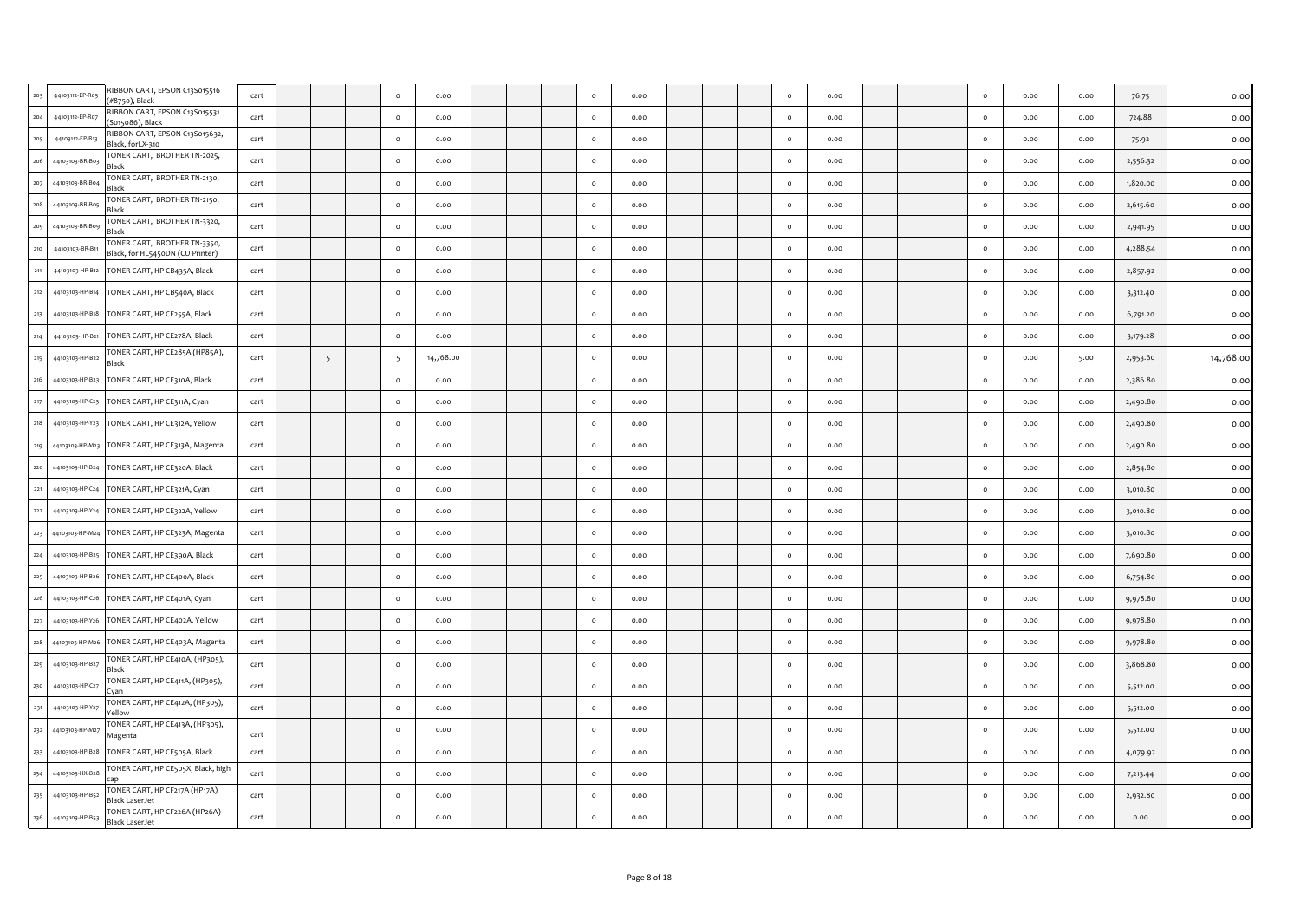|              | RIBBON CART, EPSON C13S015516<br>44103112-EP-R05<br>(#8750), Black                  | cart |                 | $\circ$  | 0.00      |  | $\circ$  | 0.00 |  | $\circ$      | 0.00 |  | $\circ$  | 0.00 | 0.00 | 76.75    | 0.00      |
|--------------|-------------------------------------------------------------------------------------|------|-----------------|----------|-----------|--|----------|------|--|--------------|------|--|----------|------|------|----------|-----------|
| 204          | RIBBON CART, EPSON C13S015531<br>44103112-EP-R07<br>(S015086), Black                | cart |                 | $\circ$  | 0.00      |  | $\circ$  | 0.00 |  | $\circ$      | 0.00 |  | $\circ$  | 0.00 | 0.00 | 724.88   | 0.00      |
| 205          | RIBBON CART, EPSON C13S015632,<br>44103112-EP-R13<br>Black, forLX-310               | cart |                 | $\circ$  | 0.00      |  | $\circ$  | 0.00 |  | $\circ$      | 0.00 |  | $\circ$  | 0.00 | 0.00 | 75.92    | 0.00      |
| 206          | TONER CART, BROTHER TN-2025,<br>44103103-BR-B03<br>Black                            | cart |                 | $\circ$  | 0.00      |  | $\circ$  | 0.00 |  | $\circ$      | 0.00 |  | $\circ$  | 0.00 | 0.00 | 2,556.32 | 0.00      |
| 207          | TONER CART, BROTHER TN-2130,<br>44103103-BR-B04<br>Black                            | cart |                 | $\circ$  | 0.00      |  | $\circ$  | 0.00 |  | $\circ$      | 0.00 |  | $\circ$  | 0.00 | 0.00 | 1,820.00 | 0.00      |
| 208          | TONER CART, BROTHER TN-2150,<br>44103103-BR-B05<br>Black                            | cart |                 | $\Omega$ | 0.00      |  | $\Omega$ | 0.00 |  | $\Omega$     | 0.00 |  | $\Omega$ | 0.00 | 0.00 | 2,615.60 | 0.00      |
|              | TONER CART, BROTHER TN-3320,<br>44103103-BR-Bog<br>Black                            | cart |                 | $\circ$  | 0.00      |  | $\circ$  | 0.00 |  | $\Omega$     | 0.00 |  | $\circ$  | 0.00 | 0.00 | 2,941.95 | 0.00      |
|              | TONER CART, BROTHER TN-3350,<br>44103103-BR-B11<br>Black, for HL5450DN (CU Printer) | cart |                 | $\circ$  | 0.00      |  | $\circ$  | 0.00 |  | $\circ$      | 0.00 |  | $\circ$  | 0.00 | 0.00 | 4,288.54 | 0.00      |
| 211          | 44103103-HP-B12<br>TONER CART, HP CB435A, Black                                     | cart |                 | $\circ$  | 0.00      |  | $\circ$  | 0.00 |  | $\circ$      | 0.00 |  | $\circ$  | 0.00 | 0.00 | 2,857.92 | 0.00      |
| 212          | TONER CART, HP CB540A, Black<br>44103103-HP-B14                                     | cart |                 | $\circ$  | 0.00      |  | $\circ$  | 0.00 |  | $\circ$      | 0.00 |  | $\circ$  | 0.00 | 0.00 | 3,312.40 | 0.00      |
| 213          | 44103103-HP-B18<br>TONER CART, HP CE255A, Black                                     | cart |                 | $\circ$  | 0.00      |  | $\circ$  | 0.00 |  | $\circ$      | 0.00 |  | $\circ$  | 0.00 | 0.00 | 6,791.20 | 0.00      |
|              | 44103103-HP-B21<br>TONER CART, HP CE278A, Black                                     | cart |                 | $\circ$  | 0.00      |  | $\circ$  | 0.00 |  | $\circ$      | 0.00 |  | $\circ$  | 0.00 | 0.00 | 3,179.28 | 0.00      |
| 215          | TONER CART, HP CE285A (HP85A),<br>44103103-HP-B22<br>Black                          | cart | $5\overline{5}$ | 5        | 14,768.00 |  | $\circ$  | 0.00 |  | $\circ$      | 0.00 |  | $\circ$  | 0.00 | 5.00 | 2,953.60 | 14,768.00 |
| 216          | TONER CART, HP CE310A, Black<br>44103103-HP-B23                                     | cart |                 | $\circ$  | 0.00      |  | $\circ$  | 0.00 |  | $\circ$      | 0.00 |  | $\circ$  | 0.00 | 0.00 | 2,386.80 | 0.00      |
| 217          | 44103103-HP-C23<br>TONER CART, HP CE311A, Cyan                                      | cart |                 | $\circ$  | 0.00      |  | $\circ$  | 0.00 |  | $\circ$      | 0.00 |  | $\circ$  | 0.00 | 0.00 | 2,490.80 | 0.00      |
| 218          | 44103103-HP-Y23<br>TONER CART, HP CE312A, Yellow                                    | cart |                 | $\circ$  | 0.00      |  | $\circ$  | 0.00 |  | $\mathsf{o}$ | 0.00 |  | $\circ$  | 0.00 | 0.00 | 2,490.80 | 0.00      |
| 219          | 44103103-HP-M23<br>TONER CART, HP CE313A, Magenta                                   | cart |                 | $\circ$  | 0.00      |  | $\circ$  | 0.00 |  | $\circ$      | 0.00 |  | $\circ$  | 0.00 | 0.00 | 2,490.80 | 0.00      |
| 220          | TONER CART, HP CE320A, Black<br>44103103-HP-B24                                     | cart |                 | $\circ$  | 0.00      |  | $\circ$  | 0.00 |  | $\circ$      | 0.00 |  | $\circ$  | 0.00 | 0.00 | 2,854.80 | 0.00      |
| 221          | 44103103-HP-C24<br>TONER CART, HP CE321A, Cyan                                      | cart |                 | $\circ$  | 0.00      |  | $\circ$  | 0.00 |  | $\circ$      | 0.00 |  | $\circ$  | 0.00 | 0.00 | 3,010.80 | 0.00      |
| $_{\rm 222}$ | TONER CART, HP CE322A, Yellow<br>44103103-HP-Y24                                    | cart |                 | $\circ$  | 0.00      |  | $\Omega$ | 0.00 |  | $\Omega$     | 0.00 |  | $\circ$  | 0.00 | 0.00 | 3,010.80 | 0.00      |
| 223          | 44103103-HP-M24<br>TONER CART, HP CE323A, Magenta                                   | cart |                 | $\circ$  | 0.00      |  | $\circ$  | 0.00 |  | $\circ$      | 0.00 |  | $\circ$  | 0.00 | 0.00 | 3,010.80 | 0.00      |
| 224          | TONER CART, HP CE390A, Black<br>44103103-HP-B25                                     | cart |                 | $\circ$  | 0.00      |  | $\circ$  | 0.00 |  | $\circ$      | 0.00 |  | $\circ$  | 0.00 | 0.00 | 7,690.80 | 0.00      |
| 225          | 44103103-HP-B26<br>TONER CART, HP CE400A, Black                                     | cart |                 | $\circ$  | 0.00      |  | $\circ$  | 0.00 |  | $\circ$      | 0.00 |  | $\circ$  | 0.00 | 0.00 | 6,754.80 | 0.00      |
| 226          | 44103103-HP-C26 TONER CART, HP CE401A, Cyan                                         | cart |                 | $\circ$  | 0.00      |  | $\circ$  | 0.00 |  | $\circ$      | 0.00 |  | $\circ$  | 0.00 | 0.00 | 9,978.80 | 0.00      |
| 227          | 44103103-HP-Y26<br>TONER CART, HP CE402A, Yellow                                    | cart |                 | $\circ$  | 0.00      |  | $\circ$  | 0.00 |  | $\circ$      | 0.00 |  | $\circ$  | 0.00 | 0.00 | 9,978.80 | 0.00      |
| 228          | 44103103-HP-M26<br>TONER CART, HP CE403A, Magenta                                   | cart |                 | $\circ$  | 0.00      |  | $\circ$  | 0.00 |  | $\circ$      | 0.00 |  | $\circ$  | 0.00 | 0.00 | 9,978.80 | 0.00      |
| 229          | TONER CART, HP CE410A, (HP305),<br>44103103-HP-B27<br>Black                         | cart |                 | $\circ$  | 0.00      |  | $\circ$  | 0.00 |  | $\mathsf{o}$ | 0.00 |  | $\circ$  | 0.00 | 0.00 | 3,868.80 | 0.00      |
| 230          | TONER CART, HP CE411A, (HP305),<br>44103103-HP-C27<br>Cvan                          | cart |                 | $\circ$  | 0.00      |  | $\circ$  | 0.00 |  | $\Omega$     | 0.00 |  | $\circ$  | 0.00 | 0.00 | 5,512.00 | 0.00      |
| 231          | TONER CART, HP CE412A, (HP305),<br>44103103-HP-Y27<br><b>Yellow</b>                 | cart |                 | $\circ$  | 0.00      |  | $\circ$  | 0.00 |  | $\circ$      | 0.00 |  | $\circ$  | 0.00 | 0.00 | 5,512.00 | 0.00      |
| 232          | TONER CART, HP CE413A, (HP305),<br>44103103-HP-M27<br>Magenta                       | cart |                 | $\circ$  | 0.00      |  | $\circ$  | 0.00 |  | $\circ$      | 0.00 |  | $\circ$  | 0.00 | 0.00 | 5,512.00 | 0.00      |
| 233          | 44103103-HP-B28<br>TONER CART, HP CE505A, Black                                     | cart |                 | $\circ$  | 0.00      |  | $\circ$  | 0.00 |  | $\circ$      | 0.00 |  | $\circ$  | 0.00 | 0.00 | 4,079.92 | 0.00      |
| 234          | TONER CART, HP CE505X, Black, high<br>44103103-HX-B28                               | cart |                 | $\circ$  | 0.00      |  | $\circ$  | 0.00 |  | $\Omega$     | 0.00 |  | $\circ$  | 0.00 | 0.00 | 7,213.44 | 0.00      |
| 235          | TONER CART, HP CF217A (HP17A)<br>44103103-HP-B52<br><b>Black LaserJet</b>           | cart |                 | $\circ$  | 0.00      |  | $\circ$  | 0.00 |  |              | 0.00 |  | $\circ$  | 0.00 | 0.00 | 2,932.80 | 0.00      |
| 236          | TONER CART, HP CF226A (HP26A)<br>44103103-HP-B53<br>Black LaserJet                  | cart |                 | $\circ$  | 0.00      |  | $\circ$  | 0.00 |  | $\mathsf{o}$ | 0.00 |  | $\circ$  | 0.00 | 0.00 | 0.00     | 0.00      |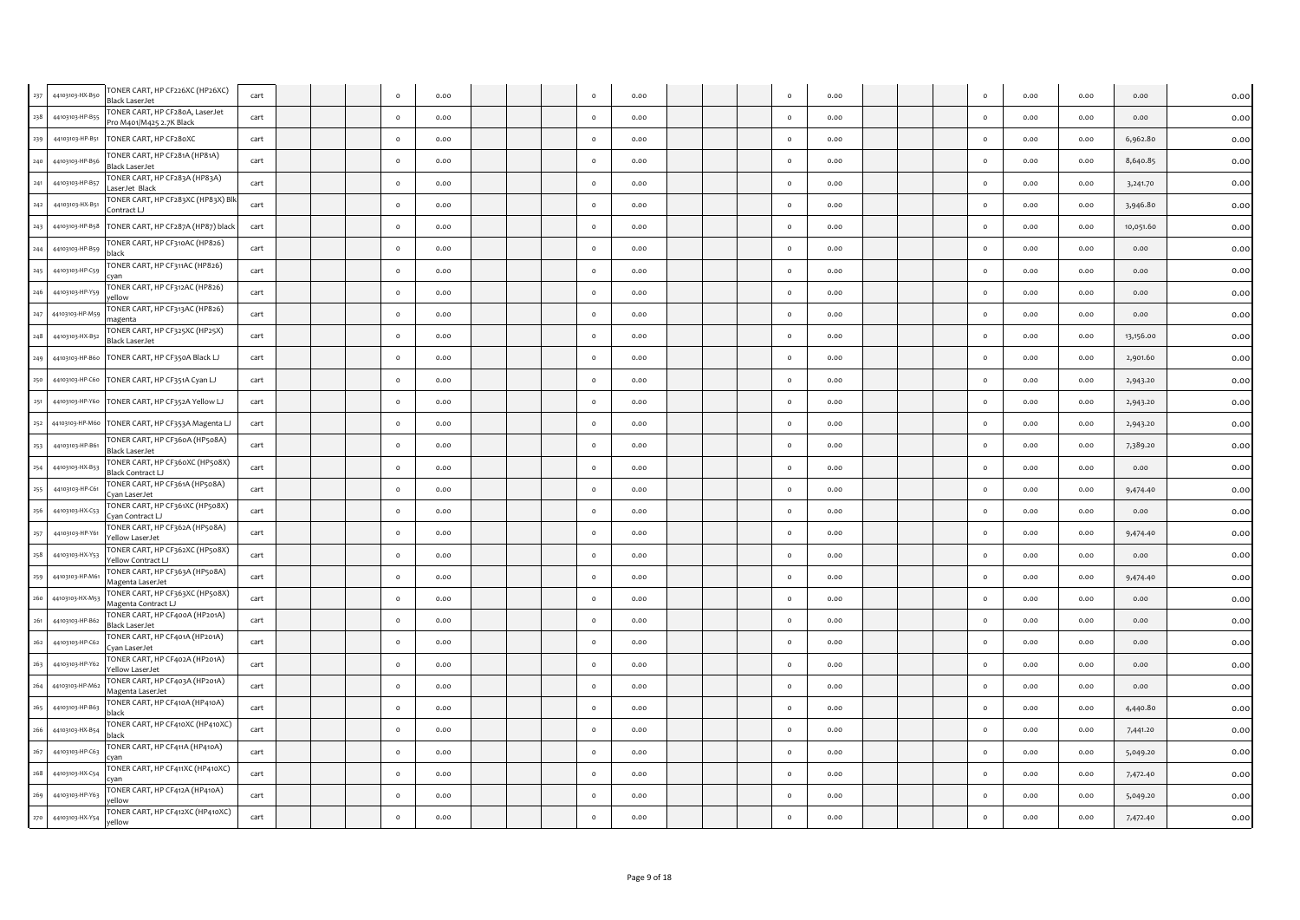|         |                     | TONER CART, HP CF226XC (HP26XC)                             |      |  |          |      |  |              |      |  |          |      |  |         |      |      |           |      |
|---------|---------------------|-------------------------------------------------------------|------|--|----------|------|--|--------------|------|--|----------|------|--|---------|------|------|-----------|------|
| 237     | 44103103-HX-B50     | Black LaserJet                                              | cart |  | $\Omega$ | 0.00 |  | $\circ$      | 0.00 |  | $\circ$  | 0.00 |  | $\circ$ | 0.00 | 0.00 | 0.00      | 0.00 |
| 238     | 44103103-HP-B55     | TONER CART, HP CF28oA, LaserJet<br>Pro M401/M425 2.7K Black | cart |  | $\Omega$ | 0.00 |  | $\Omega$     | 0.00 |  | $\Omega$ | 0.00 |  | $\circ$ | 0.00 | 0.00 | 0.00      | 0.00 |
| 239     | 44103103-HP-B51     | TONER CART, HP CF280XC                                      | cart |  | $\circ$  | 0.00 |  | $\circ$      | 0.00 |  | $\circ$  | 0.00 |  | $\circ$ | 0.00 | 0.00 | 6,962.80  | 0.00 |
| 240     | 44103103-HP-B56     | TONER CART, HP CF281A (HP81A)<br><b>Black LaserJet</b>      | cart |  | $\circ$  | 0.00 |  | $\mathsf{o}$ | 0.00 |  | $\circ$  | 0.00 |  | $\circ$ | 0.00 | 0.00 | 8,640.85  | 0.00 |
| 241     | 44103103-HP-B57     | TONER CART, HP CF283A (HP83A)<br>LaserJet Black             | cart |  | $\circ$  | 0.00 |  | $\circ$      | 0.00 |  | $\circ$  | 0.00 |  | $\circ$ | 0.00 | 0.00 | 3,241.70  | 0.00 |
| 242     | 44103103-HX-B51     | TONER CART, HP CF283XC (HP83X) Blk<br>Contract LJ           | cart |  | $\circ$  | 0.00 |  | $\circ$      | 0.00 |  | $\circ$  | 0.00 |  | $\circ$ | 0.00 | 0.00 | 3,946.80  | 0.00 |
|         | 243 44103103-HP-B58 | TONER CART, HP CF287A (HP87) black                          | cart |  | $\circ$  | 0.00 |  | $\circ$      | 0.00 |  | $\circ$  | 0.00 |  | $\circ$ | 0.00 | 0.00 | 10,051.60 | 0.00 |
| 244     | 44103103-HP-B59     | TONER CART, HP CF310AC (HP826)<br>black                     | cart |  | $\circ$  | 0.00 |  | $\mathsf{o}$ | 0.00 |  | $\circ$  | 0.00 |  | $\circ$ | 0.00 | 0.00 | 0.00      | 0.00 |
| 245     | 44103103-HP-C59     | TONER CART, HP CF311AC (HP826)<br>cvan                      | cart |  | $\circ$  | 0.00 |  | $\circ$      | 0.00 |  | $\circ$  | 0.00 |  | $\circ$ | 0.00 | 0.00 | 0.00      | 0.00 |
|         | 246 44103103-HP-Y59 | TONER CART, HP CF312AC (HP826)<br>vellow                    | cart |  | $\circ$  | 0.00 |  | $\circ$      | 0.00 |  | $\circ$  | 0.00 |  | $\circ$ | 0.00 | 0.00 | 0.00      | 0.00 |
| 247     | 44103103-HP-M59     | TONER CART, HP CF313AC (HP826)<br>nagenta                   | cart |  | $\circ$  | 0.00 |  | $\circ$      | 0.00 |  | $\circ$  | 0.00 |  | $\circ$ | 0.00 | 0.00 | 0.00      | 0.00 |
| 248     | 44103103-HX-B52     | TONER CART, HP CF325XC (HP25X)<br><b>Black LaserJet</b>     | cart |  | $\circ$  | 0.00 |  | $\circ$      | 0.00 |  | $\circ$  | 0.00 |  | $\circ$ | 0.00 | 0.00 | 13,156.00 | 0.00 |
| 249     | 44103103-HP-B60     | TONER CART, HP CF350A Black LJ                              | cart |  | $\circ$  | 0.00 |  | $\circ$      | 0.00 |  | $\circ$  | 0.00 |  | $\circ$ | 0.00 | 0.00 | 2,901.60  | 0.00 |
| 250     | 44103103-HP-C60     | TONER CART, HP CF351A Cyan LJ                               | cart |  | $\circ$  | 0.00 |  | $\circ$      | 0.00 |  | $\circ$  | 0.00 |  | $\circ$ | 0.00 | 0.00 | 2,943.20  | 0.00 |
| 251     |                     | 44103103-HP-Y60 TONER CART, HP CF352A Yellow LJ             | cart |  | $\Omega$ | 0.00 |  | $\circ$      | 0.00 |  | $\Omega$ | 0.00 |  | $\circ$ | 0.00 | 0.00 | 2,943.20  | 0.00 |
| 252     | 44103103-HP-M60     | TONER CART, HP CF353A Magenta LJ                            | cart |  | $\circ$  | 0.00 |  | $\mathsf{o}$ | 0.00 |  | $\circ$  | 0.00 |  | $\circ$ | 0.00 | 0.00 | 2,943.20  | 0.00 |
| 253     | 44103103-HP-B61     | TONER CART, HP CF360A (HP508A)<br><b>Black LaserJet</b>     | cart |  | $\circ$  | 0.00 |  | $\mathsf{o}$ | 0.00 |  | $\circ$  | 0.00 |  | $\circ$ | 0.00 | 0.00 | 7,389.20  | 0.00 |
| 254     | 44103103-HX-B53     | TONER CART, HP CF360XC (HP508X)<br>Black Contract LJ        | cart |  | $\circ$  | 0.00 |  | $\circ$      | 0.00 |  | $\circ$  | 0.00 |  | $\circ$ | 0.00 | 0.00 | 0.00      | 0.00 |
| 255     | 44103103-HP-C61     | TONER CART, HP CF361A (HP508A)<br>van LaserJet              | cart |  | $\circ$  | 0.00 |  | $\circ$      | 0.00 |  | $\circ$  | 0.00 |  | $\circ$ | 0.00 | 0.00 | 9,474.40  | 0.00 |
| 256     | 44103103-HX-C53     | TONER CART, HP CF361XC (HP508X)<br>Van Contract LJ          | cart |  | $\circ$  | 0.00 |  | $\circ$      | 0.00 |  | $\circ$  | 0.00 |  | $\circ$ | 0.00 | 0.00 | 0.00      | 0.00 |
| 257     | 44103103-HP-Y61     | TONER CART, HP CF362A (HP508A)<br>Yellow LaserJet           | cart |  | $\circ$  | 0.00 |  | $\mathsf{o}$ | 0.00 |  | $\circ$  | 0.00 |  | $\circ$ | 0.00 | 0.00 | 9,474.40  | 0.00 |
| 258     | 44103103-HX-Y53     | TONER CART, HP CF362XC (HP508X)<br>Yellow Contract LJ       | cart |  | $\circ$  | 0.00 |  | $\circ$      | 0.00 |  | $\circ$  | 0.00 |  | $\circ$ | 0.00 | 0.00 | 0.00      | 0.00 |
| 259     | 44103103-HP-M61     | TONER CART, HP CF363A (HP508A)<br>Magenta LaserJet          | cart |  | $\Omega$ | 0.00 |  | $\circ$      | 0.00 |  | $\circ$  | 0.00 |  | $\circ$ | 0.00 | 0.00 | 9,474.40  | 0.00 |
| 260     | 44103103-HX-M53     | TONER CART, HP CF363XC (HP508X)<br>Magenta Contract LJ      | cart |  | $\circ$  | 0.00 |  | $\circ$      | 0.00 |  | $\circ$  | 0.00 |  | $\circ$ | 0.00 | 0.00 | 0.00      | 0.00 |
| 261     | 44103103-HP-B62     | TONER CART, HP CF400A (HP201A)<br>Black LaserJet            | cart |  | $\circ$  | 0.00 |  | $\circ$      | 0.00 |  | $\circ$  | 0.00 |  | $\circ$ | 0.00 | 0.00 | 0.00      | 0.00 |
| $262\,$ | 44103103-HP-C62     | TONER CART, HP CF401A (HP201A)<br>Cyan LaserJet             | cart |  | $\circ$  | 0.00 |  | $\circ$      | 0.00 |  | $\circ$  | 0.00 |  | $\circ$ | 0.00 | 0.00 | 0.00      | 0.00 |
| 263     | 44103103-HP-Y62     | TONER CART, HP CF402A (HP201A)<br>Yellow LaserJet           | cart |  | $\circ$  | 0.00 |  | $\circ$      | 0.00 |  | $\circ$  | 0.00 |  | $\circ$ | 0.00 | 0.00 | 0.00      | 0.00 |
|         | 264 44103103-HP-M62 | TONER CART, HP CF403A (HP201A)<br>Magenta LaserJet          | cart |  | $\Omega$ | 0.00 |  | $\circ$      | 0.00 |  | $\circ$  | 0.00 |  | $\circ$ | 0.00 | 0.00 | 0.00      | 0.00 |
| 265     | 44103103-HP-B63     | TONER CART, HP CF410A (HP410A)                              | cart |  | $\circ$  | 0.00 |  | $\mathsf{o}$ | 0.00 |  | $\circ$  | 0.00 |  | $\circ$ | 0.00 | 0.00 | 4,440.80  | 0.00 |
| 266     | 44103103-HX-B54     | TONER CART, HP CF410XC (HP410XC)<br>black                   | cart |  | $\circ$  | 0.00 |  | $\mathsf{o}$ | 0.00 |  | $\circ$  | 0.00 |  | $\circ$ | 0.00 | 0.00 | 7,441.20  | 0.00 |
| 267     | 44103103-HP-C63     | TONER CART, HP CF411A (HP410A)<br>rvan                      | cart |  | $\circ$  | 0.00 |  | $\circ$      | 0.00 |  | $\circ$  | 0.00 |  | $\circ$ | 0.00 | 0.00 | 5,049.20  | 0.00 |
| 268     | 44103103-HX-C54     | TONER CART, HP CF411XC (HP410XC)<br>'van                    | cart |  | $\Omega$ | 0.00 |  | $\circ$      | 0.00 |  | $\Omega$ | 0.00 |  | $\circ$ | 0.00 | 0.00 | 7,472.40  | 0.00 |
| 269     | 44103103-HP-Y63     | TONER CART, HP CF412A (HP410A)<br>ellow                     | cart |  | $\circ$  | 0.00 |  | $\circ$      | 0.00 |  | $\circ$  | 0.00 |  | $\circ$ | 0.00 | 0.00 | 5,049.20  | 0.00 |
| 270     | 44103103-HX-Y54     | TONER CART, HP CF412XC (HP410XC)<br>vellow                  | cart |  | $\circ$  | 0.00 |  | $\mathsf{o}$ | 0.00 |  | $\circ$  | 0.00 |  | $\circ$ | 0.00 | 0.00 | 7,472.40  | 0.00 |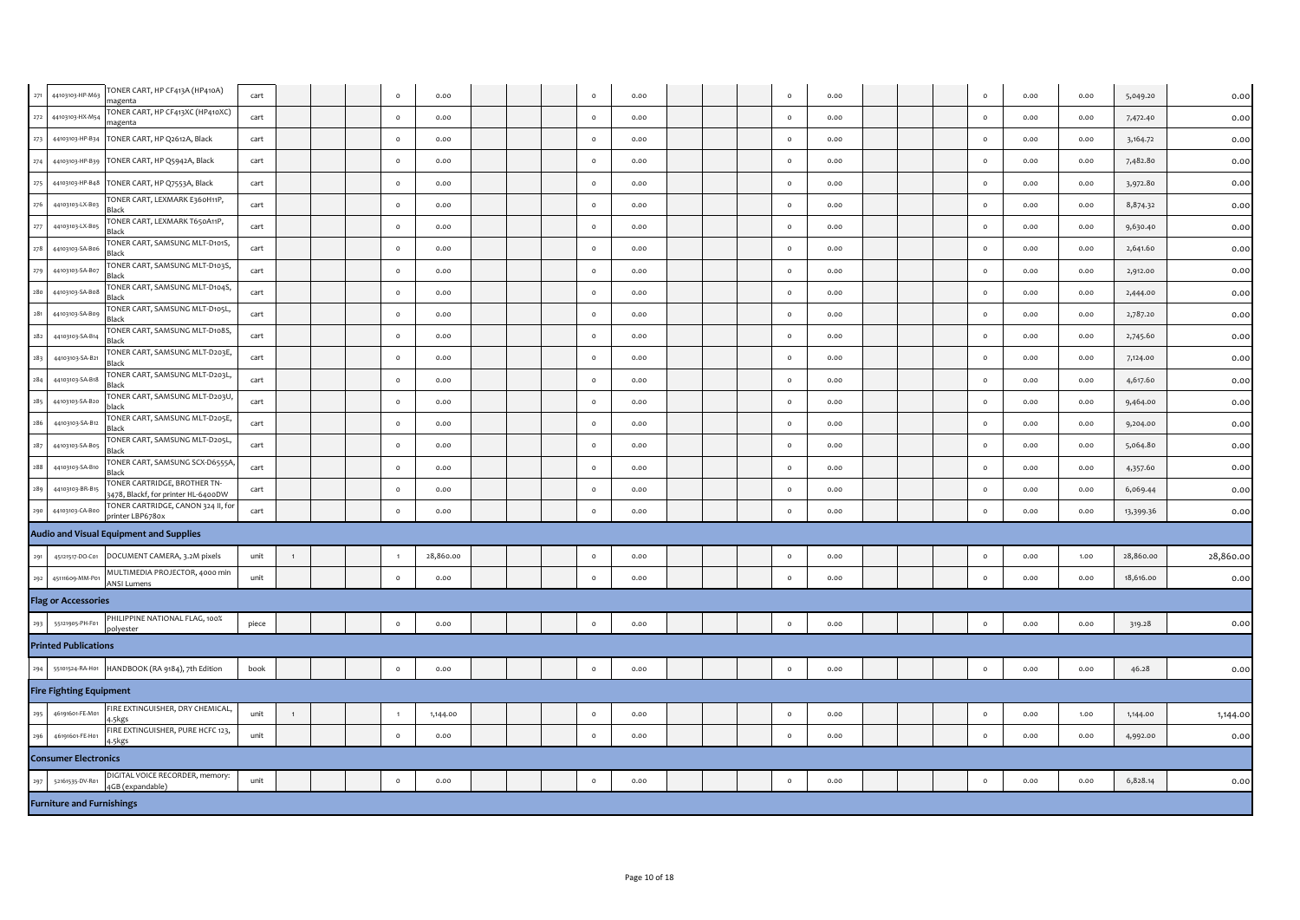| 271 | TONER CART, HP CF413A (HP410A)<br>44103103-HP-M63<br>magenta                           | cart  |              |  | $\circ$        | 0.00      |  | $\Omega$ | 0.00 |  | $\circ$ | 0.00 |  | $\circ$ | 0.00 | 0.00 | 5,049.20  | 0.00      |
|-----|----------------------------------------------------------------------------------------|-------|--------------|--|----------------|-----------|--|----------|------|--|---------|------|--|---------|------|------|-----------|-----------|
| 272 | TONER CART, HP CF413XC (HP410XC)<br>44103103-HX-M54<br>magenta                         | cart  |              |  | $\circ$        | 0.00      |  | $\circ$  | 0.00 |  | $\circ$ | 0.00 |  | $\circ$ | 0.00 | 0.00 | 7,472.40  | 0.00      |
| 273 | TONER CART, HP Q2612A, Black<br>44103103-HP-B34                                        | cart  |              |  | $\circ$        | 0.00      |  | $\Omega$ | 0.00 |  | $\circ$ | 0.00 |  | $\circ$ | 0.00 | 0.00 | 3,164.72  | 0.00      |
| 274 | TONER CART, HP Q5942A, Black<br>44103103-HP-B39                                        | cart  |              |  | $\circ$        | 0.00      |  | $\circ$  | 0.00 |  | $\circ$ | 0.00 |  | $\circ$ | 0.00 | 0.00 | 7,482.80  | 0.00      |
| 275 | TONER CART, HP Q7553A, Black<br>44103103-HP-B48                                        | cart  |              |  | $\circ$        | 0.00      |  | $\circ$  | 0.00 |  | $\circ$ | 0.00 |  | $\circ$ | 0.00 | 0.00 | 3,972.80  | 0.00      |
| 276 | TONER CART, LEXMARK E360H11P,<br>44103103-LX-B03<br>Black                              | cart  |              |  | $\circ$        | 0.00      |  | $\circ$  | 0.00 |  | $\circ$ | 0.00 |  | $\circ$ | 0.00 | 0.00 | 8,874.32  | 0.00      |
| 277 | TONER CART, LEXMARK T650A11P,<br>44103103-LX-B05<br>Black                              | cart  |              |  | $\circ$        | 0.00      |  | $\circ$  | 0.00 |  | $\circ$ | 0.00 |  | $\circ$ | 0.00 | 0.00 | 9,630.40  | 0.00      |
| 278 | TONER CART, SAMSUNG MLT-D101S,<br>44103103-SA-B06<br>Black                             | cart  |              |  | $\circ$        | 0.00      |  | $\circ$  | 0.00 |  | $\circ$ | 0.00 |  | $\circ$ | 0.00 | 0.00 | 2,641.60  | 0.00      |
| 279 | TONER CART, SAMSUNG MLT-D103S,<br>44103103-SA-B07<br>Black                             | cart  |              |  | $\circ$        | 0.00      |  | $\circ$  | 0.00 |  | $\circ$ | 0.00 |  | $\circ$ | 0.00 | 0.00 | 2,912.00  | 0.00      |
| 280 | TONER CART, SAMSUNG MLT-D104S,<br>44103103-SA-B08<br>Black                             | cart  |              |  | $\circ$        | 0.00      |  | $\circ$  | 0.00 |  | $\circ$ | 0.00 |  | $\circ$ | 0.00 | 0.00 | 2,444.00  | 0.00      |
| 281 | TONER CART, SAMSUNG MLT-D105L,<br>44103103-SA-B09<br>Black                             | cart  |              |  | $\circ$        | 0.00      |  | $\circ$  | 0.00 |  | $\circ$ | 0.00 |  | $\circ$ | 0.00 | 0.00 | 2,787.20  | 0.00      |
| 282 | TONER CART, SAMSUNG MLT-D108S,<br>44103103-SA-B14<br>Black                             | cart  |              |  | $\circ$        | 0.00      |  | $\circ$  | 0.00 |  | $\circ$ | 0.00 |  | $\circ$ | 0.00 | 0.00 | 2,745.60  | 0.00      |
| 283 | TONER CART, SAMSUNG MLT-D203E,<br>44103103-SA-B21<br>Black                             | cart  |              |  | $\circ$        | 0.00      |  | $\circ$  | 0.00 |  | $\circ$ | 0.00 |  | $\circ$ | 0.00 | 0.00 | 7,124.00  | 0.00      |
| 284 | TONER CART, SAMSUNG MLT-D203L,<br>44103103-SA-B18<br>Black                             | cart  |              |  | $\circ$        | 0.00      |  | $\circ$  | 0.00 |  | $\circ$ | 0.00 |  | $\circ$ | 0.00 | 0.00 | 4,617.60  | 0.00      |
| 285 | TONER CART, SAMSUNG MLT-D203U,<br>44103103-SA-B20<br>black                             | cart  |              |  | $\circ$        | 0.00      |  | $\Omega$ | 0.00 |  | $\circ$ | 0.00 |  | $\circ$ | 0.00 | 0.00 | 9,464.00  | 0.00      |
| 286 | TONER CART, SAMSUNG MLT-D205E,<br>44103103-SA-B12<br>Black                             | cart  |              |  | $\circ$        | 0.00      |  | $\Omega$ | 0.00 |  | $\circ$ | 0.00 |  | $\circ$ | 0.00 | 0.00 | 9,204.00  | 0.00      |
| 287 | TONER CART, SAMSUNG MLT-D205L,<br>44103103-SA-B05<br>Black                             | cart  |              |  | $\circ$        | 0.00      |  | $\circ$  | 0.00 |  | $\circ$ | 0.00 |  | $\circ$ | 0.00 | 0.00 | 5,064.80  | 0.00      |
| 288 | TONER CART, SAMSUNG SCX-D6555A,<br>44103103-SA-B10<br>Black                            | cart  |              |  | $\circ$        | 0.00      |  | $\circ$  | 0.00 |  | $\circ$ | 0.00 |  | $\circ$ | 0.00 | 0.00 | 4,357.60  | 0.00      |
| 289 | TONER CARTRIDGE, BROTHER TN-<br>44103103-BR-B15<br>3478, Blackf, for printer HL-6400DW | cart  |              |  | $\circ$        | 0.00      |  | $\circ$  | 0.00 |  | $\circ$ | 0.00 |  | $\circ$ | 0.00 | 0.00 | 6,069.44  | 0.00      |
| 290 | TONER CARTRIDGE, CANON 324 II, for<br>44103103-CA-Boo<br>printer LBP6780x              | cart  |              |  | $\circ$        | 0.00      |  | $\circ$  | 0.00 |  | $\circ$ | 0.00 |  | $\circ$ | 0.00 | 0.00 | 13,399.36 | 0.00      |
|     | <b>Audio and Visual Equipment and Supplies</b>                                         |       |              |  |                |           |  |          |      |  |         |      |  |         |      |      |           |           |
| 291 | DOCUMENT CAMERA, 3.2M pixels<br>45121517-DO-C01                                        | unit  | $\mathbf{1}$ |  | $\overline{1}$ | 28,860.00 |  | $\circ$  | 0.00 |  | $\circ$ | 0.00 |  | $\circ$ | 0.00 | 1.00 | 28,860.00 | 28,860.00 |
| 292 | MULTIMEDIA PROJECTOR, 4000 min<br>45111609-MM-P01<br><b>ANSI Lumens</b>                | unit  |              |  | $\circ$        | 0.00      |  | $\circ$  | 0.00 |  | $\circ$ | 0.00 |  | $\circ$ | 0.00 | 0.00 | 18,616.00 | 0.00      |
|     | <b>Flag or Accessories</b>                                                             |       |              |  |                |           |  |          |      |  |         |      |  |         |      |      |           |           |
| 293 | PHILIPPINE NATIONAL FLAG, 100%<br>55121905-PH-F01<br>polyester                         | piece |              |  | $\circ$        | 0.00      |  | $\circ$  | 0.00 |  | $\circ$ | 0.00 |  | $\circ$ | 0.00 | 0.00 | 319.28    | 0.00      |
|     | <b>Printed Publications</b>                                                            |       |              |  |                |           |  |          |      |  |         |      |  |         |      |      |           |           |
| 294 | 55101524-RA-H01<br>HANDBOOK (RA 9184), 7th Edition                                     | book  |              |  | $\circ$        | 0.00      |  | $\circ$  | 0.00 |  | $\circ$ | 0.00 |  | $\circ$ | 0.00 | 0.00 | 46.28     | 0.00      |
|     | <b>Fire Fighting Equipment</b>                                                         |       |              |  |                |           |  |          |      |  |         |      |  |         |      |      |           |           |
| 295 | FIRE EXTINGUISHER, DRY CHEMICAL,<br>46191601-FE-M01<br>4.5kgs                          | unit  |              |  |                | 1,144.00  |  | $\circ$  | 0.00 |  | $\circ$ | 0.00 |  | $\circ$ | 0.00 | 1.00 | 1,144.00  | 1,144.00  |
| 296 | FIRE EXTINGUISHER, PURE HCFC 123,<br>46191601-FE-H01<br>4.5kgs                         | unit  |              |  | $\circ$        | 0.00      |  | $\circ$  | 0.00 |  | $\circ$ | 0.00 |  | $\circ$ | 0.00 | 0.00 | 4,992.00  | 0.00      |
|     | <b>Consumer Electronics</b>                                                            |       |              |  |                |           |  |          |      |  |         |      |  |         |      |      |           |           |
| 297 | DIGITAL VOICE RECORDER, memory:<br>52161535-DV-R01<br>4GB (expandable)                 | unit  |              |  | $\circ$        | 0.00      |  | $\circ$  | 0.00 |  | $\circ$ | 0.00 |  | $\circ$ | 0.00 | 0.00 | 6,828.14  | 0.00      |
|     | <b>Furniture and Furnishings</b>                                                       |       |              |  |                |           |  |          |      |  |         |      |  |         |      |      |           |           |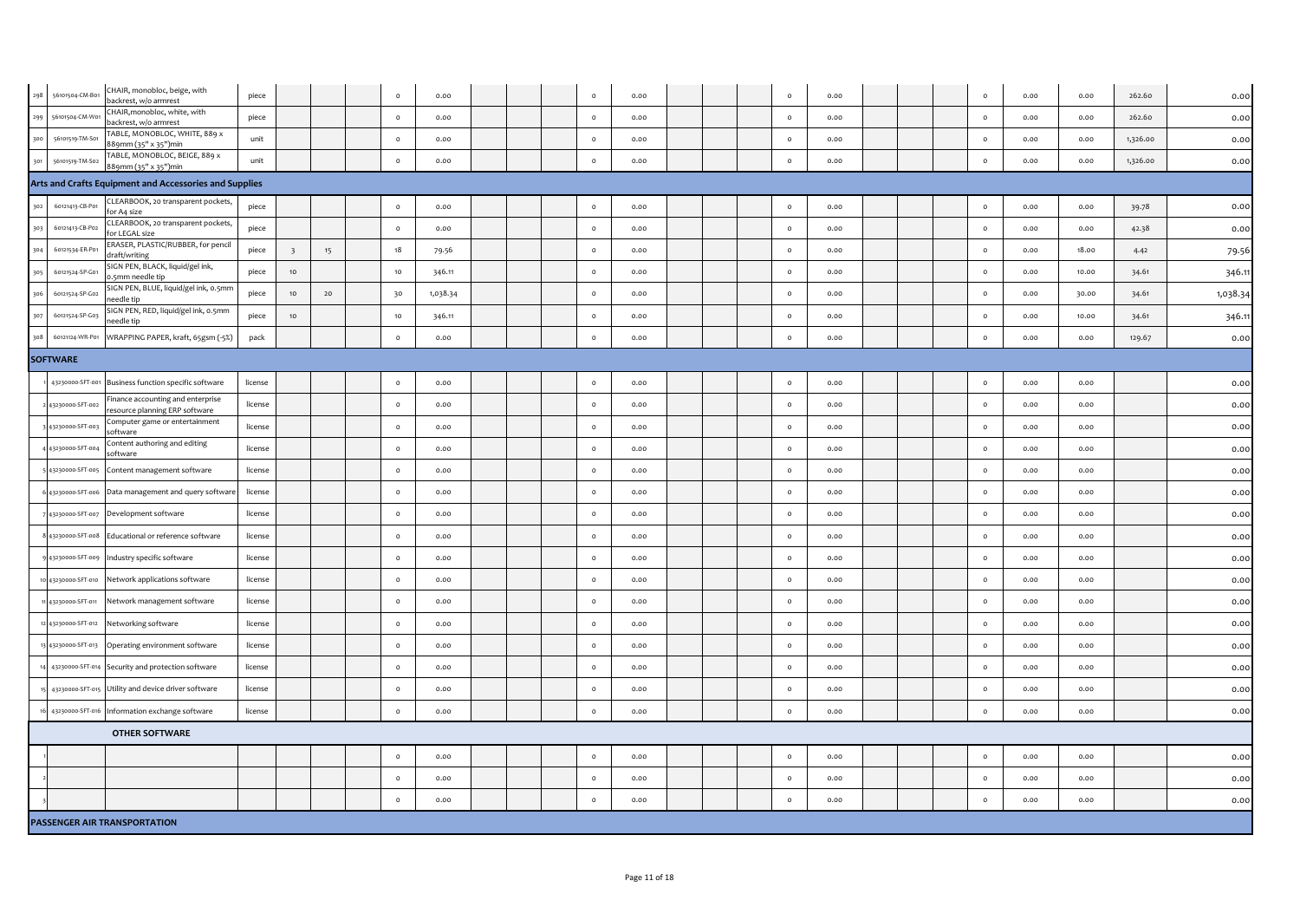| 298 | 56101504-CM-B01     | CHAIR, monobloc, beige, with<br>backrest, w/o armrest              | piece   |                          |    | $\circ$ | 0.00     |  | $\circ$  | 0.00 |  | $\circ$      | 0.00 |  | $\circ$ | 0.00 | 0.00  | 262.60   | 0.00     |
|-----|---------------------|--------------------------------------------------------------------|---------|--------------------------|----|---------|----------|--|----------|------|--|--------------|------|--|---------|------|-------|----------|----------|
| 299 | 56101504-CM-Wo      | CHAIR, monobloc, white, with<br>backrest, w/o armrest              | piece   |                          |    | $\circ$ | 0.00     |  | $\circ$  | 0.00 |  | $\circ$      | 0.00 |  | $\circ$ | 0.00 | 0.00  | 262.60   | 0.00     |
| 300 | 56101519-TM-S01     | TABLE, MONOBLOC, WHITE, 889 x<br>889mm (35" x 35")min              | unit    |                          |    | $\circ$ | 0.00     |  | $\circ$  | 0.00 |  | $\circ$      | 0.00 |  | $\circ$ | 0.00 | 0.00  | 1,326.00 | 0.00     |
| 301 | 56101519-TM-S02     | TABLE, MONOBLOC, BEIGE, 889 x<br>889mm (35" x 35")min              | unit    |                          |    | $\circ$ | 0.00     |  | $\circ$  | 0.00 |  | $\circ$      | 0.00 |  | $\circ$ | 0.00 | 0.00  | 1,326.00 | 0.00     |
|     |                     | Arts and Crafts Equipment and Accessories and Supplies             |         |                          |    |         |          |  |          |      |  |              |      |  |         |      |       |          |          |
| 302 | 60121413-CB-P01     | CLEARBOOK, 20 transparent pockets,<br>for A4 size                  | piece   |                          |    | $\circ$ | 0.00     |  | $\circ$  | 0.00 |  | $\circ$      | 0.00 |  | $\circ$ | 0.00 | 0.00  | 39.78    | 0.00     |
| 303 | 60121413-CB-P02     | CLEARBOOK, 20 transparent pockets,<br>for LEGAL size               | piece   |                          |    | $\circ$ | 0.00     |  | $\circ$  | 0.00 |  | $\circ$      | 0.00 |  | $\circ$ | 0.00 | 0.00  | 42.38    | 0.00     |
| 304 | 60121534-ER-P01     | ERASER, PLASTIC/RUBBER, for pencil<br>draft/writing                | piece   | $\overline{\phantom{0}}$ | 15 | 18      | 79.56    |  | $\circ$  | 0.00 |  | $\circ$      | 0.00 |  | $\circ$ | 0.00 | 18.00 | 4.42     | 79.56    |
| 305 | 60121524-SP-G01     | SIGN PEN, BLACK, liquid/gel ink,<br>0.5mm needle tip               | piece   | 10                       |    | 10      | 346.11   |  | $\circ$  | 0.00 |  | $\circ$      | 0.00 |  | $\circ$ | 0.00 | 10.00 | 34.61    | 346.11   |
| 306 | 60121524-SP-G02     | SIGN PEN, BLUE, liquid/gel ink, 0.5mm<br>needle tip                | piece   | 10                       | 20 | 30      | 1,038.34 |  | $\circ$  | 0.00 |  | $\circ$      | 0.00 |  | $\circ$ | 0.00 | 30.00 | 34.61    | 1,038.34 |
| 307 | 60121524-SP-G03     | SIGN PEN, RED, liquid/gel ink, 0.5mm<br>needle tip                 | piece   | 10                       |    | 10      | 346.11   |  | $\circ$  | 0.00 |  | $\circ$      | 0.00 |  | $\circ$ | 0.00 | 10.00 | 34.61    | 346.11   |
| 308 | 60121124-WR-P01     | WRAPPING PAPER, kraft, 65gsm (-5%)                                 | pack    |                          |    | $\circ$ | 0.00     |  | $\circ$  | 0.00 |  | $\circ$      | 0.00 |  | $\circ$ | 0.00 | 0.00  | 129.67   | 0.00     |
|     | <b>SOFTWARE</b>     |                                                                    |         |                          |    |         |          |  |          |      |  |              |      |  |         |      |       |          |          |
|     | 43230000-SFT-001    | Business function specific software                                | license |                          |    | $\circ$ | 0.00     |  | $\circ$  | 0.00 |  | $\circ$      | 0.00 |  | $\circ$ | 0.00 | 0.00  |          | 0.00     |
|     | 43230000-SFT-002    | Finance accounting and enterprise<br>esource planning ERP software | license |                          |    | $\circ$ | 0.00     |  | $\circ$  | 0.00 |  | $\circ$      | 0.00 |  | $\circ$ | 0.00 | 0.00  |          | 0.00     |
|     | 43230000-SFT-003    | Computer game or entertainment<br>software                         | license |                          |    | $\circ$ | 0.00     |  | $\circ$  | 0.00 |  | $\circ$      | 0.00 |  | $\circ$ | 0.00 | 0.00  |          | 0.00     |
|     | 43230000-SFT-004    | Content authoring and editing<br>software                          | license |                          |    | $\circ$ | 0.00     |  | $\Omega$ | 0.00 |  | $\circ$      | 0.00 |  | $\circ$ | 0.00 | 0.00  |          | 0.00     |
|     | 43230000-SFT-005    | Content management software                                        | license |                          |    | $\circ$ | 0.00     |  | $\circ$  | 0.00 |  | $\circ$      | 0.00 |  | $\circ$ | 0.00 | 0.00  |          | 0.00     |
|     | 43230000-SFT-006    | Data management and query software                                 | license |                          |    | $\circ$ | 0.00     |  | $\circ$  | 0.00 |  | $\circ$      | 0.00 |  | $\circ$ | 0.00 | 0.00  |          | 0.00     |
|     | 43230000-SFT-007    | Development software                                               | license |                          |    | $\circ$ | 0.00     |  | $\circ$  | 0.00 |  | $\circ$      | 0.00 |  | $\circ$ | 0.00 | 0.00  |          | 0.00     |
|     | 43230000-SFT-008    | Educational or reference software                                  | license |                          |    | $\circ$ | 0.00     |  | $\circ$  | 0.00 |  | $\circ$      | 0.00 |  | $\circ$ | 0.00 | 0.00  |          | 0.00     |
|     | 43230000-SFT-009    | Industry specific software                                         | license |                          |    | $\circ$ | 0.00     |  | $\circ$  | 0.00 |  | $\circ$      | 0.00 |  | $\circ$ | 0.00 | 0.00  |          | 0.00     |
|     | 10 43230000-SFT-010 | Network applications software                                      | license |                          |    | $\circ$ | 0.00     |  | $\Omega$ | 0.00 |  | $\circ$      | 0.00 |  | $\circ$ | 0.00 | 0.00  |          | 0.00     |
|     | 11 43230000-SFT-011 | Network management software                                        | license |                          |    | $\circ$ | 0.00     |  | $\circ$  | 0.00 |  | $\circ$      | 0.00 |  | $\circ$ | 0.00 | 0.00  |          | 0.00     |
|     | 12 43230000-SFT-012 | Networking software                                                | license |                          |    | $\circ$ | 0.00     |  | $\circ$  | 0.00 |  | $\circ$      | 0.00 |  | $\circ$ | 0.00 | 0.00  |          | 0.00     |
|     | 13 43230000-SFT-013 | Operating environment software                                     | license |                          |    | $\circ$ | 0.00     |  | $\circ$  | 0.00 |  | $\circ$      | 0.00 |  | $\circ$ | 0.00 | 0.00  |          | 0.00     |
|     |                     | 43230000-SFT-014 Security and protection software                  | license |                          |    | $\circ$ | 0.00     |  | $\circ$  | 0.00 |  | $\circ$      | 0.00 |  | $\circ$ | 0.00 | 0.00  |          | 0.00     |
|     |                     | 43230000-SFT-015 Utility and device driver software                | license |                          |    | $\circ$ | 0.00     |  | $\circ$  | 0.00 |  | $\circ$      | 0.00 |  | $\circ$ | 0.00 | 0.00  |          | 0.00     |
|     |                     | 43230000-SFT-016 Information exchange software                     | license |                          |    | $\circ$ | 0.00     |  | $\circ$  | 0.00 |  | $\circ$      | 0.00 |  | $\circ$ | 0.00 | 0.00  |          | 0.00     |
|     |                     | <b>OTHER SOFTWARE</b>                                              |         |                          |    |         |          |  |          |      |  |              |      |  |         |      |       |          |          |
|     |                     |                                                                    |         |                          |    | $\circ$ | 0.00     |  | $\circ$  | 0.00 |  | $\circ$      | 0.00 |  | $\circ$ | 0.00 | 0.00  |          | 0.00     |
|     |                     |                                                                    |         |                          |    | $\circ$ | 0.00     |  | $\circ$  | 0.00 |  | $\circ$      | 0.00 |  | $\circ$ | 0.00 | 0.00  |          | 0.00     |
|     |                     |                                                                    |         |                          |    | $\circ$ | 0.00     |  | $\circ$  | 0.00 |  | $\mathsf{o}$ | 0.00 |  | $\circ$ | 0.00 | 0.00  |          | 0.00     |
|     |                     | PASSENGER AIR TRANSPORTATION                                       |         |                          |    |         |          |  |          |      |  |              |      |  |         |      |       |          |          |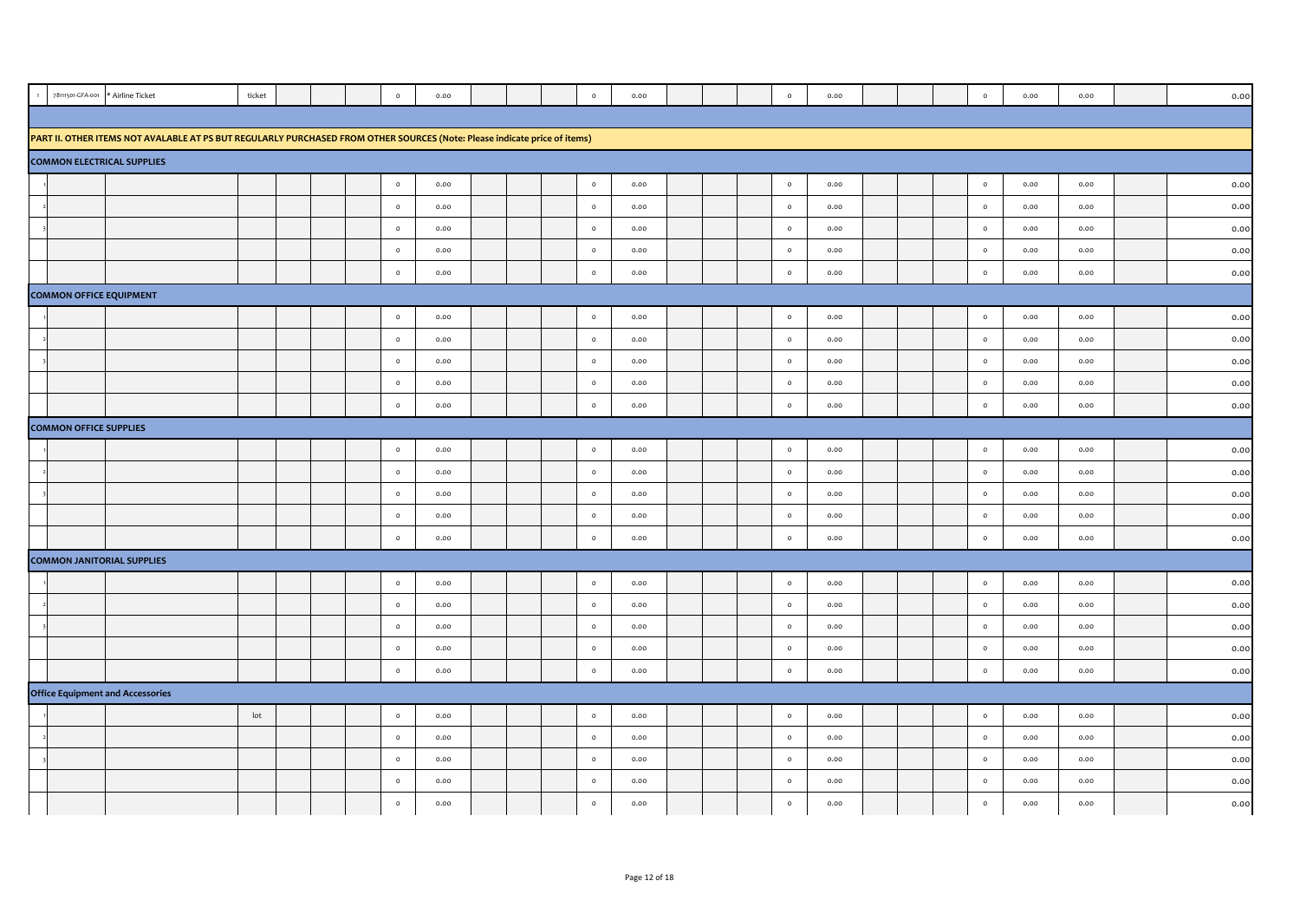| 78111501-GFA-001                  | * Airline Ticket                                                                                                          | ticket          |  | $\circ$ | 0.00 |  | $\circ$ | 0.00 |  | $\circ$ | 0.00 |  | $\circ$ | 0.00 | 0.00 | 0.00 |
|-----------------------------------|---------------------------------------------------------------------------------------------------------------------------|-----------------|--|---------|------|--|---------|------|--|---------|------|--|---------|------|------|------|
|                                   |                                                                                                                           |                 |  |         |      |  |         |      |  |         |      |  |         |      |      |      |
|                                   | PART II. OTHER ITEMS NOT AVALABLE AT PS BUT REGULARLY PURCHASED FROM OTHER SOURCES (Note: Please indicate price of items) |                 |  |         |      |  |         |      |  |         |      |  |         |      |      |      |
| <b>COMMON ELECTRICAL SUPPLIES</b> |                                                                                                                           |                 |  |         |      |  |         |      |  |         |      |  |         |      |      |      |
|                                   |                                                                                                                           |                 |  | $\circ$ | 0.00 |  | $\circ$ | 0.00 |  | $\circ$ | 0.00 |  | $\circ$ | 0.00 | 0.00 | 0.00 |
|                                   |                                                                                                                           |                 |  | $\circ$ | 0.00 |  | $\circ$ | 0.00 |  | $\circ$ | 0.00 |  | $\circ$ | 0.00 | 0.00 | 0.00 |
|                                   |                                                                                                                           |                 |  | $\circ$ | 0.00 |  | $\circ$ | 0.00 |  | $\circ$ | 0.00 |  | $\circ$ | 0.00 | 0.00 | 0.00 |
|                                   |                                                                                                                           |                 |  | $\circ$ | 0.00 |  | $\circ$ | 0.00 |  | $\circ$ | 0.00 |  | $\circ$ | 0.00 | 0.00 | 0.00 |
|                                   |                                                                                                                           |                 |  | $\circ$ | 0.00 |  | $\circ$ | 0.00 |  | $\circ$ | 0.00 |  | $\circ$ | 0.00 | 0.00 | 0.00 |
| <b>COMMON OFFICE EQUIPMENT</b>    |                                                                                                                           |                 |  |         |      |  |         |      |  |         |      |  |         |      |      |      |
|                                   |                                                                                                                           |                 |  | $\circ$ | 0.00 |  | $\circ$ | 0.00 |  | $\circ$ | 0.00 |  | $\circ$ | 0.00 | 0.00 | 0.00 |
|                                   |                                                                                                                           |                 |  | $\circ$ | 0.00 |  | $\circ$ | 0.00 |  | $\circ$ | 0.00 |  | $\circ$ | 0.00 | 0.00 | 0.00 |
|                                   |                                                                                                                           |                 |  | $\circ$ | 0.00 |  | $\circ$ | 0.00 |  | $\circ$ | 0.00 |  | $\circ$ | 0.00 | 0.00 | 0.00 |
|                                   |                                                                                                                           |                 |  | $\circ$ | 0.00 |  | $\circ$ | 0.00 |  | $\circ$ | 0.00 |  | $\circ$ | 0.00 | 0.00 | 0.00 |
|                                   |                                                                                                                           |                 |  | $\circ$ | 0.00 |  | $\circ$ | 0.00 |  | $\circ$ | 0.00 |  | $\circ$ | 0.00 | 0.00 | 0.00 |
| <b>COMMON OFFICE SUPPLIES</b>     |                                                                                                                           |                 |  |         |      |  |         |      |  |         |      |  |         |      |      |      |
|                                   |                                                                                                                           |                 |  | $\circ$ | 0.00 |  | $\circ$ | 0.00 |  | $\circ$ | 0.00 |  | $\circ$ | 0.00 | 0.00 | 0.00 |
|                                   |                                                                                                                           |                 |  | $\circ$ | 0.00 |  | $\circ$ | 0.00 |  | $\circ$ | 0.00 |  | $\circ$ | 0.00 | 0.00 | 0.00 |
|                                   |                                                                                                                           |                 |  | $\circ$ | 0.00 |  | $\circ$ | 0.00 |  | $\circ$ | 0.00 |  | $\circ$ | 0.00 | 0.00 | 0.00 |
|                                   |                                                                                                                           |                 |  | $\circ$ | 0.00 |  | $\circ$ | 0.00 |  | $\circ$ | 0.00 |  | $\circ$ | 0.00 | 0.00 | 0.00 |
|                                   |                                                                                                                           |                 |  | $\circ$ | 0.00 |  | $\circ$ | 0.00 |  | $\circ$ | 0.00 |  | $\circ$ | 0.00 | 0.00 | 0.00 |
| <b>COMMON JANITORIAL SUPPLIES</b> |                                                                                                                           |                 |  |         |      |  |         |      |  |         |      |  |         |      |      |      |
|                                   |                                                                                                                           |                 |  | $\circ$ | 0.00 |  | $\circ$ | 0.00 |  | $\circ$ | 0.00 |  | $\circ$ | 0.00 | 0.00 | 0.00 |
|                                   |                                                                                                                           |                 |  | $\circ$ | 0.00 |  | $\circ$ | 0.00 |  | $\circ$ | 0.00 |  | $\circ$ | 0.00 | 0.00 | 0.00 |
|                                   |                                                                                                                           |                 |  | $\circ$ | 0.00 |  | $\circ$ | 0.00 |  | $\circ$ | 0.00 |  | $\circ$ | 0.00 | 0.00 | 0.00 |
|                                   |                                                                                                                           |                 |  | $\circ$ | 0.00 |  | $\circ$ | 0.00 |  | $\circ$ | 0.00 |  | $\circ$ | 0.00 | 0.00 | 0.00 |
|                                   |                                                                                                                           |                 |  | $\circ$ | 0.00 |  | $\circ$ | 0.00 |  | $\circ$ | 0.00 |  | $\circ$ | 0.00 | 0.00 | 0.00 |
|                                   | <b>Office Equipment and Accessories</b>                                                                                   |                 |  |         |      |  |         |      |  |         |      |  |         |      |      |      |
|                                   |                                                                                                                           | $_{\text{lot}}$ |  | $\circ$ | 0.00 |  | $\circ$ | 0.00 |  | $\circ$ | 0.00 |  | $\circ$ | 0.00 | 0.00 | 0.00 |
|                                   |                                                                                                                           |                 |  | $\circ$ | 0.00 |  | $\circ$ | 0.00 |  | $\circ$ | 0.00 |  | $\circ$ | 0.00 | 0.00 | 0.00 |
|                                   |                                                                                                                           |                 |  | $\circ$ | 0.00 |  | $\circ$ | 0.00 |  | $\circ$ | 0.00 |  | $\circ$ | 0.00 | 0.00 | 0.00 |
|                                   |                                                                                                                           |                 |  | $\circ$ | 0.00 |  | $\circ$ | 0.00 |  | $\circ$ | 0.00 |  | $\circ$ | 0.00 | 0.00 | 0.00 |
|                                   |                                                                                                                           |                 |  | $\circ$ | 0.00 |  | $\circ$ | 0.00 |  | $\circ$ | 0.00 |  | $\circ$ | 0.00 | 0.00 | 0.00 |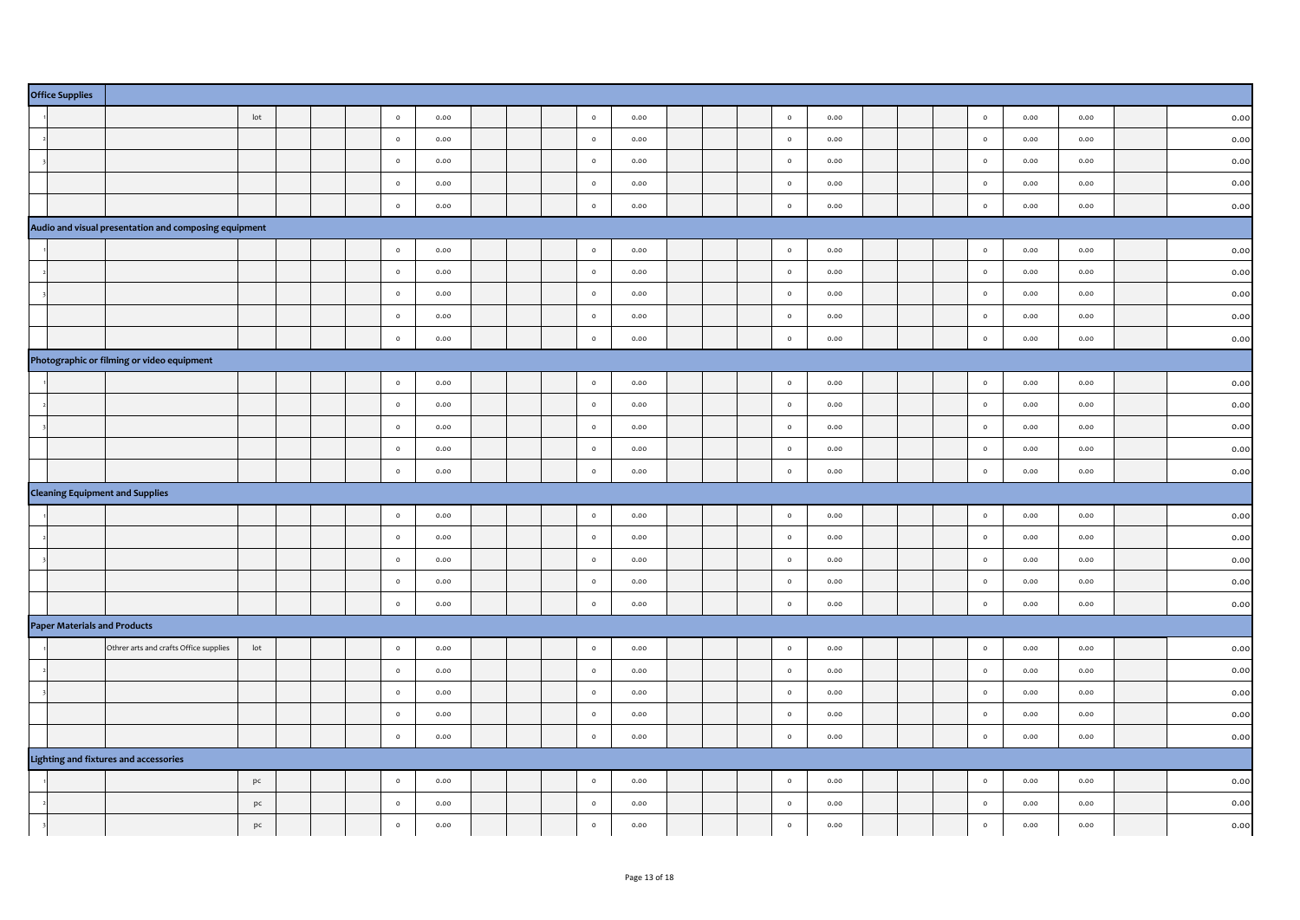| <b>Office Supplies</b> |                                                       |                 |  |         |      |  |         |           |  |         |      |  |           |      |      |      |
|------------------------|-------------------------------------------------------|-----------------|--|---------|------|--|---------|-----------|--|---------|------|--|-----------|------|------|------|
|                        |                                                       | $_{\text{lot}}$ |  | $\circ$ | 0.00 |  | $\circ$ | 0.00      |  | $\circ$ | 0.00 |  | $\circ$   | 0.00 | 0.00 | 0.00 |
|                        |                                                       |                 |  | $\circ$ | 0.00 |  | $\circ$ | 0.00      |  | $\circ$ | 0.00 |  | $\circ$   | 0.00 | 0.00 | 0.00 |
|                        |                                                       |                 |  | $\circ$ | 0.00 |  | $\circ$ | 0.00      |  | $\circ$ | 0.00 |  | $\circ$   | 0.00 | 0.00 | 0.00 |
|                        |                                                       |                 |  | $\circ$ | 0.00 |  | $\circ$ | 0.00      |  | $\circ$ | 0.00 |  | $\circ$   | 0.00 | 0.00 | 0.00 |
|                        |                                                       |                 |  | $\circ$ | 0.00 |  | $\circ$ | 0.00      |  | $\circ$ | 0.00 |  | $\circ$   | 0.00 | 0.00 | 0.00 |
|                        | Audio and visual presentation and composing equipment |                 |  |         |      |  |         |           |  |         |      |  |           |      |      |      |
|                        |                                                       |                 |  | $\circ$ | 0.00 |  | $\circ$ | 0.00      |  | $\circ$ | 0.00 |  | $\circ$   | 0.00 | 0.00 | 0.00 |
|                        |                                                       |                 |  | $\circ$ | 0.00 |  | $\circ$ | 0.00      |  | $\circ$ | 0.00 |  | $\circ$   | 0.00 | 0.00 | 0.00 |
|                        |                                                       |                 |  | $\circ$ | 0.00 |  | $\circ$ | 0.00      |  | $\circ$ | 0.00 |  | $\bullet$ | 0.00 | 0.00 | 0.00 |
|                        |                                                       |                 |  | $\circ$ | 0.00 |  | $\circ$ | 0.00      |  | $\circ$ | 0.00 |  | $\circ$   | 0.00 | 0.00 | 0.00 |
|                        |                                                       |                 |  | $\circ$ | 0.00 |  | $\circ$ | 0.00      |  | $\circ$ | 0.00 |  | $\circ$   | 0.00 | 0.00 | 0.00 |
|                        | Photographic or filming or video equipment            |                 |  |         |      |  |         |           |  |         |      |  |           |      |      |      |
|                        |                                                       |                 |  | $\circ$ | 0.00 |  | $\circ$ | 0.00      |  | $\circ$ | 0.00 |  | $\circ$   | 0.00 | 0.00 | 0.00 |
|                        |                                                       |                 |  | $\circ$ | 0.00 |  | $\circ$ | 0.00      |  | $\circ$ | 0.00 |  | $\circ$   | 0.00 | 0.00 | 0.00 |
|                        |                                                       |                 |  | $\circ$ | 0.00 |  | $\circ$ | 0.00      |  | $\circ$ | 0.00 |  | $\circ$   | 0.00 | 0.00 | 0.00 |
|                        |                                                       |                 |  | $\circ$ | 0.00 |  | $\circ$ | 0.00      |  | $\circ$ | 0.00 |  | $\circ$   | 0.00 | 0.00 | 0.00 |
|                        |                                                       |                 |  | $\circ$ | 0.00 |  | $\circ$ | 0.00      |  | $\circ$ | 0.00 |  | $\circ$   | 0.00 | 0.00 | 0.00 |
|                        | <b>Cleaning Equipment and Supplies</b>                |                 |  |         |      |  |         |           |  |         |      |  |           |      |      |      |
|                        |                                                       |                 |  | $\circ$ | 0.00 |  | $\circ$ | 0.00      |  | $\circ$ | 0.00 |  | $\circ$   | 0.00 | 0.00 | 0.00 |
|                        |                                                       |                 |  | $\circ$ | 0.00 |  | $\circ$ | 0.00      |  | $\circ$ | 0.00 |  | $\circ$   | 0.00 | 0.00 | 0.00 |
|                        |                                                       |                 |  | $\circ$ | 0.00 |  | $\circ$ | 0.00      |  | $\circ$ | 0.00 |  | $\circ$   | 0.00 | 0.00 | 0.00 |
|                        |                                                       |                 |  | $\circ$ | 0.00 |  | $\circ$ | 0.00      |  | $\circ$ | 0.00 |  | $\circ$   | 0.00 | 0.00 | 0.00 |
|                        |                                                       |                 |  | $\circ$ | 0.00 |  | $\circ$ | 0.00      |  | $\circ$ | 0.00 |  | $\circ$   | 0.00 | 0.00 | 0.00 |
|                        | <b>Paper Materials and Products</b>                   |                 |  |         |      |  |         |           |  |         |      |  |           |      |      |      |
|                        | Othrer arts and crafts Office supplies                | $_{\text{lot}}$ |  | $\circ$ | 0.00 |  | $\circ$ | 0.00      |  | $\circ$ | 0.00 |  | $\circ$   | 0.00 | 0.00 | 0.00 |
|                        |                                                       |                 |  | $\circ$ | 0.00 |  | $\circ$ | 0.00      |  | $\circ$ | 0.00 |  | $\circ$   | 0.00 | 0.00 | 0.00 |
|                        |                                                       |                 |  | $\circ$ | 0.00 |  | $\circ$ | 0.00      |  | $\circ$ | 0.00 |  | $\circ$   | 0.00 | 0.00 | 0.00 |
|                        |                                                       |                 |  | $\circ$ | 0.00 |  | $\circ$ | 0.00      |  | $\circ$ | 0.00 |  | $\circ$   | 0.00 | 0.00 | 0.00 |
|                        |                                                       |                 |  | $\circ$ | 0.00 |  | $\circ$ | 0.00      |  | $\circ$ | 0.00 |  | $\circ$   | 0.00 | 0.00 | 0.00 |
|                        | Lighting and fixtures and accessories                 |                 |  |         |      |  |         |           |  |         |      |  |           |      |      |      |
|                        |                                                       | pc              |  | $\circ$ | 0.00 |  | $\circ$ | 0.00      |  | $\circ$ | 0.00 |  | $\circ$   | 0.00 | 0.00 | 0.00 |
|                        |                                                       | pc              |  | $\circ$ | 0.00 |  | $\circ$ | 0.00      |  | $\circ$ | 0.00 |  | $\circ$   | 0.00 | 0.00 | 0.00 |
|                        |                                                       | pc              |  | $\circ$ | 0.00 |  | $\circ$ | $_{0.00}$ |  | $\circ$ | 0.00 |  | $\circ$   | 0.00 | 0.00 | 0.00 |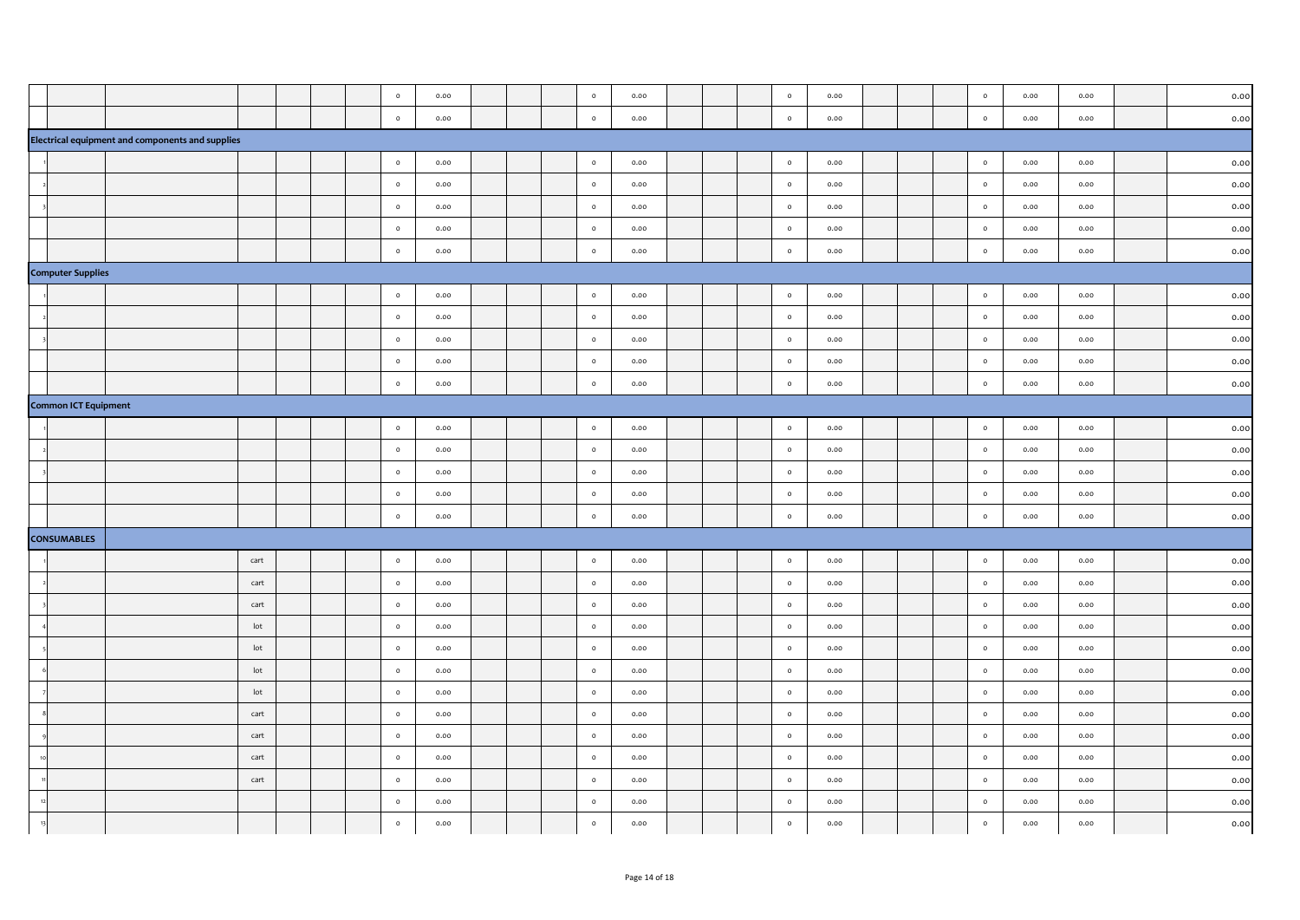|                             |                                                  |            |  | $\circ$            | 0.00              |  | $\circ$            | 0.00         |  | $\circ$            | 0.00         |  | $\circ$            | 0.00         | 0.00         | 0.00         |
|-----------------------------|--------------------------------------------------|------------|--|--------------------|-------------------|--|--------------------|--------------|--|--------------------|--------------|--|--------------------|--------------|--------------|--------------|
|                             |                                                  |            |  | $\circ$            | 0.00              |  | $\circ$            | 0.00         |  | $\circ$            | 0.00         |  | $\circ$            | 0.00         | 0.00         | 0.00         |
|                             | Electrical equipment and components and supplies |            |  |                    |                   |  |                    |              |  |                    |              |  |                    |              |              |              |
|                             |                                                  |            |  | $\circ$            | 0.00              |  | $\circ$            | 0.00         |  | $\circ$            | 0.00         |  | $\circ$            | 0.00         | 0.00         | 0.00         |
|                             |                                                  |            |  | $\circ$            | 0.00              |  | $\circ$            | 0.00         |  | $\circ$            | 0.00         |  | $\circ$            | 0.00         | 0.00         | 0.00         |
|                             |                                                  |            |  | $\circ$            | 0.00              |  | $\circ$            | 0.00         |  | $\circ$            | 0.00         |  | $\circ$            | 0.00         | 0.00         | 0.00         |
|                             |                                                  |            |  | $\circ$            | 0.00              |  | $\circ$            | 0.00         |  | $\circ$            | 0.00         |  | $\circ$            | 0.00         | 0.00         | 0.00         |
|                             |                                                  |            |  | $\circ$            | 0.00              |  | $\circ$            | 0.00         |  | $\circ$            | 0.00         |  | $\circ$            | 0.00         | 0.00         | 0.00         |
| <b>Computer Supplies</b>    |                                                  |            |  |                    |                   |  |                    |              |  |                    |              |  |                    |              |              |              |
|                             |                                                  |            |  | $\circ$            | 0.00              |  | $\circ$            | 0.00         |  | $\circ$            | 0.00         |  | $\circ$            | 0.00         | 0.00         | 0.00         |
|                             |                                                  |            |  | $\circ$            | 0.00              |  | $\circ$            | 0.00         |  | $\circ$            | 0.00         |  | $\circ$            | 0.00         | 0.00         | 0.00         |
|                             |                                                  |            |  | $\circ$            | 0.00              |  | $\circ$            | 0.00         |  | $\circ$            | 0.00         |  | $\circ$            | 0.00         | 0.00         | 0.00         |
|                             |                                                  |            |  | $\circ$            | 0.00              |  | $\circ$            | 0.00         |  | $\circ$            | 0.00         |  | $\circ$            | 0.00         | 0.00         | 0.00         |
|                             |                                                  |            |  | $\circ$            | 0.00              |  | $\circ$            | 0.00         |  | $\circ$            | 0.00         |  | $\circ$            | 0.00         | 0.00         | 0.00         |
| <b>Common ICT Equipment</b> |                                                  |            |  |                    |                   |  |                    |              |  |                    |              |  |                    |              |              |              |
|                             |                                                  |            |  | $\circ$            | 0.00              |  | $\circ$            | 0.00         |  | $\circ$            | 0.00         |  | $\circ$            | 0.00         | 0.00         | 0.00         |
|                             |                                                  |            |  | $\circ$            | 0.00              |  | $\circ$            | 0.00         |  | $\circ$            | 0.00         |  | $\circ$            | 0.00         | 0.00         | 0.00         |
|                             |                                                  |            |  | $\circ$            | 0.00              |  | $\circ$            | 0.00         |  | $\circ$            | 0.00         |  | $\circ$            | 0.00         | 0.00         | 0.00         |
|                             |                                                  |            |  | $\circ$            | 0.00              |  | $\circ$            | 0.00         |  | $\circ$            | 0.00         |  | $\circ$            | 0.00         | 0.00         | 0.00         |
|                             |                                                  |            |  | $\circ$            | 0.00              |  | $\circ$            | 0.00         |  | $\circ$            | 0.00         |  | $\circ$            | 0.00         | 0.00         | 0.00         |
| <b>CONSUMABLES</b>          |                                                  |            |  |                    |                   |  |                    |              |  |                    |              |  |                    |              |              |              |
|                             |                                                  | cart       |  | $\circ$            | 0.00              |  | $\circ$            | 0.00         |  | $\circ$            | 0.00         |  | $\circ$            | 0.00         | 0.00         | 0.00         |
|                             |                                                  | cart       |  | $\circ$            | 0.00              |  | $\circ$            | 0.00         |  | $\circ$            | 0.00         |  | $\circ$            | 0.00         | 0.00         | 0.00         |
|                             |                                                  | cart       |  | $\circ$            | 0.00              |  | $\circ$            | 0.00         |  | $\circ$            | 0.00         |  | $\circ$            | 0.00         | 0.00         | 0.00         |
|                             |                                                  | lot        |  | $\circ$            | 0.00              |  | $\circ$            | 0.00         |  | $\circ$            | 0.00         |  | $\circ$            | 0.00         | 0.00         | 0.00         |
|                             |                                                  | lot        |  | $\circ$            | 0.00              |  | $\circ$            | 0.00         |  | $\circ$            | 0.00         |  | $\circ$            | 0.00         | 0.00         | 0.00         |
|                             |                                                  | lot<br>lot |  | $\circ$<br>$\circ$ | 0.00              |  | $\circ$<br>$\circ$ | 0.00<br>0.00 |  | $\circ$<br>$\circ$ | 0.00         |  | $\circ$<br>$\circ$ | 0.00<br>0.00 | 0.00<br>0.00 | 0.00<br>0.00 |
|                             |                                                  | cart       |  | $\circ$            | $_{0.00}$<br>0.00 |  | $\circ$            | 0.00         |  | $\circ$            | 0.00<br>0.00 |  | $\circ$            | 0.00         | 0.00         | 0.00         |
|                             |                                                  | cart       |  | $\circ$            | 0.00              |  | $\circ$            | 0.00         |  | $\circ$            | 0.00         |  | $\circ$            | 0.00         | 0.00         | 0.00         |
|                             |                                                  | cart       |  | $\circ$            | 0.00              |  | $\circ$            | 0.00         |  | $\circ$            | 0.00         |  | $\circ$            | 0.00         | 0.00         | 0.00         |
|                             |                                                  | cart       |  | $\circ$            | 0.00              |  | $\circ$            | 0.00         |  | $\circ$            | 0.00         |  | $\circ$            | 0.00         | 0.00         | 0.00         |
|                             |                                                  |            |  | $\circ$            | 0.00              |  | $\circ$            | 0.00         |  | $\circ$            | 0.00         |  | $\circ$            | 0.00         | 0.00         | 0.00         |
|                             |                                                  |            |  | $\circ$            | 0.00              |  | $\circ$            | 0.00         |  | $\circ$            | 0.00         |  | $\circ$            | 0.00         | 0.00         | 0.00         |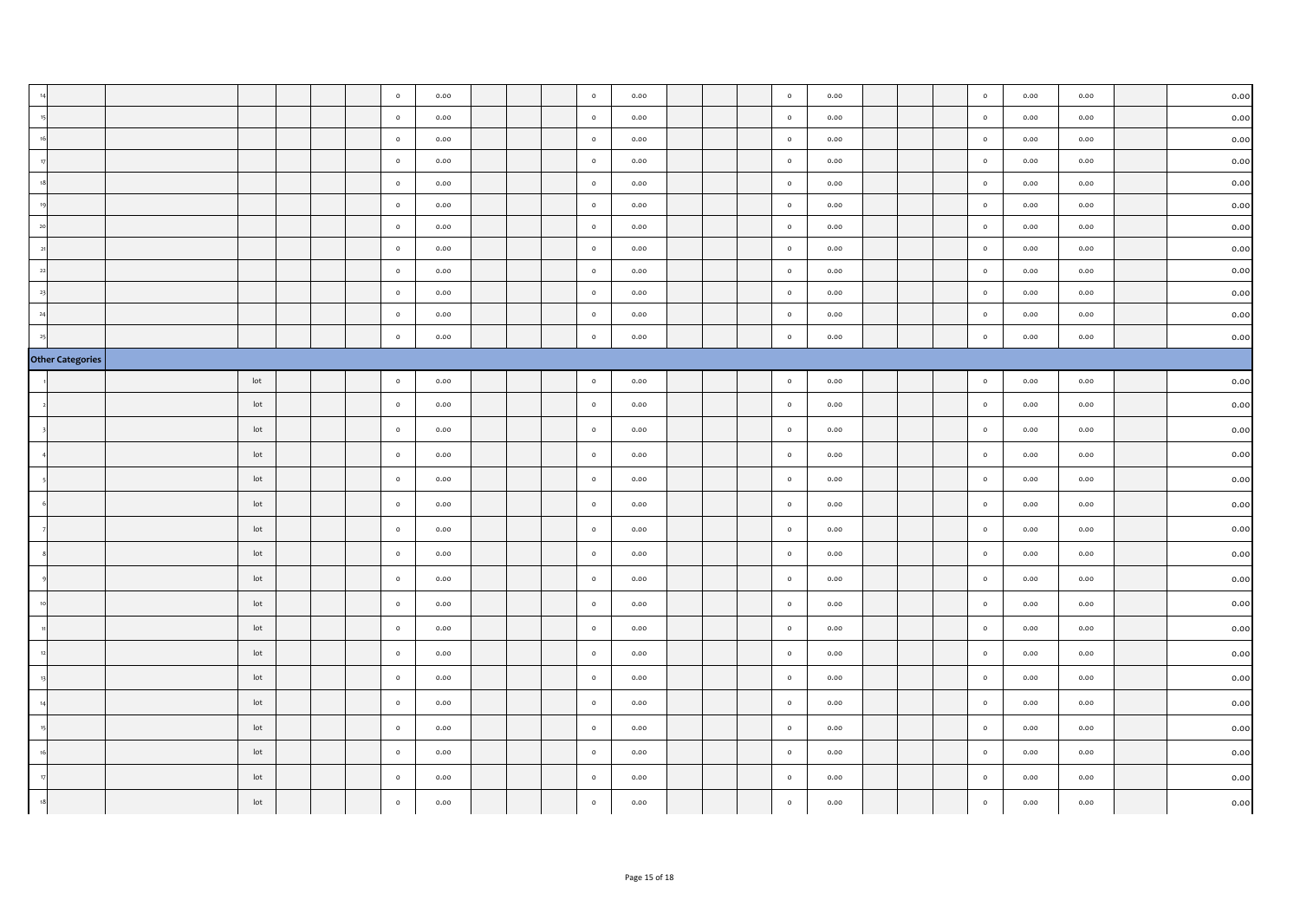|                         |                 |  | $\circ$ | 0.00 |  | $\circ$      | 0.00 |  | $\circ$ | 0.00 |  | $\circ$ | 0.00 | 0.00 | 0.00 |
|-------------------------|-----------------|--|---------|------|--|--------------|------|--|---------|------|--|---------|------|------|------|
|                         |                 |  | $\circ$ | 0.00 |  | $\circ$      | 0.00 |  | $\circ$ | 0.00 |  | $\circ$ | 0.00 | 0.00 | 0.00 |
|                         |                 |  | $\circ$ | 0.00 |  | $\circ$      | 0.00 |  | $\circ$ | 0.00 |  | $\circ$ | 0.00 | 0.00 | 0.00 |
|                         |                 |  | $\circ$ | 0.00 |  | $\circ$      | 0.00 |  | $\circ$ | 0.00 |  | $\circ$ | 0.00 | 0.00 | 0.00 |
|                         |                 |  | $\circ$ | 0.00 |  | $\circ$      | 0.00 |  | $\circ$ | 0.00 |  | $\circ$ | 0.00 | 0.00 | 0.00 |
|                         |                 |  | $\circ$ | 0.00 |  | $\circ$      | 0.00 |  | $\circ$ | 0.00 |  | $\circ$ | 0.00 | 0.00 | 0.00 |
|                         |                 |  | $\circ$ | 0.00 |  | $\circ$      | 0.00 |  | $\circ$ | 0.00 |  | $\circ$ | 0.00 | 0.00 | 0.00 |
|                         |                 |  | $\circ$ | 0.00 |  | $\circ$      | 0.00 |  | $\circ$ | 0.00 |  | $\circ$ | 0.00 | 0.00 | 0.00 |
|                         |                 |  | $\circ$ | 0.00 |  | $\circ$      | 0.00 |  | $\circ$ | 0.00 |  | $\circ$ | 0.00 | 0.00 | 0.00 |
|                         |                 |  | $\circ$ | 0.00 |  | $\circ$      | 0.00 |  | $\circ$ | 0.00 |  | $\circ$ | 0.00 | 0.00 | 0.00 |
|                         |                 |  | $\circ$ | 0.00 |  | $\circ$      | 0.00 |  | $\circ$ | 0.00 |  | $\circ$ | 0.00 | 0.00 | 0.00 |
|                         |                 |  | $\circ$ | 0.00 |  | $\circ$      | 0.00 |  | $\circ$ | 0.00 |  | $\circ$ | 0.00 | 0.00 | 0.00 |
| <b>Other Categories</b> |                 |  |         |      |  |              |      |  |         |      |  |         |      |      |      |
|                         | $_{\text{lot}}$ |  | $\circ$ | 0.00 |  | $\circ$      | 0.00 |  | $\circ$ | 0.00 |  | $\circ$ | 0.00 | 0.00 | 0.00 |
|                         | lot             |  | $\circ$ | 0.00 |  | $\circ$      | 0.00 |  | $\circ$ | 0.00 |  | $\circ$ | 0.00 | 0.00 | 0.00 |
|                         | lot             |  | $\circ$ | 0.00 |  | $\circ$      | 0.00 |  | $\circ$ | 0.00 |  | $\circ$ | 0.00 | 0.00 | 0.00 |
|                         | lot             |  | $\circ$ | 0.00 |  | $\circ$      | 0.00 |  | $\circ$ | 0.00 |  | $\circ$ | 0.00 | 0.00 | 0.00 |
|                         | $_{\text{lot}}$ |  | $\circ$ | 0.00 |  | $\circ$      | 0.00 |  | $\circ$ | 0.00 |  | $\circ$ | 0.00 | 0.00 | 0.00 |
|                         | lot             |  | $\circ$ | 0.00 |  | $\circ$      | 0.00 |  | $\circ$ | 0.00 |  | $\circ$ | 0.00 | 0.00 | 0.00 |
|                         | lot             |  | $\circ$ | 0.00 |  | $\circ$      | 0.00 |  | $\circ$ | 0.00 |  | $\circ$ | 0.00 | 0.00 | 0.00 |
|                         | lot             |  | $\circ$ | 0.00 |  | $\circ$      | 0.00 |  | $\circ$ | 0.00 |  | $\circ$ | 0.00 | 0.00 | 0.00 |
|                         | lot             |  | $\circ$ | 0.00 |  | $\circ$      | 0.00 |  | $\circ$ | 0.00 |  | $\circ$ | 0.00 | 0.00 | 0.00 |
|                         | lot             |  | $\circ$ | 0.00 |  | $\circ$      | 0.00 |  | $\circ$ | 0.00 |  | $\circ$ | 0.00 | 0.00 | 0.00 |
|                         | lot             |  | $\circ$ | 0.00 |  | $\circ$      | 0.00 |  | $\circ$ | 0.00 |  | $\circ$ | 0.00 | 0.00 | 0.00 |
|                         | lot             |  | $\circ$ | 0.00 |  | $\circ$      | 0.00 |  | $\circ$ | 0.00 |  | $\circ$ | 0.00 | 0.00 | 0.00 |
|                         | lot             |  | $\circ$ | 0.00 |  | $\circ$      | 0.00 |  | $\circ$ | 0.00 |  | $\circ$ | 0.00 | 0.00 | 0.00 |
|                         | lot             |  | $\circ$ | 0.00 |  | $\circ$      | 0.00 |  | $\circ$ | 0.00 |  | $\circ$ | 0.00 | 0.00 | 0.00 |
|                         | lot             |  | $\circ$ | 0.00 |  | $\circ$      | 0.00 |  | $\circ$ | 0.00 |  | $\circ$ | 0.00 | 0.00 | 0.00 |
|                         | lot             |  | $\circ$ | 0.00 |  | $\circ$      | 0.00 |  | $\circ$ | 0.00 |  | $\circ$ | 0.00 | 0.00 | 0.00 |
|                         | lot             |  | $\circ$ | 0.00 |  | $\circ$      | 0.00 |  | $\circ$ | 0.00 |  | $\circ$ | 0.00 | 0.00 | 0.00 |
|                         | $_{\text{lot}}$ |  | $\circ$ | 0.00 |  | $\mathsf{o}$ | 0.00 |  | $\circ$ | 0.00 |  | $\circ$ | 0.00 | 0.00 | 0.00 |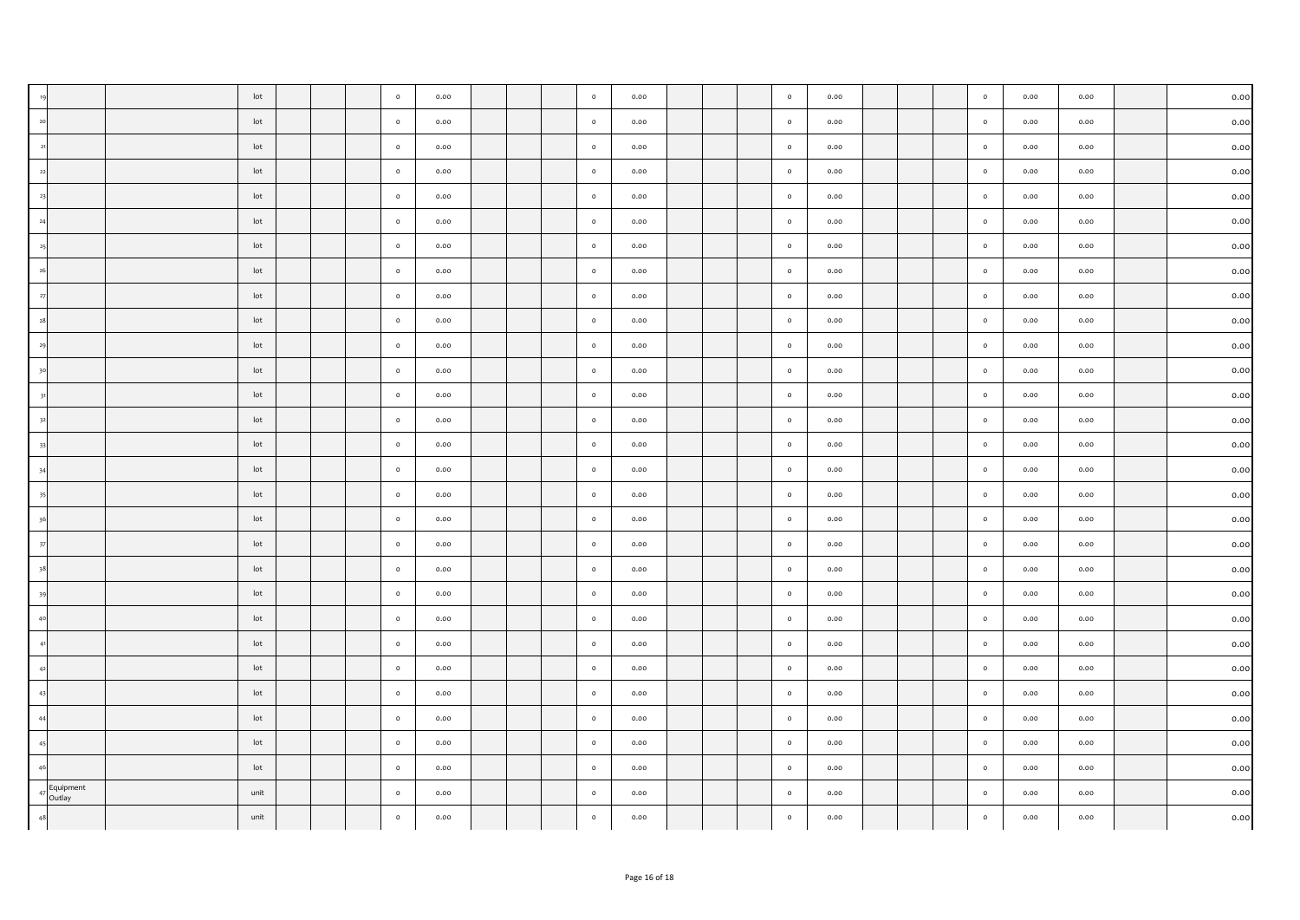|                     | lot             |  | $\circ$ | 0.00 |  | $\circ$ | 0.00 |  | $\circ$ | 0.00 |  | $\circ$ | 0.00 | 0.00 | 0.00      |
|---------------------|-----------------|--|---------|------|--|---------|------|--|---------|------|--|---------|------|------|-----------|
|                     | lot             |  | $\circ$ | 0.00 |  | $\circ$ | 0.00 |  | $\circ$ | 0.00 |  | $\circ$ | 0.00 | 0.00 | 0.00      |
|                     | lot             |  | $\circ$ | 0.00 |  | $\circ$ | 0.00 |  | $\circ$ | 0.00 |  | $\circ$ | 0.00 | 0.00 | 0.00      |
|                     | lot             |  | $\circ$ | 0.00 |  | $\circ$ | 0.00 |  | $\circ$ | 0.00 |  | $\circ$ | 0.00 | 0.00 | 0.00      |
|                     | lot             |  | $\circ$ | 0.00 |  | $\circ$ | 0.00 |  | $\circ$ | 0.00 |  | $\circ$ | 0.00 | 0.00 | 0.00      |
|                     | lot             |  | $\circ$ | 0.00 |  | $\circ$ | 0.00 |  | $\circ$ | 0.00 |  | $\circ$ | 0.00 | 0.00 | 0.00      |
|                     | lot             |  | $\circ$ | 0.00 |  | $\circ$ | 0.00 |  | $\circ$ | 0.00 |  | $\circ$ | 0.00 | 0.00 | 0.00      |
|                     | lot             |  | $\circ$ | 0.00 |  | $\circ$ | 0.00 |  | $\circ$ | 0.00 |  | $\circ$ | 0.00 | 0.00 | 0.00      |
|                     | lot             |  | $\circ$ | 0.00 |  | $\circ$ | 0.00 |  | $\circ$ | 0.00 |  | $\circ$ | 0.00 | 0.00 | 0.00      |
|                     | lot             |  | $\circ$ | 0.00 |  | $\circ$ | 0.00 |  | $\circ$ | 0.00 |  | $\circ$ | 0.00 | 0.00 | 0.00      |
|                     | lot             |  | $\circ$ | 0.00 |  | $\circ$ | 0.00 |  | $\circ$ | 0.00 |  | $\circ$ | 0.00 | 0.00 | 0.00      |
|                     | $_{\text{lot}}$ |  | $\circ$ | 0.00 |  | $\circ$ | 0.00 |  | $\circ$ | 0.00 |  | $\circ$ | 0.00 | 0.00 | 0.00      |
|                     | lot             |  | $\circ$ | 0.00 |  | $\circ$ | 0.00 |  | $\circ$ | 0.00 |  | $\circ$ | 0.00 | 0.00 | 0.00      |
|                     | lot             |  | $\circ$ | 0.00 |  | $\circ$ | 0.00 |  | $\circ$ | 0.00 |  | $\circ$ | 0.00 | 0.00 | 0.00      |
|                     | lot             |  | $\circ$ | 0.00 |  | $\circ$ | 0.00 |  | $\circ$ | 0.00 |  | $\circ$ | 0.00 | 0.00 | 0.00      |
|                     | lot             |  | $\circ$ | 0.00 |  | $\circ$ | 0.00 |  | $\circ$ | 0.00 |  | $\circ$ | 0.00 | 0.00 | 0.00      |
|                     | lot             |  | $\circ$ | 0.00 |  | $\circ$ | 0.00 |  | $\circ$ | 0.00 |  | $\circ$ | 0.00 | 0.00 | 0.00      |
|                     | lot             |  | $\circ$ | 0.00 |  | $\circ$ | 0.00 |  | $\circ$ | 0.00 |  | $\circ$ | 0.00 | 0.00 | 0.00      |
|                     | lot             |  | $\circ$ | 0.00 |  | $\circ$ | 0.00 |  | $\circ$ | 0.00 |  | $\circ$ | 0.00 | 0.00 | 0.00      |
|                     | lot             |  | $\circ$ | 0.00 |  | $\circ$ | 0.00 |  | $\circ$ | 0.00 |  | $\circ$ | 0.00 | 0.00 | 0.00      |
|                     | lot             |  | $\circ$ | 0.00 |  | $\circ$ | 0.00 |  | $\circ$ | 0.00 |  | $\circ$ | 0.00 | 0.00 | 0.00      |
|                     | lot             |  | $\circ$ | 0.00 |  | $\circ$ | 0.00 |  | $\circ$ | 0.00 |  | $\circ$ | 0.00 | 0.00 | 0.00      |
|                     | lot             |  | $\circ$ | 0.00 |  | $\circ$ | 0.00 |  | $\circ$ | 0.00 |  | $\circ$ | 0.00 | 0.00 | 0.00      |
|                     | lot             |  | $\circ$ | 0.00 |  | $\circ$ | 0.00 |  | $\circ$ | 0.00 |  | $\circ$ | 0.00 | 0.00 | 0.00      |
|                     | lot             |  | $\circ$ | 0.00 |  | $\circ$ | 0.00 |  | $\circ$ | 0.00 |  | $\circ$ | 0.00 | 0.00 | 0.00      |
|                     | lot             |  | $\circ$ | 0.00 |  | $\circ$ | 0.00 |  | $\circ$ | 0.00 |  | $\circ$ | 0.00 | 0.00 | 0.00      |
|                     | lot             |  | $\circ$ | 0.00 |  | $\circ$ | 0.00 |  | $\circ$ | 0.00 |  | $\circ$ | 0.00 | 0.00 | 0.00      |
|                     | lot             |  | $\circ$ | 0.00 |  | $\circ$ | 0.00 |  | $\circ$ | 0.00 |  | $\circ$ | 0.00 | 0.00 | 0.00      |
| Equipment<br>Outlay | unit            |  | $\circ$ | 0.00 |  | $\circ$ | 0.00 |  | $\circ$ | 0.00 |  | $\circ$ | 0.00 | 0.00 | 0.00      |
|                     | unit            |  | $\circ$ | 0.00 |  | $\circ$ | 0.00 |  | $\circ$ | 0.00 |  | $\circ$ | 0.00 | 0.00 | $_{0.00}$ |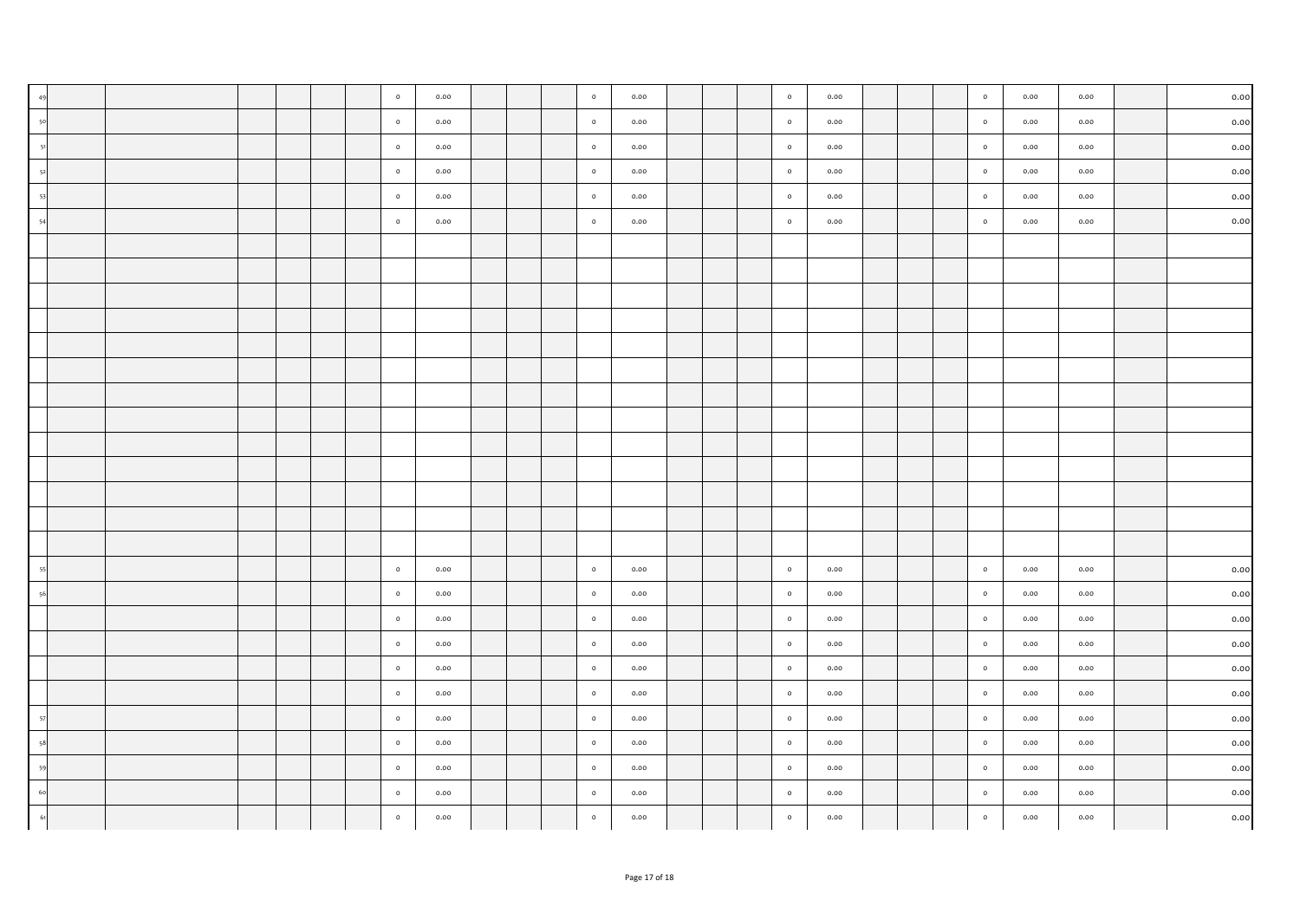|  |  |  | $\circ$ | 0.00 |  | $\circ$                 | 0.00 |  | $\circ$   | 0.00 |  | $\circ$ | 0.00 | 0.00 | $_{0.00}$ |
|--|--|--|---------|------|--|-------------------------|------|--|-----------|------|--|---------|------|------|-----------|
|  |  |  | $\circ$ | 0.00 |  | $\circ$                 | 0.00 |  | $\bullet$ | 0.00 |  | $\circ$ | 0.00 | 0.00 | 0.00      |
|  |  |  | $\circ$ | 0.00 |  | $\circ$                 | 0.00 |  | $\circ$   | 0.00 |  | $\circ$ | 0.00 | 0.00 | 0.00      |
|  |  |  | $\circ$ | 0.00 |  | $\circ$                 | 0.00 |  | $\circ$   | 0.00 |  | $\circ$ | 0.00 | 0.00 | 0.00      |
|  |  |  | $\circ$ | 0.00 |  | $\overline{\mathbf{0}}$ | 0.00 |  | $\circ$   | 0.00 |  | $\circ$ | 0.00 | 0.00 | 0.00      |
|  |  |  | $\circ$ | 0.00 |  | $\circ$                 | 0.00 |  | $\circ$   | 0.00 |  | $\circ$ | 0.00 | 0.00 | 0.00      |
|  |  |  |         |      |  |                         |      |  |           |      |  |         |      |      |           |
|  |  |  |         |      |  |                         |      |  |           |      |  |         |      |      |           |
|  |  |  |         |      |  |                         |      |  |           |      |  |         |      |      |           |
|  |  |  |         |      |  |                         |      |  |           |      |  |         |      |      |           |
|  |  |  |         |      |  |                         |      |  |           |      |  |         |      |      |           |
|  |  |  |         |      |  |                         |      |  |           |      |  |         |      |      |           |
|  |  |  |         |      |  |                         |      |  |           |      |  |         |      |      |           |
|  |  |  |         |      |  |                         |      |  |           |      |  |         |      |      |           |
|  |  |  |         |      |  |                         |      |  |           |      |  |         |      |      |           |
|  |  |  |         |      |  |                         |      |  |           |      |  |         |      |      |           |
|  |  |  |         |      |  |                         |      |  |           |      |  |         |      |      |           |
|  |  |  |         |      |  |                         |      |  |           |      |  |         |      |      |           |
|  |  |  |         |      |  |                         |      |  |           |      |  |         |      |      |           |
|  |  |  | $\circ$ | 0.00 |  | $\circ$                 | 0.00 |  | $\circ$   | 0.00 |  | $\circ$ | 0.00 | 0.00 | 0.00      |
|  |  |  | $\circ$ | 0.00 |  | $\circ$                 | 0.00 |  | $\circ$   | 0.00 |  | $\circ$ | 0.00 | 0.00 | 0.00      |
|  |  |  | $\circ$ | 0.00 |  | $\circ$                 | 0.00 |  | $\circ$   | 0.00 |  | $\circ$ | 0.00 | 0.00 | 0.00      |
|  |  |  | $\circ$ | 0.00 |  | $\circ$                 | 0.00 |  | $\circ$   | 0.00 |  | $\circ$ | 0.00 | 0.00 | 0.00      |
|  |  |  | $\circ$ | 0.00 |  | $\circ$                 | 0.00 |  | $\circ$   | 0.00 |  | $\circ$ | 0.00 | 0.00 | 0.00      |
|  |  |  | $\circ$ | 0.00 |  | $\circ$                 | 0.00 |  | $\circ$   | 0.00 |  | $\circ$ | 0.00 | 0.00 | 0.00      |
|  |  |  | $\circ$ | 0.00 |  | $\circ$                 | 0.00 |  | $\circ$   | 0.00 |  | $\circ$ | 0.00 | 0.00 | $_{0.00}$ |
|  |  |  | $\circ$ | 0.00 |  | $\circ$                 | 0.00 |  | $\circ$   | 0.00 |  | $\circ$ | 0.00 | 0.00 | $_{0.00}$ |
|  |  |  | $\circ$ | 0.00 |  | $\circ$                 | 0.00 |  | $\circ$   | 0.00 |  | $\circ$ | 0.00 | 0.00 | 0.00      |
|  |  |  | $\circ$ | 0.00 |  | $\circ$                 | 0.00 |  | $\circ$   | 0.00 |  | $\circ$ | 0.00 | 0.00 | 0.00      |
|  |  |  | $\circ$ | 0.00 |  | $\circ$                 | 0.00 |  | $\circ$   | 0.00 |  | $\circ$ | 0.00 | 0.00 | 0.00      |